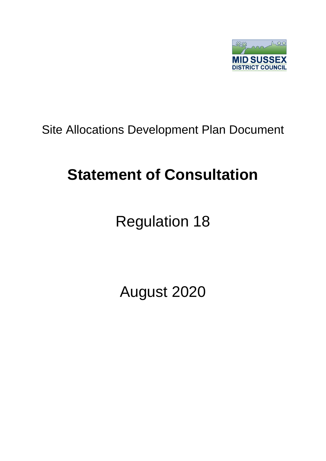

## Site Allocations Development Plan Document

## **Statement of Consultation**

# Regulation 18

August 2020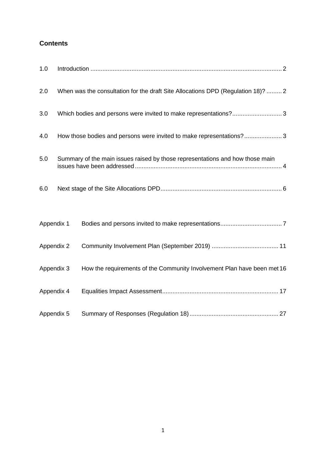## **Contents**

| 1.0        |                                                                               |                                                                                  |
|------------|-------------------------------------------------------------------------------|----------------------------------------------------------------------------------|
| 2.0        |                                                                               | When was the consultation for the draft Site Allocations DPD (Regulation 18)?  2 |
| 3.0        |                                                                               | Which bodies and persons were invited to make representations?3                  |
| 4.0        |                                                                               | How those bodies and persons were invited to make representations?3              |
| 5.0        | Summary of the main issues raised by those representations and how those main |                                                                                  |
| 6.0        |                                                                               |                                                                                  |
| Appendix 1 |                                                                               |                                                                                  |
| Appendix 2 |                                                                               |                                                                                  |
| Appendix 3 |                                                                               | How the requirements of the Community Involvement Plan have been met 16          |
| Appendix 4 |                                                                               |                                                                                  |
| Appendix 5 |                                                                               |                                                                                  |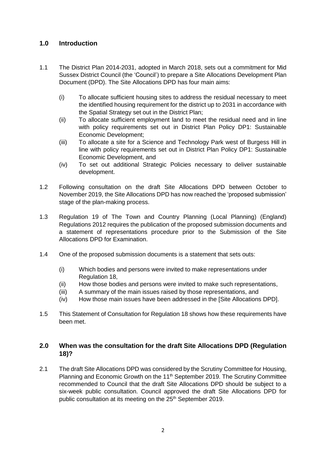#### <span id="page-2-0"></span>**1.0 Introduction**

- 1.1 The District Plan 2014-2031, adopted in March 2018, sets out a commitment for Mid Sussex District Council (the 'Council') to prepare a Site Allocations Development Plan Document (DPD). The Site Allocations DPD has four main aims:
	- (i) To allocate sufficient housing sites to address the residual necessary to meet the identified housing requirement for the district up to 2031 in accordance with the Spatial Strategy set out in the District Plan;
	- (ii) To allocate sufficient employment land to meet the residual need and in line with policy requirements set out in District Plan Policy DP1: Sustainable Economic Development;
	- (iii) To allocate a site for a Science and Technology Park west of Burgess Hill in line with policy requirements set out in District Plan Policy DP1: Sustainable Economic Development, and
	- (iv) To set out additional Strategic Policies necessary to deliver sustainable development.
- 1.2 Following consultation on the draft Site Allocations DPD between October to November 2019, the Site Allocations DPD has now reached the 'proposed submission' stage of the plan-making process.
- 1.3 Regulation 19 of The Town and Country Planning (Local Planning) (England) Regulations 2012 requires the publication of the proposed submission documents and a statement of representations procedure prior to the Submission of the Site Allocations DPD for Examination.
- 1.4 One of the proposed submission documents is a statement that sets outs:
	- (i) Which bodies and persons were invited to make representations under Regulation 18,
	- (ii) How those bodies and persons were invited to make such representations,
	- (iii) A summary of the main issues raised by those representations, and
	- (iv) How those main issues have been addressed in the [Site Allocations DPD].
- 1.5 This Statement of Consultation for Regulation 18 shows how these requirements have been met.

#### <span id="page-2-1"></span>**2.0 When was the consultation for the draft Site Allocations DPD (Regulation 18)?**

2.1 The draft Site Allocations DPD was considered by the Scrutiny Committee for Housing, Planning and Economic Growth on the 11<sup>th</sup> September 2019. The Scrutiny Committee recommended to Council that the draft Site Allocations DPD should be subject to a six-week public consultation. Council approved the draft Site Allocations DPD for public consultation at its meeting on the 25<sup>th</sup> September 2019.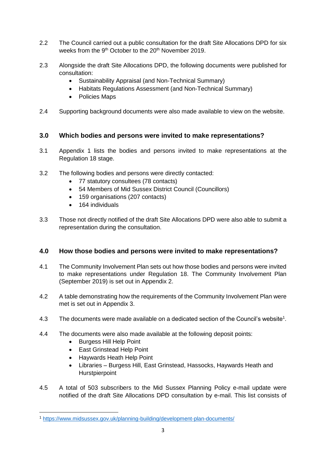- 2.2 The Council carried out a public consultation for the draft Site Allocations DPD for six weeks from the 9<sup>th</sup> October to the 20<sup>th</sup> November 2019.
- 2.3 Alongside the draft Site Allocations DPD, the following documents were published for consultation:
	- Sustainability Appraisal (and Non-Technical Summary)
	- Habitats Regulations Assessment (and Non-Technical Summary)
	- Policies Maps
- 2.4 Supporting background documents were also made available to view on the website.

#### <span id="page-3-0"></span>**3.0 Which bodies and persons were invited to make representations?**

- 3.1 Appendix 1 lists the bodies and persons invited to make representations at the Regulation 18 stage.
- 3.2 The following bodies and persons were directly contacted:
	- 77 statutory consultees (78 contacts)
	- 54 Members of Mid Sussex District Council (Councillors)
	- 159 organisations (207 contacts)
	- 164 individuals
- 3.3 Those not directly notified of the draft Site Allocations DPD were also able to submit a representation during the consultation.

#### <span id="page-3-1"></span>**4.0 How those bodies and persons were invited to make representations?**

- 4.1 The Community Involvement Plan sets out how those bodies and persons were invited to make representations under Regulation 18. The Community Involvement Plan (September 2019) is set out in Appendix 2.
- 4.2 A table demonstrating how the requirements of the Community Involvement Plan were met is set out in Appendix 3.
- 4.3 The documents were made available on a dedicated section of the Council's website<sup>1</sup>.
- 4.4 The documents were also made available at the following deposit points:
	- Burgess Hill Help Point

**.** 

- East Grinstead Help Point
- Haywards Heath Help Point
- Libraries Burgess Hill, East Grinstead, Hassocks, Haywards Heath and **Hurstpierpoint**
- 4.5 A total of 503 subscribers to the Mid Sussex Planning Policy e-mail update were notified of the draft Site Allocations DPD consultation by e-mail. This list consists of

<sup>1</sup> <https://www.midsussex.gov.uk/planning-building/development-plan-documents/>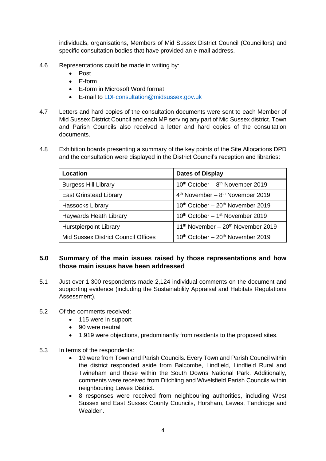individuals, organisations, Members of Mid Sussex District Council (Councillors) and specific consultation bodies that have provided an e-mail address.

- 4.6 Representations could be made in writing by:
	- Post
	- E-form
	- E-form in Microsoft Word format
	- E-mail to [LDFconsultation@midsussex.gov.uk](mailto:LDFconsultation@midsussex.gov.uk)
- 4.7 Letters and hard copies of the consultation documents were sent to each Member of Mid Sussex District Council and each MP serving any part of Mid Sussex district. Town and Parish Councils also received a letter and hard copies of the consultation documents.
- 4.8 Exhibition boards presenting a summary of the key points of the Site Allocations DPD and the consultation were displayed in the District Council's reception and libraries:

| Location                            | <b>Dates of Display</b>                                    |  |
|-------------------------------------|------------------------------------------------------------|--|
| <b>Burgess Hill Library</b>         | 10 <sup>th</sup> October - 8 <sup>th</sup> November 2019   |  |
| <b>East Grinstead Library</b>       | $4th$ November – $8th$ November 2019                       |  |
| <b>Hassocks Library</b>             | 10 <sup>th</sup> October - 20 <sup>th</sup> November 2019  |  |
| Haywards Heath Library              | 10 <sup>th</sup> October - 1 <sup>st</sup> November 2019   |  |
| <b>Hurstpierpoint Library</b>       | 11 <sup>th</sup> November - 20 <sup>th</sup> November 2019 |  |
| Mid Sussex District Council Offices | 10 <sup>th</sup> October – 20 <sup>th</sup> November 2019  |  |

#### <span id="page-4-0"></span>**5.0 Summary of the main issues raised by those representations and how those main issues have been addressed**

5.1 Just over 1,300 respondents made 2,124 individual comments on the document and supporting evidence (including the Sustainability Appraisal and Habitats Regulations Assessment).

#### 5.2 Of the comments received:

- 115 were in support
- 90 were neutral
- 1,919 were objections, predominantly from residents to the proposed sites.
- 5.3 In terms of the respondents:
	- 19 were from Town and Parish Councils. Every Town and Parish Council within the district responded aside from Balcombe, Lindfield, Lindfield Rural and Twineham and those within the South Downs National Park. Additionally, comments were received from Ditchling and Wivelsfield Parish Councils within neighbouring Lewes District.
	- 8 responses were received from neighbouring authorities, including West Sussex and East Sussex County Councils, Horsham, Lewes, Tandridge and Wealden.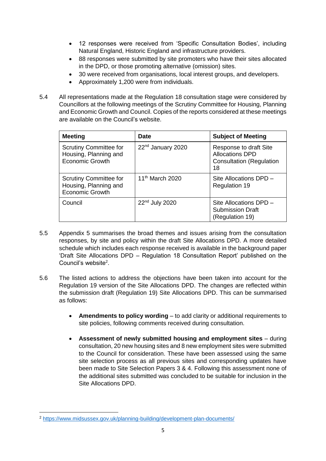- 12 responses were received from 'Specific Consultation Bodies', including Natural England, Historic England and infrastructure providers.
- 88 responses were submitted by site promoters who have their sites allocated in the DPD, or those promoting alternative (omission) sites.
- 30 were received from organisations, local interest groups, and developers.
- Approximately 1,200 were from individuals.
- 5.4 All representations made at the Regulation 18 consultation stage were considered by Councillors at the following meetings of the Scrutiny Committee for Housing, Planning and Economic Growth and Council. Copies of the reports considered at these meetings are available on the Council's website.

| <b>Meeting</b>                                                                   | <b>Date</b>                   | <b>Subject of Meeting</b>                                                                 |
|----------------------------------------------------------------------------------|-------------------------------|-------------------------------------------------------------------------------------------|
| <b>Scrutiny Committee for</b><br>Housing, Planning and<br><b>Economic Growth</b> | 22 <sup>nd</sup> January 2020 | Response to draft Site<br><b>Allocations DPD</b><br><b>Consultation (Regulation</b><br>18 |
| <b>Scrutiny Committee for</b><br>Housing, Planning and<br><b>Economic Growth</b> | 11 <sup>th</sup> March 2020   | Site Allocations DPD -<br><b>Regulation 19</b>                                            |
| Council                                                                          | 22 <sup>nd</sup> July 2020    | Site Allocations DPD -<br><b>Submission Draft</b><br>(Regulation 19)                      |

- 5.5 Appendix 5 summarises the broad themes and issues arising from the consultation responses, by site and policy within the draft Site Allocations DPD. A more detailed schedule which includes each response received is available in the background paper 'Draft Site Allocations DPD – Regulation 18 Consultation Report' published on the Council's website<sup>2</sup>.
- 5.6 The listed actions to address the objections have been taken into account for the Regulation 19 version of the Site Allocations DPD. The changes are reflected within the submission draft (Regulation 19) Site Allocations DPD. This can be summarised as follows:
	- **Amendments to policy wording** to add clarity or additional requirements to site policies, following comments received during consultation.
	- **Assessment of newly submitted housing and employment sites** during consultation, 20 new housing sites and 8 new employment sites were submitted to the Council for consideration. These have been assessed using the same site selection process as all previous sites and corresponding updates have been made to Site Selection Papers 3 & 4. Following this assessment none of the additional sites submitted was concluded to be suitable for inclusion in the Site Allocations DPD.

**.** 

<sup>2</sup> <https://www.midsussex.gov.uk/planning-building/development-plan-documents/>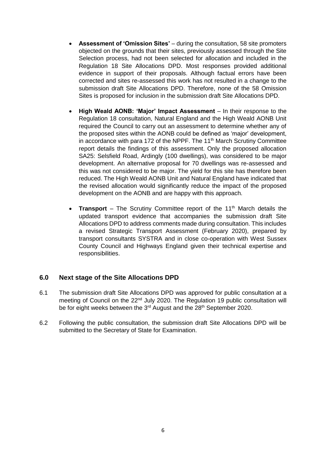- **Assessment of 'Omission Sites'** during the consultation, 58 site promoters objected on the grounds that their sites, previously assessed through the Site Selection process, had not been selected for allocation and included in the Regulation 18 Site Allocations DPD. Most responses provided additional evidence in support of their proposals. Although factual errors have been corrected and sites re-assessed this work has not resulted in a change to the submission draft Site Allocations DPD. Therefore, none of the 58 Omission Sites is proposed for inclusion in the submission draft Site Allocations DPD.
- **High Weald AONB: 'Major' Impact Assessment** In their response to the Regulation 18 consultation, Natural England and the High Weald AONB Unit required the Council to carry out an assessment to determine whether any of the proposed sites within the AONB could be defined as 'major' development, in accordance with para 172 of the NPPF. The 11<sup>th</sup> March Scrutiny Committee report details the findings of this assessment. Only the proposed allocation SA25: Selsfield Road, Ardingly (100 dwellings), was considered to be major development. An alternative proposal for 70 dwellings was re-assessed and this was not considered to be major. The yield for this site has therefore been reduced. The High Weald AONB Unit and Natural England have indicated that the revised allocation would significantly reduce the impact of the proposed development on the AONB and are happy with this approach.
- **Transport** The Scrutiny Committee report of the 11<sup>th</sup> March details the updated transport evidence that accompanies the submission draft Site Allocations DPD to address comments made during consultation. This includes a revised Strategic Transport Assessment (February 2020), prepared by transport consultants SYSTRA and in close co-operation with West Sussex County Council and Highways England given their technical expertise and responsibilities.

#### <span id="page-6-0"></span>**6.0 Next stage of the Site Allocations DPD**

- 6.1 The submission draft Site Allocations DPD was approved for public consultation at a meeting of Council on the 22<sup>nd</sup> July 2020. The Regulation 19 public consultation will be for eight weeks between the 3<sup>rd</sup> August and the 28<sup>th</sup> September 2020.
- 6.2 Following the public consultation, the submission draft Site Allocations DPD will be submitted to the Secretary of State for Examination.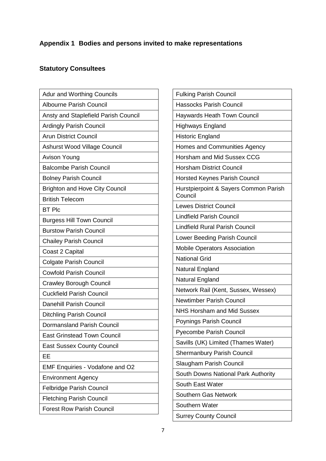## <span id="page-7-0"></span>**Appendix 1 Bodies and persons invited to make representations**

## **Statutory Consultees**

| <b>Adur and Worthing Councils</b>     |
|---------------------------------------|
| <b>Albourne Parish Council</b>        |
| Ansty and Staplefield Parish Council  |
| <b>Ardingly Parish Council</b>        |
| <b>Arun District Council</b>          |
| <b>Ashurst Wood Village Council</b>   |
| <b>Avison Young</b>                   |
| <b>Balcombe Parish Council</b>        |
| <b>Bolney Parish Council</b>          |
| <b>Brighton and Hove City Council</b> |
| <b>British Telecom</b>                |
| <b>BT Plc</b>                         |
| <b>Burgess Hill Town Council</b>      |
| <b>Burstow Parish Council</b>         |
| <b>Chailey Parish Council</b>         |
| Coast 2 Capital                       |
| <b>Colgate Parish Council</b>         |
| <b>Cowfold Parish Council</b>         |
| <b>Crawley Borough Council</b>        |
| <b>Cuckfield Parish Council</b>       |
| <b>Danehill Parish Council</b>        |
| <b>Ditchling Parish Council</b>       |
| <b>Dormansland Parish Council</b>     |
| <b>East Grinstead Town Council</b>    |
| <b>East Sussex County Council</b>     |
| ЕE                                    |
| EMF Enquiries - Vodafone and O2       |
| <b>Environment Agency</b>             |
| <b>Felbridge Parish Council</b>       |
| <b>Fletching Parish Council</b>       |
| <b>Forest Row Parish Council</b>      |

| <b>Fulking Parish Council</b><br><b>Hassocks Parish Council</b><br><b>Haywards Heath Town Council</b><br><b>Highways England</b><br><b>Historic England</b><br>Homes and Communities Agency<br><b>Horsham and Mid Sussex CCG</b><br><b>Horsham District Council</b><br><b>Horsted Keynes Parish Council</b><br>Hurstpierpoint & Sayers Common Parish<br>Council<br><b>Lewes District Council</b><br><b>Lindfield Parish Council</b><br><b>Lindfield Rural Parish Council</b><br>Lower Beeding Parish Council<br><b>Mobile Operators Association</b><br><b>National Grid</b><br>Natural England<br>Natural England<br>Network Rail (Kent, Sussex, Wessex)<br><b>Newtimber Parish Council</b><br><b>NHS Horsham and Mid Sussex</b><br>Poynings Parish Council<br><b>Pyecombe Parish Council</b><br>Savills (UK) Limited (Thames Water)<br><b>Shermanbury Parish Council</b><br>Slaugham Parish Council<br>South Downs National Park Authority<br>South East Water<br>Southern Gas Network<br>Southern Water<br><b>Surrey County Council</b> |  |
|-------------------------------------------------------------------------------------------------------------------------------------------------------------------------------------------------------------------------------------------------------------------------------------------------------------------------------------------------------------------------------------------------------------------------------------------------------------------------------------------------------------------------------------------------------------------------------------------------------------------------------------------------------------------------------------------------------------------------------------------------------------------------------------------------------------------------------------------------------------------------------------------------------------------------------------------------------------------------------------------------------------------------------------------|--|
|                                                                                                                                                                                                                                                                                                                                                                                                                                                                                                                                                                                                                                                                                                                                                                                                                                                                                                                                                                                                                                           |  |
|                                                                                                                                                                                                                                                                                                                                                                                                                                                                                                                                                                                                                                                                                                                                                                                                                                                                                                                                                                                                                                           |  |
|                                                                                                                                                                                                                                                                                                                                                                                                                                                                                                                                                                                                                                                                                                                                                                                                                                                                                                                                                                                                                                           |  |
|                                                                                                                                                                                                                                                                                                                                                                                                                                                                                                                                                                                                                                                                                                                                                                                                                                                                                                                                                                                                                                           |  |
|                                                                                                                                                                                                                                                                                                                                                                                                                                                                                                                                                                                                                                                                                                                                                                                                                                                                                                                                                                                                                                           |  |
|                                                                                                                                                                                                                                                                                                                                                                                                                                                                                                                                                                                                                                                                                                                                                                                                                                                                                                                                                                                                                                           |  |
|                                                                                                                                                                                                                                                                                                                                                                                                                                                                                                                                                                                                                                                                                                                                                                                                                                                                                                                                                                                                                                           |  |
|                                                                                                                                                                                                                                                                                                                                                                                                                                                                                                                                                                                                                                                                                                                                                                                                                                                                                                                                                                                                                                           |  |
|                                                                                                                                                                                                                                                                                                                                                                                                                                                                                                                                                                                                                                                                                                                                                                                                                                                                                                                                                                                                                                           |  |
|                                                                                                                                                                                                                                                                                                                                                                                                                                                                                                                                                                                                                                                                                                                                                                                                                                                                                                                                                                                                                                           |  |
|                                                                                                                                                                                                                                                                                                                                                                                                                                                                                                                                                                                                                                                                                                                                                                                                                                                                                                                                                                                                                                           |  |
|                                                                                                                                                                                                                                                                                                                                                                                                                                                                                                                                                                                                                                                                                                                                                                                                                                                                                                                                                                                                                                           |  |
|                                                                                                                                                                                                                                                                                                                                                                                                                                                                                                                                                                                                                                                                                                                                                                                                                                                                                                                                                                                                                                           |  |
|                                                                                                                                                                                                                                                                                                                                                                                                                                                                                                                                                                                                                                                                                                                                                                                                                                                                                                                                                                                                                                           |  |
|                                                                                                                                                                                                                                                                                                                                                                                                                                                                                                                                                                                                                                                                                                                                                                                                                                                                                                                                                                                                                                           |  |
|                                                                                                                                                                                                                                                                                                                                                                                                                                                                                                                                                                                                                                                                                                                                                                                                                                                                                                                                                                                                                                           |  |
|                                                                                                                                                                                                                                                                                                                                                                                                                                                                                                                                                                                                                                                                                                                                                                                                                                                                                                                                                                                                                                           |  |
|                                                                                                                                                                                                                                                                                                                                                                                                                                                                                                                                                                                                                                                                                                                                                                                                                                                                                                                                                                                                                                           |  |
|                                                                                                                                                                                                                                                                                                                                                                                                                                                                                                                                                                                                                                                                                                                                                                                                                                                                                                                                                                                                                                           |  |
|                                                                                                                                                                                                                                                                                                                                                                                                                                                                                                                                                                                                                                                                                                                                                                                                                                                                                                                                                                                                                                           |  |
|                                                                                                                                                                                                                                                                                                                                                                                                                                                                                                                                                                                                                                                                                                                                                                                                                                                                                                                                                                                                                                           |  |
|                                                                                                                                                                                                                                                                                                                                                                                                                                                                                                                                                                                                                                                                                                                                                                                                                                                                                                                                                                                                                                           |  |
|                                                                                                                                                                                                                                                                                                                                                                                                                                                                                                                                                                                                                                                                                                                                                                                                                                                                                                                                                                                                                                           |  |
|                                                                                                                                                                                                                                                                                                                                                                                                                                                                                                                                                                                                                                                                                                                                                                                                                                                                                                                                                                                                                                           |  |
|                                                                                                                                                                                                                                                                                                                                                                                                                                                                                                                                                                                                                                                                                                                                                                                                                                                                                                                                                                                                                                           |  |
|                                                                                                                                                                                                                                                                                                                                                                                                                                                                                                                                                                                                                                                                                                                                                                                                                                                                                                                                                                                                                                           |  |
|                                                                                                                                                                                                                                                                                                                                                                                                                                                                                                                                                                                                                                                                                                                                                                                                                                                                                                                                                                                                                                           |  |
|                                                                                                                                                                                                                                                                                                                                                                                                                                                                                                                                                                                                                                                                                                                                                                                                                                                                                                                                                                                                                                           |  |
|                                                                                                                                                                                                                                                                                                                                                                                                                                                                                                                                                                                                                                                                                                                                                                                                                                                                                                                                                                                                                                           |  |
|                                                                                                                                                                                                                                                                                                                                                                                                                                                                                                                                                                                                                                                                                                                                                                                                                                                                                                                                                                                                                                           |  |
|                                                                                                                                                                                                                                                                                                                                                                                                                                                                                                                                                                                                                                                                                                                                                                                                                                                                                                                                                                                                                                           |  |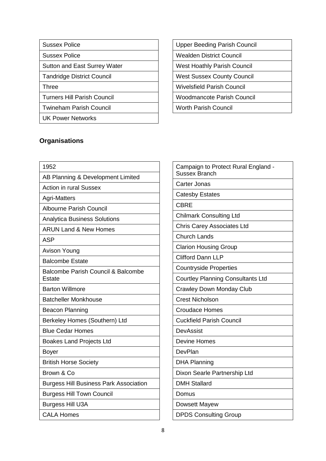## Sussex Police

Sussex Police

Sutton and East Surrey Water

Tandridge District Council

Three

Turners Hill Parish Council

Twineham Parish Council

UK Power Networks

## **Organisations**

| 1952                                                    |
|---------------------------------------------------------|
| AB Planning & Development Limited                       |
| <b>Action in rural Sussex</b>                           |
| <b>Agri-Matters</b>                                     |
| <b>Albourne Parish Council</b>                          |
| <b>Analytica Business Solutions</b>                     |
| <b>ARUN Land &amp; New Homes</b>                        |
| <b>ASP</b>                                              |
| <b>Avison Young</b>                                     |
| <b>Balcombe Estate</b>                                  |
| <b>Balcombe Parish Council &amp; Balcombe</b><br>Estate |
| <b>Barton Willmore</b>                                  |
| <b>Batcheller Monkhouse</b>                             |
| <b>Beacon Planning</b>                                  |
| Berkeley Homes (Southern) Ltd                           |
| <b>Blue Cedar Homes</b>                                 |
| <b>Boakes Land Projects Ltd</b>                         |
| <b>Boyer</b>                                            |
| <b>British Horse Society</b>                            |
| Brown & Co                                              |
| <b>Burgess Hill Business Park Association</b>           |
| <b>Burgess Hill Town Council</b>                        |
| <b>Burgess Hill U3A</b>                                 |
| <b>CALA Homes</b>                                       |

Upper Beeding Parish Council

Wealden District Council

West Hoathly Parish Council

West Sussex County Council

Wivelsfield Parish Council

Woodmancote Parish Council

Worth Parish Council

| Campaign to Protect Rural England -<br><b>Sussex Branch</b> |
|-------------------------------------------------------------|
| <b>Carter Jonas</b>                                         |
| <b>Catesby Estates</b>                                      |
| <b>CBRE</b>                                                 |
| <b>Chilmark Consulting Ltd</b>                              |
| <b>Chris Carey Associates Ltd</b>                           |
| <b>Church Lands</b>                                         |
| <b>Clarion Housing Group</b>                                |
| <b>Clifford Dann LLP</b>                                    |
| <b>Countryside Properties</b>                               |
| <b>Courtley Planning Consultants Ltd</b>                    |
| <b>Crawley Down Monday Club</b>                             |
| <b>Crest Nicholson</b>                                      |
| <b>Croudace Homes</b>                                       |
| <b>Cuckfield Parish Council</b>                             |
| DevAssist                                                   |
| <b>Devine Homes</b>                                         |
| DevPlan                                                     |
| <b>DHA Planning</b>                                         |
| Dixon Searle Partnership Ltd                                |
| <b>DMH Stallard</b>                                         |
| Domus                                                       |
| Dowsett Mayew                                               |
| <b>DPDS Consulting Group</b>                                |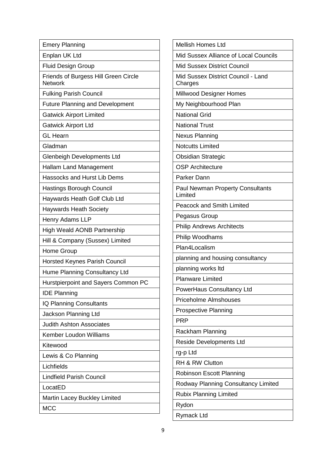| <b>Emery Planning</b>                                  | <b>Mellish Homes Ltd</b>                      |  |
|--------------------------------------------------------|-----------------------------------------------|--|
| Enplan UK Ltd                                          | Mid Sussex Alliance of Local Councils         |  |
| <b>Fluid Design Group</b>                              | <b>Mid Sussex District Council</b>            |  |
| Friends of Burgess Hill Green Circle<br><b>Network</b> | Mid Sussex District Council - Land<br>Charges |  |
| <b>Fulking Parish Council</b>                          | Millwood Designer Homes                       |  |
| <b>Future Planning and Development</b>                 | My Neighbourhood Plan                         |  |
| <b>Gatwick Airport Limited</b>                         | <b>National Grid</b>                          |  |
| <b>Gatwick Airport Ltd</b>                             | <b>National Trust</b>                         |  |
| <b>GL Hearn</b>                                        | <b>Nexus Planning</b>                         |  |
| Gladman                                                | <b>Notcutts Limited</b>                       |  |
| <b>Glenbeigh Developments Ltd</b>                      | <b>Obsidian Strategic</b>                     |  |
| <b>Hallam Land Management</b>                          | <b>OSP Architecture</b>                       |  |
| <b>Hassocks and Hurst Lib Dems</b>                     | Parker Dann                                   |  |
| Hastings Borough Council                               | <b>Paul Newman Property Consultants</b>       |  |
| Haywards Heath Golf Club Ltd                           | Limited                                       |  |
| <b>Haywards Heath Society</b>                          | <b>Peacock and Smith Limited</b>              |  |
| Henry Adams LLP                                        | Pegasus Group                                 |  |
| High Weald AONB Partnership                            | <b>Philip Andrews Architects</b>              |  |
| Hill & Company (Sussex) Limited                        | Philip Woodhams                               |  |
| Home Group                                             | Plan4Localism                                 |  |
| <b>Horsted Keynes Parish Council</b>                   | planning and housing consultancy              |  |
| Hume Planning Consultancy Ltd                          | planning works ltd                            |  |
| Hurstpierpoint and Sayers Common PC                    | <b>Planware Limited</b>                       |  |
| <b>IDE Planning</b>                                    | PowerHaus Consultancy Ltd                     |  |
| IQ Planning Consultants                                | <b>Priceholme Almshouses</b>                  |  |
| Jackson Planning Ltd                                   | <b>Prospective Planning</b>                   |  |
| <b>Judith Ashton Associates</b>                        | <b>PRP</b>                                    |  |
| <b>Kember Loudon Williams</b>                          | Rackham Planning                              |  |
| Kitewood                                               | <b>Reside Developments Ltd</b>                |  |
| Lewis & Co Planning                                    | rg-p Ltd                                      |  |
| Lichfields                                             | RH & RW Clutton                               |  |
| <b>Lindfield Parish Council</b>                        | <b>Robinson Escott Planning</b>               |  |
| LocatED                                                | Rodway Planning Consultancy Limited           |  |
| Martin Lacey Buckley Limited                           | <b>Rubix Planning Limited</b>                 |  |
| <b>MCC</b>                                             | Rydon                                         |  |
|                                                        | <b>Rymack Ltd</b>                             |  |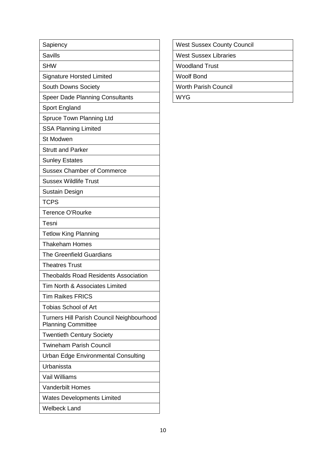| Sapiency                                                               |
|------------------------------------------------------------------------|
| <b>Savills</b>                                                         |
| <b>SHW</b>                                                             |
| <b>Signature Horsted Limited</b>                                       |
| South Downs Society                                                    |
| <b>Speer Dade Planning Consultants</b>                                 |
| Sport England                                                          |
| <b>Spruce Town Planning Ltd</b>                                        |
| <b>SSA Planning Limited</b>                                            |
| <b>St Modwen</b>                                                       |
| <b>Strutt and Parker</b>                                               |
| <b>Sunley Estates</b>                                                  |
| <b>Sussex Chamber of Commerce</b>                                      |
| <b>Sussex Wildlife Trust</b>                                           |
| <b>Sustain Design</b>                                                  |
| <b>TCPS</b>                                                            |
| <b>Terence O'Rourke</b>                                                |
| Tesni                                                                  |
| <b>Tetlow King Planning</b>                                            |
| <b>Thakeham Homes</b>                                                  |
| <b>The Greenfield Guardians</b>                                        |
| <b>Theatres Trust</b>                                                  |
| <b>Theobalds Road Residents Association</b>                            |
| Tim North & Associates Limited                                         |
| <b>Tim Raikes FRICS</b>                                                |
| <b>Tobias School of Art</b>                                            |
| Turners Hill Parish Council Neighbourhood<br><b>Planning Committee</b> |
| <b>Twentieth Century Society</b>                                       |
| <b>Twineham Parish Council</b>                                         |
| Urban Edge Environmental Consulting                                    |
| Urbanissta                                                             |
| <b>Vail Williams</b>                                                   |
| <b>Vanderbilt Homes</b>                                                |
| <b>Wates Developments Limited</b>                                      |
| <b>Welbeck Land</b>                                                    |

| <b>West Sussex County Council</b> |
|-----------------------------------|
|-----------------------------------|

West Sussex Libraries

Woodland Trust

Woolf Bond

Worth Parish Council

WYG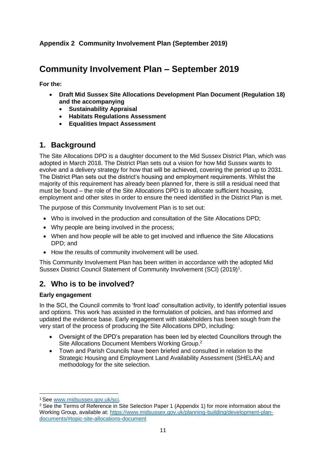## <span id="page-11-0"></span>**Community Involvement Plan – September 2019**

**For the:**

- **Draft Mid Sussex Site Allocations Development Plan Document (Regulation 18) and the accompanying**
	- **Sustainability Appraisal**
	- **Habitats Regulations Assessment**
	- **Equalities Impact Assessment**

## **1. Background**

The Site Allocations DPD is a daughter document to the Mid Sussex District Plan, which was adopted in March 2018. The District Plan sets out a vision for how Mid Sussex wants to evolve and a delivery strategy for how that will be achieved, covering the period up to 2031. The District Plan sets out the district's housing and employment requirements. Whilst the majority of this requirement has already been planned for, there is still a residual need that must be found – the role of the Site Allocations DPD is to allocate sufficient housing, employment and other sites in order to ensure the need identified in the District Plan is met.

The purpose of this Community Involvement Plan is to set out:

- Who is involved in the production and consultation of the Site Allocations DPD;
- Why people are being involved in the process;
- When and how people will be able to get involved and influence the Site Allocations DPD; and
- How the results of community involvement will be used.

This Community Involvement Plan has been written in accordance with the adopted Mid Sussex District Council Statement of Community Involvement (SCI) (2019)<sup>1</sup>.

## **2. Who is to be involved?**

#### **Early engagement**

In the SCI, the Council commits to 'front load' consultation activity, to identify potential issues and options. This work has assisted in the formulation of policies, and has informed and updated the evidence base. Early engagement with stakeholders has been sough from the very start of the process of producing the Site Allocations DPD, including:

- Oversight of the DPD's preparation has been led by elected Councillors through the Site Allocations Document Members Working Group.<sup>2</sup>
- Town and Parish Councils have been briefed and consulted in relation to the Strategic Housing and Employment Land Availability Assessment (SHELAA) and methodology for the site selection.

**<sup>.</sup>** <sup>1</sup> See [www.midsussex.gov.uk/sci.](http://www.midsussex.gov.uk/sci)

<sup>&</sup>lt;sup>2</sup> See the Terms of Reference in Site Selection Paper 1 (Appendix 1) for more information about the Working Group, available at: [https://www.midsussex.gov.uk/planning-building/development-plan](https://www.midsussex.gov.uk/planning-building/development-plan-documents/#topic-site-allocations-document)[documents/#topic-site-allocations-document](https://www.midsussex.gov.uk/planning-building/development-plan-documents/#topic-site-allocations-document)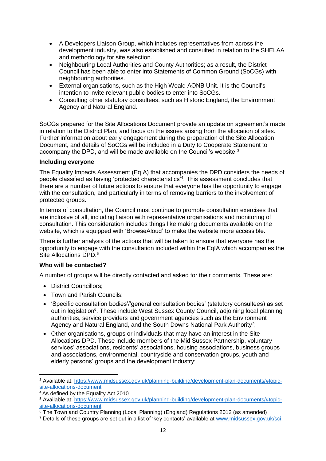- A Developers Liaison Group, which includes representatives from across the development industry, was also established and consulted in relation to the SHELAA and methodology for site selection.
- Neighbouring Local Authorities and County Authorities; as a result, the District Council has been able to enter into Statements of Common Ground (SoCGs) with neighbouring authorities.
- External organisations, such as the High Weald AONB Unit. It is the Council's intention to invite relevant public bodies to enter into SoCGs.
- Consulting other statutory consultees, such as Historic England, the Environment Agency and Natural England.

SoCGs prepared for the Site Allocations Document provide an update on agreement's made in relation to the District Plan, and focus on the issues arising from the allocation of sites. Further information about early engagement during the preparation of the Site Allocation Document, and details of SoCGs will be included in a Duty to Cooperate Statement to accompany the DPD, and will be made available on the Council's website.<sup>3</sup>

#### **Including everyone**

The Equality Impacts Assessment (EqIA) that accompanies the DPD considers the needs of people classified as having 'protected characteristics'<sup>4</sup>. This assessment concludes that there are a number of future actions to ensure that everyone has the opportunity to engage with the consultation, and particularly in terms of removing barriers to the involvement of protected groups.

In terms of consultation, the Council must continue to promote consultation exercises that are inclusive of all, including liaison with representative organisations and monitoring of consultation. This consideration includes things like making documents available on the website, which is equipped with 'BrowseAloud' to make the website more accessible.

There is further analysis of the actions that will be taken to ensure that everyone has the opportunity to engage with the consultation included within the EqIA which accompanies the Site Allocations DPD.<sup>5</sup>

#### **Who will be contacted?**

A number of groups will be directly contacted and asked for their comments. These are:

- District Councillors:
- Town and Parish Councils;
- Specific consultation bodies'/'general consultation bodies' (statutory consultees) as set out in legislation<sup>6</sup>. These include West Sussex County Council, adjoining local planning authorities, service providers and government agencies such as the Environment Agency and Natural England, and the South Downs National Park Authority<sup>7</sup>;
- Other organisations, groups or individuals that may have an interest in the Site Allocations DPD. These include members of the Mid Sussex Partnership, voluntary services' associations, residents' associations, housing associations, business groups and associations, environmental, countryside and conservation groups, youth and elderly persons' groups and the development industry;

**<sup>.</sup>** <sup>3</sup> Available at: [https://www.midsussex.gov.uk/planning-building/development-plan-documents/#topic](https://www.midsussex.gov.uk/planning-building/development-plan-documents/#topic-site-allocations-document)[site-allocations-document](https://www.midsussex.gov.uk/planning-building/development-plan-documents/#topic-site-allocations-document) 

 $4\overline{4}$  As defined by the Equality Act 2010

<sup>5</sup> Available at: [https://www.midsussex.gov.uk/planning-building/development-plan-documents/#topic](https://www.midsussex.gov.uk/planning-building/development-plan-documents/#topic-site-allocations-document)[site-allocations-document](https://www.midsussex.gov.uk/planning-building/development-plan-documents/#topic-site-allocations-document) 

 $6$  The Town and Country Planning (Local Planning) (England) Regulations 2012 (as amended)

<sup>7</sup> Details of these groups are set out in a list of 'key contacts' available at [www.midsussex.gov.uk/sci.](http://www.midsussex.gov.uk/sci)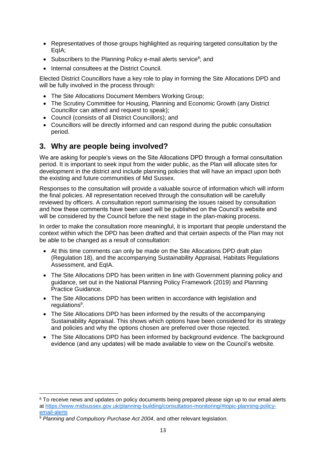- Representatives of those groups highlighted as requiring targeted consultation by the EqIA;
- Subscribers to the Planning Policy e-mail alerts service<sup>8</sup>; and
- Internal consultees at the District Council.

Elected District Councillors have a key role to play in forming the Site Allocations DPD and will be fully involved in the process through:

- The Site Allocations Document Members Working Group;
- The Scrutiny Committee for Housing, Planning and Economic Growth (any District Councillor can attend and request to speak);
- Council (consists of all District Councillors); and
- Councillors will be directly informed and can respond during the public consultation period.

## **3. Why are people being involved?**

We are asking for people's views on the Site Allocations DPD through a formal consultation period. It is important to seek input from the wider public, as the Plan will allocate sites for development in the district and include planning policies that will have an impact upon both the existing and future communities of Mid Sussex.

Responses to the consultation will provide a valuable source of information which will inform the final policies. All representation received through the consultation will be carefully reviewed by officers. A consultation report summarising the issues raised by consultation and how these comments have been used will be published on the Council's website and will be considered by the Council before the next stage in the plan-making process.

In order to make the consultation more meaningful, it is important that people understand the context within which the DPD has been drafted and that certain aspects of the Plan may not be able to be changed as a result of consultation:

- At this time comments can only be made on the Site Allocations DPD draft plan (Regulation 18), and the accompanying Sustainability Appraisal, Habitats Regulations Assessment, and EqIA.
- The Site Allocations DPD has been written in line with Government planning policy and guidance, set out in the National Planning Policy Framework (2019) and Planning Practice Guidance.
- The Site Allocations DPD has been written in accordance with legislation and regulations<sup>9</sup>.
- The Site Allocations DPD has been informed by the results of the accompanying Sustainability Appraisal. This shows which options have been considered for its strategy and policies and why the options chosen are preferred over those rejected.
- The Site Allocations DPD has been informed by background evidence. The background evidence (and any updates) will be made available to view on the Council's website.

**.** 

<sup>&</sup>lt;sup>8</sup> To receive news and updates on policy documents being prepared please sign up to our email alerts at [https://www.midsussex.gov.uk/planning-building/consultation-monitoring/#topic-planning-policy](https://www.midsussex.gov.uk/planning-building/consultation-monitoring/#topic-planning-policy-email-alerts)[email-alerts](https://www.midsussex.gov.uk/planning-building/consultation-monitoring/#topic-planning-policy-email-alerts) 

<sup>&</sup>lt;sup>9</sup> Planning and Compulsory Purchase Act 2004, and other relevant legislation.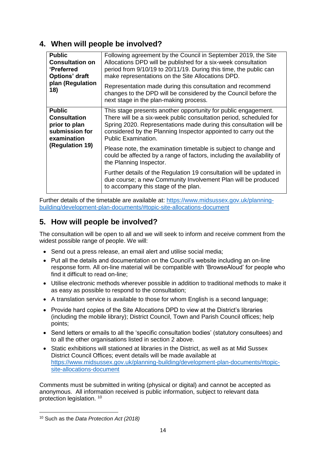## **4. When will people be involved?**

| <b>Public</b><br><b>Consultation on</b><br><b>'Preferred</b><br>Options' draft<br>plan (Regulation<br>18) | Following agreement by the Council in September 2019, the Site<br>Allocations DPD will be published for a six-week consultation<br>period from 9/10/19 to 20/11/19. During this time, the public can<br>make representations on the Site Allocations DPD.<br>Representation made during this consultation and recommend<br>changes to the DPD will be considered by the Council before the |
|-----------------------------------------------------------------------------------------------------------|--------------------------------------------------------------------------------------------------------------------------------------------------------------------------------------------------------------------------------------------------------------------------------------------------------------------------------------------------------------------------------------------|
|                                                                                                           | next stage in the plan-making process.                                                                                                                                                                                                                                                                                                                                                     |
| <b>Public</b><br><b>Consultation</b><br>prior to plan<br>submission for<br>examination                    | This stage presents another opportunity for public engagement.<br>There will be a six-week public consultation period, scheduled for<br>Spring 2020. Representations made during this consultation will be<br>considered by the Planning Inspector appointed to carry out the<br><b>Public Examination.</b>                                                                                |
| (Regulation 19)                                                                                           | Please note, the examination timetable is subject to change and<br>could be affected by a range of factors, including the availability of<br>the Planning Inspector.                                                                                                                                                                                                                       |
|                                                                                                           | Further details of the Regulation 19 consultation will be updated in<br>due course; a new Community Involvement Plan will be produced<br>to accompany this stage of the plan.                                                                                                                                                                                                              |

Further details of the timetable are available at: [https://www.midsussex.gov.uk/planning](https://www.midsussex.gov.uk/planning-building/development-plan-documents/#topic-site-allocations-document)[building/development-plan-documents/#topic-site-allocations-document](https://www.midsussex.gov.uk/planning-building/development-plan-documents/#topic-site-allocations-document)

## **5. How will people be involved?**

The consultation will be open to all and we will seek to inform and receive comment from the widest possible range of people. We will:

- Send out a press release, an email alert and utilise social media;
- Put all the details and documentation on the Council's website including an on-line response form. All on-line material will be compatible with 'BrowseAloud' for people who find it difficult to read on-line;
- Utilise electronic methods wherever possible in addition to traditional methods to make it as easy as possible to respond to the consultation;
- A translation service is available to those for whom English is a second language;
- Provide hard copies of the Site Allocations DPD to view at the District's libraries (including the mobile library); District Council, Town and Parish Council offices; help points;
- Send letters or emails to all the 'specific consultation bodies' (statutory consultees) and to all the other organisations listed in section 2 above.
- Static exhibitions will stationed at libraries in the District, as well as at Mid Sussex District Council Offices; event details will be made available at [https://www.midsussex.gov.uk/planning-building/development-plan-documents/#topic](https://www.midsussex.gov.uk/planning-building/development-plan-documents/#topic-site-allocations-document)[site-allocations-document](https://www.midsussex.gov.uk/planning-building/development-plan-documents/#topic-site-allocations-document)

Comments must be submitted in writing (physical or digital) and cannot be accepted as anonymous. All information received is public information, subject to relevant data protection legislation.<sup>10</sup>

**<sup>.</sup>** <sup>10</sup> Such as the *Data Protection Act (2018)*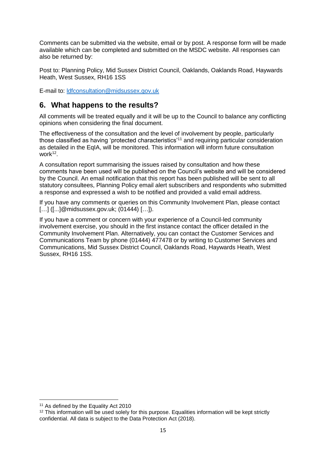Comments can be submitted via the website, email or by post. A response form will be made available which can be completed and submitted on the MSDC website. All responses can also be returned by:

Post to: Planning Policy, Mid Sussex District Council, Oaklands, Oaklands Road, Haywards Heath, West Sussex, RH16 1SS

E-mail to: [ldfconsultation@midsussex.gov.uk](mailto:ldfconsultation@midsussex.gov.uk)

## **6. What happens to the results?**

All comments will be treated equally and it will be up to the Council to balance any conflicting opinions when considering the final document.

The effectiveness of the consultation and the level of involvement by people, particularly those classified as having 'protected characteristics'<sup>11</sup> and requiring particular consideration as detailed in the EqIA, will be monitored. This information will inform future consultation work<sup>12</sup>.

A consultation report summarising the issues raised by consultation and how these comments have been used will be published on the Council's website and will be considered by the Council. An email notification that this report has been published will be sent to all statutory consultees, Planning Policy email alert subscribers and respondents who submitted a response and expressed a wish to be notified and provided a valid email address.

If you have any comments or queries on this Community Involvement Plan, please contact [...] ([...]@midsussex.gov.uk; (01444) [...]).

If you have a comment or concern with your experience of a Council-led community involvement exercise, you should in the first instance contact the officer detailed in the Community Involvement Plan. Alternatively, you can contact the Customer Services and Communications Team by phone (01444) 477478 or by writing to Customer Services and Communications, Mid Sussex District Council, Oaklands Road, Haywards Heath, West Sussex, RH16 1SS.

 $\overline{a}$ <sup>11</sup> As defined by the Equality Act 2010

<sup>&</sup>lt;sup>12</sup> This information will be used solely for this purpose. Equalities information will be kept strictly confidential. All data is subject to the Data Protection Act (2018).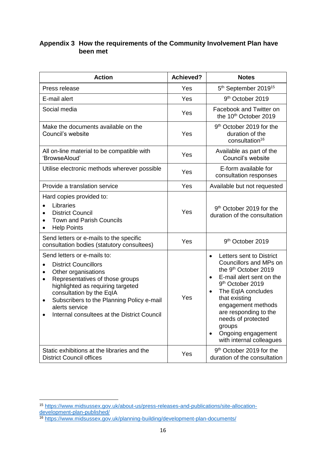### <span id="page-16-0"></span>**Appendix 3 How the requirements of the Community Involvement Plan have been met**

| <b>Action</b>                                                                                                                                                                                                                                                                                                                      | <b>Achieved?</b> | <b>Notes</b>                                                                                                                                                                                                                                                                                                                            |
|------------------------------------------------------------------------------------------------------------------------------------------------------------------------------------------------------------------------------------------------------------------------------------------------------------------------------------|------------------|-----------------------------------------------------------------------------------------------------------------------------------------------------------------------------------------------------------------------------------------------------------------------------------------------------------------------------------------|
| Press release                                                                                                                                                                                                                                                                                                                      | Yes              | 5th September 2019 <sup>15</sup>                                                                                                                                                                                                                                                                                                        |
| E-mail alert                                                                                                                                                                                                                                                                                                                       | Yes              | 9 <sup>th</sup> October 2019                                                                                                                                                                                                                                                                                                            |
| Social media                                                                                                                                                                                                                                                                                                                       | Yes              | Facebook and Twitter on<br>the 10 <sup>th</sup> October 2019                                                                                                                                                                                                                                                                            |
| Make the documents available on the<br>Council's website                                                                                                                                                                                                                                                                           | Yes              | 9 <sup>th</sup> October 2019 for the<br>duration of the<br>consultation <sup>16</sup>                                                                                                                                                                                                                                                   |
| All on-line material to be compatible with<br>'BrowseAloud'                                                                                                                                                                                                                                                                        | Yes              | Available as part of the<br>Council's website                                                                                                                                                                                                                                                                                           |
| Utilise electronic methods wherever possible                                                                                                                                                                                                                                                                                       | Yes              | E-form available for<br>consultation responses                                                                                                                                                                                                                                                                                          |
| Provide a translation service                                                                                                                                                                                                                                                                                                      | Yes              | Available but not requested                                                                                                                                                                                                                                                                                                             |
| Hard copies provided to:<br>Libraries<br><b>District Council</b><br><b>Town and Parish Councils</b><br><b>Help Points</b>                                                                                                                                                                                                          | Yes              | 9 <sup>th</sup> October 2019 for the<br>duration of the consultation                                                                                                                                                                                                                                                                    |
| Send letters or e-mails to the specific<br>consultation bodies (statutory consultees)                                                                                                                                                                                                                                              | Yes              | 9 <sup>th</sup> October 2019                                                                                                                                                                                                                                                                                                            |
| Send letters or e-mails to:<br><b>District Councillors</b><br>٠<br>Other organisations<br>Representatives of those groups<br>$\bullet$<br>highlighted as requiring targeted<br>consultation by the EqIA<br>Subscribers to the Planning Policy e-mail<br>$\bullet$<br>alerts service<br>Internal consultees at the District Council | Yes              | Letters sent to District<br>Councillors and MPs on<br>the 9 <sup>th</sup> October 2019<br>E-mail alert sent on the<br>$\bullet$<br>9 <sup>th</sup> October 2019<br>The EqIA concludes<br>that existing<br>engagement methods<br>are responding to the<br>needs of protected<br>groups<br>Ongoing engagement<br>with internal colleagues |
| Static exhibitions at the libraries and the<br><b>District Council offices</b>                                                                                                                                                                                                                                                     | Yes              | 9 <sup>th</sup> October 2019 for the<br>duration of the consultation                                                                                                                                                                                                                                                                    |

 $\overline{a}$ 

<sup>15</sup> [https://www.midsussex.gov.uk/about-us/press-releases-and-publications/site-allocation](https://www.midsussex.gov.uk/about-us/press-releases-and-publications/site-allocation-development-plan-published/)[development-plan-published/](https://www.midsussex.gov.uk/about-us/press-releases-and-publications/site-allocation-development-plan-published/)

<sup>16</sup> <https://www.midsussex.gov.uk/planning-building/development-plan-documents/>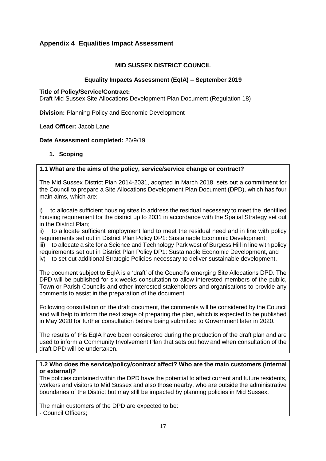#### <span id="page-17-0"></span>**Appendix 4 Equalities Impact Assessment**

#### **MID SUSSEX DISTRICT COUNCIL**

#### **Equality Impacts Assessment (EqIA) – September 2019**

#### **Title of Policy/Service/Contract:**

Draft Mid Sussex Site Allocations Development Plan Document (Regulation 18)

**Division:** Planning Policy and Economic Development

#### **Lead Officer:** Jacob Lane

#### **Date Assessment completed:** 26/9/19

#### **1. Scoping**

#### **1.1 What are the aims of the policy, service/service change or contract?**

The Mid Sussex District Plan 2014-2031, adopted in March 2018, sets out a commitment for the Council to prepare a Site Allocations Development Plan Document (DPD), which has four main aims, which are:

i) to allocate sufficient housing sites to address the residual necessary to meet the identified housing requirement for the district up to 2031 in accordance with the Spatial Strategy set out in the District Plan;

ii) to allocate sufficient employment land to meet the residual need and in line with policy requirements set out in District Plan Policy DP1: Sustainable Economic Development;

iii) to allocate a site for a Science and Technology Park west of Burgess Hill in line with policy requirements set out in District Plan Policy DP1: Sustainable Economic Development, and iv) to set out additional Strategic Policies necessary to deliver sustainable development.

The document subject to EqIA is a 'draft' of the Council's emerging Site Allocations DPD. The DPD will be published for six weeks consultation to allow interested members of the public, Town or Parish Councils and other interested stakeholders and organisations to provide any comments to assist in the preparation of the document.

Following consultation on the draft document, the comments will be considered by the Council and will help to inform the next stage of preparing the plan, which is expected to be published in May 2020 for further consultation before being submitted to Government later in 2020.

The results of this EqIA have been considered during the production of the draft plan and are used to inform a Community Involvement Plan that sets out how and when consultation of the draft DPD will be undertaken.

#### **1.2 Who does the service/policy/contract affect? Who are the main customers (internal or external)?**

The policies contained within the DPD have the potential to affect current and future residents, workers and visitors to Mid Sussex and also those nearby, who are outside the administrative boundaries of the District but may still be impacted by planning policies in Mid Sussex.

The main customers of the DPD are expected to be: - Council Officers;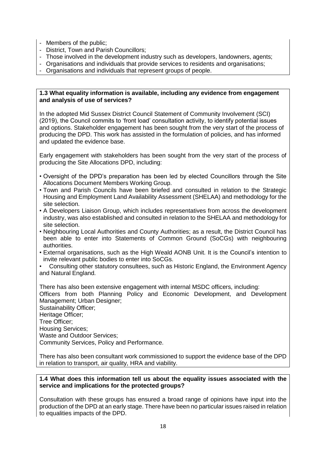- Members of the public;
- District, Town and Parish Councillors;
- Those involved in the development industry such as developers, landowners, agents;
- Organisations and individuals that provide services to residents and organisations;
- Organisations and individuals that represent groups of people.

#### **1.3 What equality information is available, including any evidence from engagement and analysis of use of services?**

In the adopted Mid Sussex District Council Statement of Community Involvement (SCI) (2019), the Council commits to 'front load' consultation activity, to identify potential issues and options. Stakeholder engagement has been sought from the very start of the process of producing the DPD. This work has assisted in the formulation of policies, and has informed and updated the evidence base.

Early engagement with stakeholders has been sought from the very start of the process of producing the Site Allocations DPD, including:

- Oversight of the DPD's preparation has been led by elected Councillors through the Site Allocations Document Members Working Group.
- Town and Parish Councils have been briefed and consulted in relation to the Strategic Housing and Employment Land Availability Assessment (SHELAA) and methodology for the site selection.
- A Developers Liaison Group, which includes representatives from across the development industry, was also established and consulted in relation to the SHELAA and methodology for site selection.
- Neighbouring Local Authorities and County Authorities; as a result, the District Council has been able to enter into Statements of Common Ground (SoCGs) with neighbouring authorities.
- External organisations, such as the High Weald AONB Unit. It is the Council's intention to invite relevant public bodies to enter into SoCGs.
- Consulting other statutory consultees, such as Historic England, the Environment Agency and Natural England.

There has also been extensive engagement with internal MSDC officers, including: Officers from both Planning Policy and Economic Development, and Development Management; Urban Designer; Sustainability Officer; Heritage Officer; Tree Officer; Housing Services; Waste and Outdoor Services; Community Services, Policy and Performance.

There has also been consultant work commissioned to support the evidence base of the DPD in relation to transport, air quality, HRA and viability.

#### **1.4 What does this information tell us about the equality issues associated with the service and implications for the protected groups?**

Consultation with these groups has ensured a broad range of opinions have input into the production of the DPD at an early stage. There have been no particular issues raised in relation to equalities impacts of the DPD.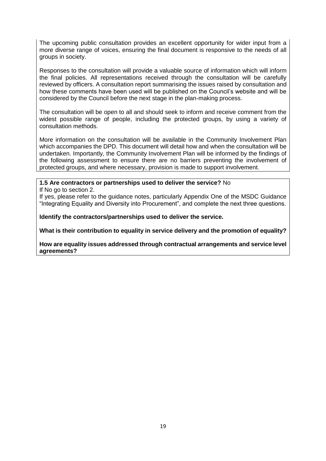The upcoming public consultation provides an excellent opportunity for wider input from a more diverse range of voices, ensuring the final document is responsive to the needs of all groups in society.

Responses to the consultation will provide a valuable source of information which will inform the final policies. All representations received through the consultation will be carefully reviewed by officers. A consultation report summarising the issues raised by consultation and how these comments have been used will be published on the Council's website and will be considered by the Council before the next stage in the plan-making process.

The consultation will be open to all and should seek to inform and receive comment from the widest possible range of people, including the protected groups, by using a variety of consultation methods.

More information on the consultation will be available in the Community Involvement Plan which accompanies the DPD. This document will detail how and when the consultation will be undertaken. Importantly, the Community Involvement Plan will be informed by the findings of the following assessment to ensure there are no barriers preventing the involvement of protected groups, and where necessary, provision is made to support involvement.

#### **1.5 Are contractors or partnerships used to deliver the service?** No

If No go to section 2.

If yes, please refer to the guidance notes, particularly Appendix One of the MSDC Guidance "Integrating Equality and Diversity into Procurement", and complete the next three questions.

**Identify the contractors/partnerships used to deliver the service.**

**What is their contribution to equality in service delivery and the promotion of equality?**

**How are equality issues addressed through contractual arrangements and service level agreements?**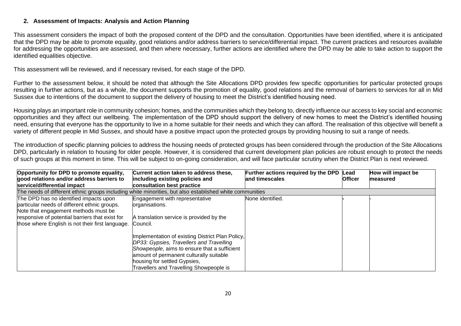#### **2. Assessment of Impacts: Analysis and Action Planning**

This assessment considers the impact of both the proposed content of the DPD and the consultation. Opportunities have been identified, where it is anticipated that the DPD may be able to promote equality, good relations and/or address barriers to service/differential impact. The current practices and resources available for addressing the opportunities are assessed, and then where necessary, further actions are identified where the DPD may be able to take action to support the identified equalities objective.

This assessment will be reviewed, and if necessary revised, for each stage of the DPD.

Further to the assessment below, it should be noted that although the Site Allocations DPD provides few specific opportunities for particular protected groups resulting in further actions, but as a whole, the document supports the promotion of equality, good relations and the removal of barriers to services for all in Mid Sussex due to intentions of the document to support the delivery of housing to meet the District's identified housing need.

Housing plays an important role in community cohesion; homes, and the communities which they belong to, directly influence our access to key social and economic opportunities and they affect our wellbeing. The implementation of the DPD should support the delivery of new homes to meet the District's identified housing need, ensuring that everyone has the opportunity to live in a home suitable for their needs and which they can afford. The realisation of this objective will benefit a variety of different people in Mid Sussex, and should have a positive impact upon the protected groups by providing housing to suit a range of needs.

The introduction of specific planning policies to address the housing needs of protected groups has been considered through the production of the Site Allocations DPD, particularly in relation to housing for older people. However, it is considered that current development plan policies are robust enough to protect the needs of such groups at this moment in time. This will be subject to on-going consideration, and will face particular scrutiny when the District Plan is next reviewed.

| Opportunity for DPD to promote equality,<br>good relations and/or address barriers to<br>service/differential impact           | Current action taken to address these,<br>including existing policies and<br>consultation best practice                                                                                                                                                            | Further actions required by the DPD Lead<br>and timescales | <b>Officer</b> | How will impact be<br>measured |
|--------------------------------------------------------------------------------------------------------------------------------|--------------------------------------------------------------------------------------------------------------------------------------------------------------------------------------------------------------------------------------------------------------------|------------------------------------------------------------|----------------|--------------------------------|
| The needs of different ethnic groups including white minorities, but also established white communities                        |                                                                                                                                                                                                                                                                    |                                                            |                |                                |
| The DPD has no identified impacts upon<br>particular needs of different ethnic groups.<br>Note that engagement methods must be | Engagement with representative<br>organisations.                                                                                                                                                                                                                   | None identified.                                           |                |                                |
| responsive of potential barriers that exist for<br>those where English is not their first language.                            | A translation service is provided by the<br>Council.                                                                                                                                                                                                               |                                                            |                |                                |
|                                                                                                                                | Implementation of existing District Plan Policy,<br>DP33: Gypsies, Travellers and Travelling<br>Showpeople, aims to ensure that a sufficient<br>amount of permanent culturally suitable<br>housing for settled Gypsies,<br>Travellers and Travelling Showpeople is |                                                            |                |                                |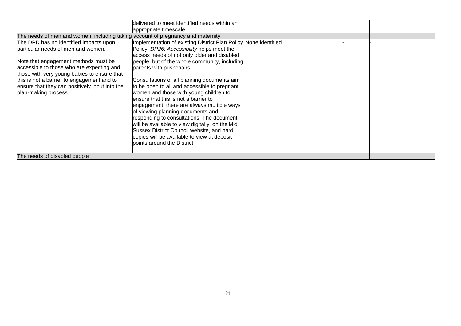|                                                                                 | delivered to meet identified needs within an                     |  |  |
|---------------------------------------------------------------------------------|------------------------------------------------------------------|--|--|
|                                                                                 | appropriate timescale.                                           |  |  |
| The needs of men and women, including taking account of pregnancy and maternity |                                                                  |  |  |
| The DPD has no identified impacts upon                                          | Implementation of existing District Plan Policy None identified. |  |  |
| particular needs of men and women.                                              | Policy, DP26: Accessibility helps meet the                       |  |  |
|                                                                                 | access needs of not only older and disabled                      |  |  |
| Note that engagement methods must be                                            | people, but of the whole community, including                    |  |  |
| accessible to those who are expecting and                                       | parents with pushchairs.                                         |  |  |
| those with very young babies to ensure that                                     |                                                                  |  |  |
| this is not a barrier to engagement and to                                      | Consultations of all planning documents aim                      |  |  |
| ensure that they can positively input into the                                  | to be open to all and accessible to pregnant                     |  |  |
| plan-making process.                                                            | women and those with young children to                           |  |  |
|                                                                                 | ensure that this is not a barrier to                             |  |  |
|                                                                                 | engagement; there are always multiple ways                       |  |  |
|                                                                                 | of viewing planning documents and                                |  |  |
|                                                                                 | responding to consultations. The document                        |  |  |
|                                                                                 | will be available to view digitally, on the Mid                  |  |  |
|                                                                                 | Sussex District Council website, and hard                        |  |  |
|                                                                                 | copies will be available to view at deposit                      |  |  |
|                                                                                 | points around the District.                                      |  |  |
|                                                                                 |                                                                  |  |  |
| The needs of disabled people                                                    |                                                                  |  |  |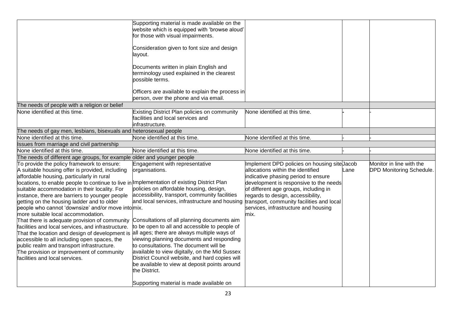|                                                                                            | Supporting material is made available on the                                             |                                              |      |                                 |
|--------------------------------------------------------------------------------------------|------------------------------------------------------------------------------------------|----------------------------------------------|------|---------------------------------|
|                                                                                            | website which is equipped with 'browse aloud'                                            |                                              |      |                                 |
|                                                                                            | for those with visual impairments.                                                       |                                              |      |                                 |
|                                                                                            | Consideration given to font size and design                                              |                                              |      |                                 |
|                                                                                            | layout.                                                                                  |                                              |      |                                 |
|                                                                                            |                                                                                          |                                              |      |                                 |
|                                                                                            | Documents written in plain English and                                                   |                                              |      |                                 |
|                                                                                            | terminology used explained in the clearest                                               |                                              |      |                                 |
|                                                                                            | possible terms.                                                                          |                                              |      |                                 |
|                                                                                            |                                                                                          |                                              |      |                                 |
|                                                                                            | Officers are available to explain the process in                                         |                                              |      |                                 |
|                                                                                            | person, over the phone and via email.                                                    |                                              |      |                                 |
| The needs of people with a religion or belief                                              |                                                                                          |                                              |      |                                 |
| None identified at this time.                                                              | Existing District Plan policies on community                                             | None identified at this time.                |      |                                 |
|                                                                                            | facilities and local services and                                                        |                                              |      |                                 |
|                                                                                            | infrastructure.                                                                          |                                              |      |                                 |
| The needs of gay men, lesbians, bisexuals and heterosexual people                          |                                                                                          |                                              |      |                                 |
| None identified at this time.                                                              | None identified at this time.                                                            | None identified at this time.                |      |                                 |
| Issues from marriage and civil partnership                                                 |                                                                                          |                                              |      |                                 |
| None identified at this time.                                                              | None identified at this time.                                                            | None identified at this time.                |      |                                 |
| The needs of different age groups, for example older and younger people                    |                                                                                          |                                              |      |                                 |
| To provide the policy framework to ensure:                                                 | Engagement with representative                                                           | Implement DPD policies on housing site Jacob |      | Monitor in line with the        |
| A suitable housing offer is provided, including                                            | organisations.                                                                           | allocations within the identified            | Lane | <b>DPD Monitoring Schedule.</b> |
| affordable housing, particularly in rural                                                  |                                                                                          | indicative phasing period to ensure          |      |                                 |
| locations, to enable people to continue to live in mplementation of existing District Plan |                                                                                          | development is responsive to the needs       |      |                                 |
| suitable accommodation in their locality. For                                              | policies on affordable housing, design,                                                  | of different age groups, including in        |      |                                 |
| instance, there are barriers to younger people                                             | accessibility, transport, community facilities                                           | regards to design, accessibility,            |      |                                 |
| getting on the housing ladder and to older                                                 | and local services, infrastructure and housing transport, community facilities and local |                                              |      |                                 |
| people who cannot 'downsize' and/or move into mix.                                         |                                                                                          | services, infrastructure and housing         |      |                                 |
| more suitable local accommodation.                                                         |                                                                                          | mix.                                         |      |                                 |
| That there is adequate provision of community                                              | Consultations of all planning documents aim                                              |                                              |      |                                 |
| facilities and local services, and infrastructure.                                         | to be open to all and accessible to people of                                            |                                              |      |                                 |
| That the location and design of development is all ages; there are always multiple ways of | viewing planning documents and responding                                                |                                              |      |                                 |
| accessible to all including open spaces, the                                               | to consultations. The document will be                                                   |                                              |      |                                 |
| public realm and transport infrastructure.<br>The provision or improvement of community    | available to view digitally, on the Mid Sussex                                           |                                              |      |                                 |
| facilities and local services.                                                             | District Council website, and hard copies will                                           |                                              |      |                                 |
|                                                                                            | be available to view at deposit points around                                            |                                              |      |                                 |
|                                                                                            | the District.                                                                            |                                              |      |                                 |
|                                                                                            |                                                                                          |                                              |      |                                 |
|                                                                                            | Supporting material is made available on                                                 |                                              |      |                                 |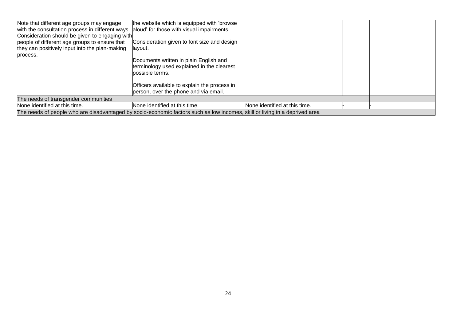| Note that different age groups may engage<br>with the consultation process in different ways.<br>Consideration should be given to engaging with<br>people of different age groups to ensure that<br>they can positively input into the plan-making<br>process. | the website which is equipped with 'browse<br>aloud' for those with visual impairments.<br>Consideration given to font size and design<br>layout.<br>Documents written in plain English and<br>terminology used explained in the clearest<br>possible terms.<br>Officers available to explain the process in<br>person, over the phone and via email. |                               |  |  |  |
|----------------------------------------------------------------------------------------------------------------------------------------------------------------------------------------------------------------------------------------------------------------|-------------------------------------------------------------------------------------------------------------------------------------------------------------------------------------------------------------------------------------------------------------------------------------------------------------------------------------------------------|-------------------------------|--|--|--|
| The needs of transgender communities                                                                                                                                                                                                                           |                                                                                                                                                                                                                                                                                                                                                       |                               |  |  |  |
| None identified at this time.                                                                                                                                                                                                                                  | None identified at this time.                                                                                                                                                                                                                                                                                                                         | None identified at this time. |  |  |  |
| The needs of people who are disadvantaged by socio-economic factors such as low incomes, skill or living in a deprived area                                                                                                                                    |                                                                                                                                                                                                                                                                                                                                                       |                               |  |  |  |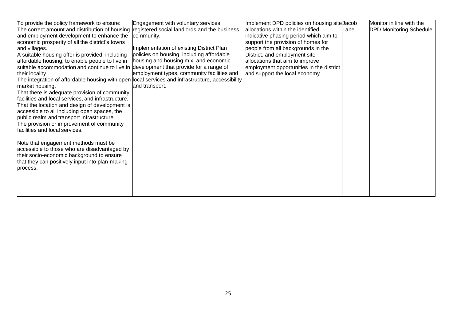| To provide the policy framework to ensure:                                                       | Engagement with voluntary services,        | Implement DPD policies on housing site Jacob |      | Monitor in line with the        |
|--------------------------------------------------------------------------------------------------|--------------------------------------------|----------------------------------------------|------|---------------------------------|
| The correct amount and distribution of housing registered social landlords and the business      |                                            | allocations within the identified            | Lane | <b>DPD Monitoring Schedule.</b> |
| and employment development to enhance the                                                        | community.                                 | indicative phasing period which aim to       |      |                                 |
| economic prosperity of all the district's towns                                                  |                                            | support the provision of homes for           |      |                                 |
| and villages.                                                                                    | Implementation of existing District Plan   | people from all backgrounds in the           |      |                                 |
| A suitable housing offer is provided, including                                                  | policies on housing, including affordable  | District, and employment site                |      |                                 |
| affordable housing, to enable people to live in                                                  | housing and housing mix, and economic      | allocations that aim to improve              |      |                                 |
| suitable accommodation and continue to live in development that provide for a range of           |                                            | employment opportunities in the district     |      |                                 |
| their locality.                                                                                  | employment types, community facilities and | and support the local economy.               |      |                                 |
| The integration of affordable housing with open local services and infrastructure, accessibility |                                            |                                              |      |                                 |
| market housing.                                                                                  | and transport.                             |                                              |      |                                 |
| That there is adequate provision of community                                                    |                                            |                                              |      |                                 |
| facilities and local services, and infrastructure.                                               |                                            |                                              |      |                                 |
| That the location and design of development is                                                   |                                            |                                              |      |                                 |
| accessible to all including open spaces, the                                                     |                                            |                                              |      |                                 |
| public realm and transport infrastructure.                                                       |                                            |                                              |      |                                 |
| The provision or improvement of community                                                        |                                            |                                              |      |                                 |
| facilities and local services.                                                                   |                                            |                                              |      |                                 |
|                                                                                                  |                                            |                                              |      |                                 |
| Note that engagement methods must be                                                             |                                            |                                              |      |                                 |
| accessible to those who are disadvantaged by                                                     |                                            |                                              |      |                                 |
| their socio-economic background to ensure                                                        |                                            |                                              |      |                                 |
| that they can positively input into plan-making                                                  |                                            |                                              |      |                                 |
| process.                                                                                         |                                            |                                              |      |                                 |
|                                                                                                  |                                            |                                              |      |                                 |
|                                                                                                  |                                            |                                              |      |                                 |
|                                                                                                  |                                            |                                              |      |                                 |
|                                                                                                  |                                            |                                              |      |                                 |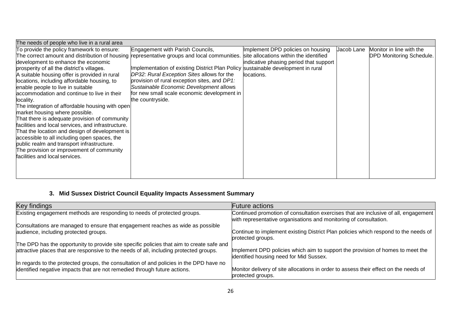| The needs of people who live in a rural area                                                                                       |                                                                                  |                                        |            |                                 |
|------------------------------------------------------------------------------------------------------------------------------------|----------------------------------------------------------------------------------|----------------------------------------|------------|---------------------------------|
| To provide the policy framework to ensure:                                                                                         | Engagement with Parish Councils,                                                 | Implement DPD policies on housing      | Jacob Lane | Monitor in line with the        |
| The correct amount and distribution of housing representative groups and local communities. site allocations within the identified |                                                                                  |                                        |            | <b>DPD Monitoring Schedule.</b> |
| development to enhance the economic                                                                                                |                                                                                  | indicative phasing period that support |            |                                 |
| prosperity of all the district's villages.                                                                                         | Implementation of existing District Plan Policy sustainable development in rural |                                        |            |                                 |
| A suitable housing offer is provided in rural                                                                                      | DP32: Rural Exception Sites allows for the                                       | llocations.                            |            |                                 |
| locations, including affordable housing, to                                                                                        | provision of rural exception sites, and DP1:                                     |                                        |            |                                 |
| enable people to live in suitable                                                                                                  | Sustainable Economic Development allows                                          |                                        |            |                                 |
| accommodation and continue to live in their                                                                                        | for new small scale economic development in                                      |                                        |            |                                 |
| locality.                                                                                                                          | the countryside.                                                                 |                                        |            |                                 |
| The integration of affordable housing with open                                                                                    |                                                                                  |                                        |            |                                 |
| market housing where possible.                                                                                                     |                                                                                  |                                        |            |                                 |
| That there is adequate provision of community                                                                                      |                                                                                  |                                        |            |                                 |
| facilities and local services, and infrastructure.                                                                                 |                                                                                  |                                        |            |                                 |
| That the location and design of development is                                                                                     |                                                                                  |                                        |            |                                 |
| accessible to all including open spaces, the                                                                                       |                                                                                  |                                        |            |                                 |
| public realm and transport infrastructure.                                                                                         |                                                                                  |                                        |            |                                 |
| The provision or improvement of community                                                                                          |                                                                                  |                                        |            |                                 |
| facilities and local services.                                                                                                     |                                                                                  |                                        |            |                                 |
|                                                                                                                                    |                                                                                  |                                        |            |                                 |
|                                                                                                                                    |                                                                                  |                                        |            |                                 |
|                                                                                                                                    |                                                                                  |                                        |            |                                 |

## **3. Mid Sussex District Council Equality Impacts Assessment Summary**

| Key findings                                                                              | <b>Future</b> actions                                                                                                                                    |
|-------------------------------------------------------------------------------------------|----------------------------------------------------------------------------------------------------------------------------------------------------------|
| Existing engagement methods are responding to needs of protected groups.                  | Continued promotion of consultation exercises that are inclusive of all, engagement<br>with representative organisations and monitoring of consultation. |
| Consultations are managed to ensure that engagement reaches as wide as possible           |                                                                                                                                                          |
| audience, including protected groups.                                                     | Continue to implement existing District Plan policies which respond to the needs of<br>protected groups.                                                 |
| The DPD has the opportunity to provide site specific policies that aim to create safe and |                                                                                                                                                          |
| attractive places that are responsive to the needs of all, including protected groups.    | Implement DPD policies which aim to support the provision of homes to meet the<br>identified housing need for Mid Sussex.                                |
| In regards to the protected groups, the consultation of and policies in the DPD have no   |                                                                                                                                                          |
| identified negative impacts that are not remedied through future actions.                 | Monitor delivery of site allocations in order to assess their effect on the needs of<br>protected groups.                                                |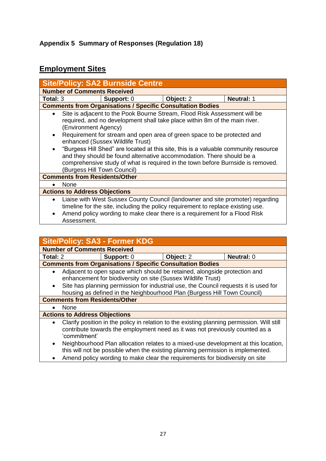## <span id="page-27-0"></span>**Employment Sites**

|                                     |                                                                                                                                                                                                                                                                                                                                                                                                                                                                | <b>Site/Policy: SA2 Burnside Centre</b> |                                                                                                                                                                |                                                                                 |  |  |  |
|-------------------------------------|----------------------------------------------------------------------------------------------------------------------------------------------------------------------------------------------------------------------------------------------------------------------------------------------------------------------------------------------------------------------------------------------------------------------------------------------------------------|-----------------------------------------|----------------------------------------------------------------------------------------------------------------------------------------------------------------|---------------------------------------------------------------------------------|--|--|--|
|                                     | <b>Number of Comments Received</b>                                                                                                                                                                                                                                                                                                                                                                                                                             |                                         |                                                                                                                                                                |                                                                                 |  |  |  |
| Total: 3                            |                                                                                                                                                                                                                                                                                                                                                                                                                                                                | Support: 0                              | Object: 2                                                                                                                                                      | <b>Neutral: 1</b>                                                               |  |  |  |
|                                     | <b>Comments from Organisations / Specific Consultation Bodies</b>                                                                                                                                                                                                                                                                                                                                                                                              |                                         |                                                                                                                                                                |                                                                                 |  |  |  |
| $\bullet$<br>$\bullet$<br>$\bullet$ | Site is adjacent to the Pook Bourne Stream, Flood Risk Assessment will be<br>required, and no development shall take place within 8m of the main river.<br>(Environment Agency)<br>Requirement for stream and open area of green space to be protected and<br>enhanced (Sussex Wildlife Trust)<br>"Burgess Hill Shed" are located at this site, this is a valuable community resource<br>and they should be found alternative accommodation. There should be a |                                         |                                                                                                                                                                |                                                                                 |  |  |  |
|                                     | (Burgess Hill Town Council)                                                                                                                                                                                                                                                                                                                                                                                                                                    |                                         |                                                                                                                                                                | comprehensive study of what is required in the town before Burnside is removed. |  |  |  |
|                                     | <b>Comments from Residents/Other</b>                                                                                                                                                                                                                                                                                                                                                                                                                           |                                         |                                                                                                                                                                |                                                                                 |  |  |  |
|                                     | None                                                                                                                                                                                                                                                                                                                                                                                                                                                           |                                         |                                                                                                                                                                |                                                                                 |  |  |  |
|                                     | <b>Actions to Address Objections</b>                                                                                                                                                                                                                                                                                                                                                                                                                           |                                         |                                                                                                                                                                |                                                                                 |  |  |  |
| $\bullet$<br>$\bullet$              | Assessment.                                                                                                                                                                                                                                                                                                                                                                                                                                                    |                                         | timeline for the site, including the policy requirement to replace existing use.<br>Amend policy wording to make clear there is a requirement for a Flood Risk | Liaise with West Sussex County Council (landowner and site promoter) regarding  |  |  |  |

|           | <b>Site/Policy: SA3 - Former KDG</b>                                                                                                                                                                                                                  |           |                   |
|-----------|-------------------------------------------------------------------------------------------------------------------------------------------------------------------------------------------------------------------------------------------------------|-----------|-------------------|
|           | <b>Number of Comments Received</b>                                                                                                                                                                                                                    |           |                   |
| Total: 2  | Support: 0                                                                                                                                                                                                                                            | Object: 2 | <b>Neutral: 0</b> |
|           | <b>Comments from Organisations / Specific Consultation Bodies</b>                                                                                                                                                                                     |           |                   |
| $\bullet$ | Adjacent to open space which should be retained, alongside protection and<br>enhancement for biodiversity on site (Sussex Wildlife Trust)                                                                                                             |           |                   |
| $\bullet$ | Site has planning permission for industrial use, the Council requests it is used for<br>housing as defined in the Neighbourhood Plan (Burgess Hill Town Council)                                                                                      |           |                   |
|           | <b>Comments from Residents/Other</b>                                                                                                                                                                                                                  |           |                   |
| $\bullet$ | <b>None</b>                                                                                                                                                                                                                                           |           |                   |
|           | <b>Actions to Address Objections</b>                                                                                                                                                                                                                  |           |                   |
| $\bullet$ | Clarify position in the policy in relation to the existing planning permission. Will still<br>contribute towards the employment need as it was not previously counted as a<br>'commitment'                                                            |           |                   |
| $\bullet$ | Neighbourhood Plan allocation relates to a mixed-use development at this location,<br>this will not be possible when the existing planning permission is implemented.<br>Amend policy wording to make clear the requirements for biodiversity on site |           |                   |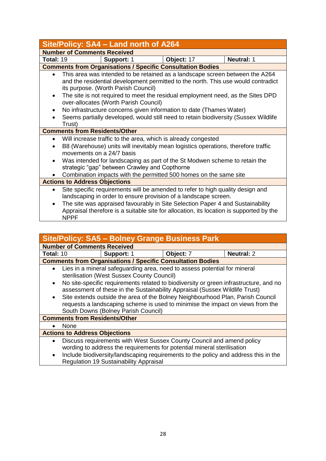| Site/Policy: SA4 - Land north of A264                                                                                                                                                                                                                                                                                                                                                                                                              |                   |                                                                   |                                                                                     |  |  |  |
|----------------------------------------------------------------------------------------------------------------------------------------------------------------------------------------------------------------------------------------------------------------------------------------------------------------------------------------------------------------------------------------------------------------------------------------------------|-------------------|-------------------------------------------------------------------|-------------------------------------------------------------------------------------|--|--|--|
| <b>Number of Comments Received</b>                                                                                                                                                                                                                                                                                                                                                                                                                 |                   |                                                                   |                                                                                     |  |  |  |
| <b>Total: 19</b>                                                                                                                                                                                                                                                                                                                                                                                                                                   | <b>Support: 1</b> | Object: 17                                                        | <b>Neutral: 1</b>                                                                   |  |  |  |
|                                                                                                                                                                                                                                                                                                                                                                                                                                                    |                   | <b>Comments from Organisations / Specific Consultation Bodies</b> |                                                                                     |  |  |  |
| This area was intended to be retained as a landscape screen between the A264<br>$\bullet$<br>and the residential development permitted to the north. This use would contradict<br>its purpose. (Worth Parish Council)<br>The site is not required to meet the residual employment need, as the Sites DPD<br>$\bullet$<br>over-allocates (Worth Parish Council)<br>No infrastructure concerns given information to date (Thames Water)<br>$\bullet$ |                   |                                                                   |                                                                                     |  |  |  |
| Trust)                                                                                                                                                                                                                                                                                                                                                                                                                                             |                   |                                                                   | Seems partially developed, would still need to retain biodiversity (Sussex Wildlife |  |  |  |
| <b>Comments from Residents/Other</b>                                                                                                                                                                                                                                                                                                                                                                                                               |                   |                                                                   |                                                                                     |  |  |  |
| Will increase traffic to the area, which is already congested<br>$\bullet$<br>B8 (Warehouse) units will inevitably mean logistics operations, therefore traffic<br>movements on a 24/7 basis<br>Was intended for landscaping as part of the St Modwen scheme to retain the<br>$\bullet$<br>strategic "gap" between Crawley and Copthorne                                                                                                           |                   |                                                                   |                                                                                     |  |  |  |
|                                                                                                                                                                                                                                                                                                                                                                                                                                                    |                   | Combination impacts with the permitted 500 homes on the same site |                                                                                     |  |  |  |
| <b>Actions to Address Objections</b>                                                                                                                                                                                                                                                                                                                                                                                                               |                   |                                                                   |                                                                                     |  |  |  |
| Site specific requirements will be amended to refer to high quality design and<br>$\bullet$<br>landscaping in order to ensure provision of a landscape screen.<br>The site was appraised favourably in Site Selection Paper 4 and Sustainability<br>$\bullet$<br>Appraisal therefore is a suitable site for allocation, its location is supported by the<br><b>NPPF</b>                                                                            |                   |                                                                   |                                                                                     |  |  |  |
|                                                                                                                                                                                                                                                                                                                                                                                                                                                    |                   |                                                                   |                                                                                     |  |  |  |

| Site/Policy: SA5 - Bolney Grange Business Park |                                                                                                                                                                                                                                                                                                                                                                                   |           |                   |  |  |  |  |
|------------------------------------------------|-----------------------------------------------------------------------------------------------------------------------------------------------------------------------------------------------------------------------------------------------------------------------------------------------------------------------------------------------------------------------------------|-----------|-------------------|--|--|--|--|
|                                                | <b>Number of Comments Received</b>                                                                                                                                                                                                                                                                                                                                                |           |                   |  |  |  |  |
| Total: 10                                      | Support: 1                                                                                                                                                                                                                                                                                                                                                                        | Object: 7 | <b>Neutral: 2</b> |  |  |  |  |
|                                                | <b>Comments from Organisations / Specific Consultation Bodies</b>                                                                                                                                                                                                                                                                                                                 |           |                   |  |  |  |  |
| $\bullet$<br>$\bullet$<br>$\bullet$            | Lies in a mineral safeguarding area, need to assess potential for mineral<br>sterilisation (West Sussex County Council)<br>No site-specific requirements related to biodiversity or green infrastructure, and no<br>assessment of these in the Sustainability Appraisal (Sussex Wildlife Trust)<br>Site extends outside the area of the Bolney Neighbourhood Plan, Parish Council |           |                   |  |  |  |  |
|                                                | requests a landscaping scheme is used to minimise the impact on views from the<br>South Downs (Bolney Parish Council)                                                                                                                                                                                                                                                             |           |                   |  |  |  |  |
|                                                | <b>Comments from Residents/Other</b>                                                                                                                                                                                                                                                                                                                                              |           |                   |  |  |  |  |
|                                                | None                                                                                                                                                                                                                                                                                                                                                                              |           |                   |  |  |  |  |
| <b>Actions to Address Objections</b>           |                                                                                                                                                                                                                                                                                                                                                                                   |           |                   |  |  |  |  |
| $\bullet$                                      | Discuss requirements with West Sussex County Council and amend policy<br>wording to address the requirements for potential mineral sterilisation                                                                                                                                                                                                                                  |           |                   |  |  |  |  |

• Include biodiversity/landscaping requirements to the policy and address this in the Regulation 19 Sustainability Appraisal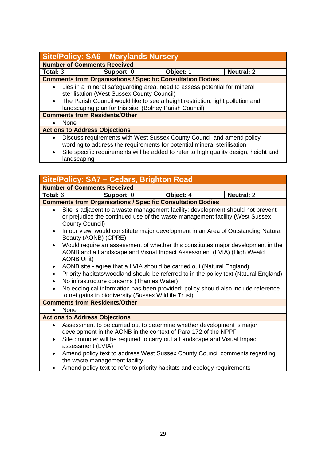### **Site/Policy: SA6 – Marylands Nursery**

**Number of Comments Received Total:** 3 **Support:** 0 **Object:** 1 **Neutral:** 2 **Comments from Organisations / Specific Consultation Bodies** • Lies in a mineral safeguarding area, need to assess potential for mineral sterilisation (West Sussex County Council) • The Parish Council would like to see a height restriction, light pollution and landscaping plan for this site. (Bolney Parish Council)

**Comments from Residents/Other**

None

#### **Actions to Address Objections**

- Discuss requirements with West Sussex County Council and amend policy wording to address the requirements for potential mineral sterilisation
- Site specific requirements will be added to refer to high quality design, height and landscaping

| <b>Site/Policy: SA7 - Cedars, Brighton Road</b>                                                                                                                                            |                                                                                                                                                                                    |           |                   |  |
|--------------------------------------------------------------------------------------------------------------------------------------------------------------------------------------------|------------------------------------------------------------------------------------------------------------------------------------------------------------------------------------|-----------|-------------------|--|
| <b>Number of Comments Received</b>                                                                                                                                                         |                                                                                                                                                                                    |           |                   |  |
| Total: 6                                                                                                                                                                                   | Support: 0                                                                                                                                                                         | Object: 4 | <b>Neutral: 2</b> |  |
|                                                                                                                                                                                            | <b>Comments from Organisations / Specific Consultation Bodies</b>                                                                                                                  |           |                   |  |
| $\bullet$                                                                                                                                                                                  | Site is adjacent to a waste management facility; development should not prevent<br>or prejudice the continued use of the waste management facility (West Sussex<br>County Council) |           |                   |  |
| In our view, would constitute major development in an Area of Outstanding Natural<br>$\bullet$<br>Beauty (AONB) (CPRE)                                                                     |                                                                                                                                                                                    |           |                   |  |
| Would require an assessment of whether this constitutes major development in the<br>$\bullet$<br>AONB and a Landscape and Visual Impact Assessment (LVIA) (High Weald<br><b>AONB Unit)</b> |                                                                                                                                                                                    |           |                   |  |
| $\bullet$                                                                                                                                                                                  | AONB site - agree that a LVIA should be carried out (Natural England)                                                                                                              |           |                   |  |
| $\bullet$                                                                                                                                                                                  | Priority habitats/woodland should be referred to in the policy text (Natural England)                                                                                              |           |                   |  |
| $\bullet$                                                                                                                                                                                  | No infrastructure concerns (Thames Water)                                                                                                                                          |           |                   |  |
| $\bullet$                                                                                                                                                                                  | No ecological information has been provided; policy should also include reference<br>to net gains in biodiversity (Sussex Wildlife Trust)                                          |           |                   |  |
| <b>Comments from Residents/Other</b>                                                                                                                                                       |                                                                                                                                                                                    |           |                   |  |
|                                                                                                                                                                                            | None                                                                                                                                                                               |           |                   |  |
|                                                                                                                                                                                            | <b>Actions to Address Objections</b>                                                                                                                                               |           |                   |  |
| $\bullet$                                                                                                                                                                                  | Assessment to be carried out to determine whether development is major<br>development in the AONB in the context of Para 172 of the NPPF                                           |           |                   |  |
| $\bullet$                                                                                                                                                                                  | Site promoter will be required to carry out a Landscape and Visual Impact<br>assessment (LVIA)                                                                                     |           |                   |  |
| $\bullet$                                                                                                                                                                                  | Amend policy text to address West Sussex County Council comments regarding<br>the waste management facility.                                                                       |           |                   |  |
|                                                                                                                                                                                            | Amend policy text to refer to priority habitats and ecology requirements                                                                                                           |           |                   |  |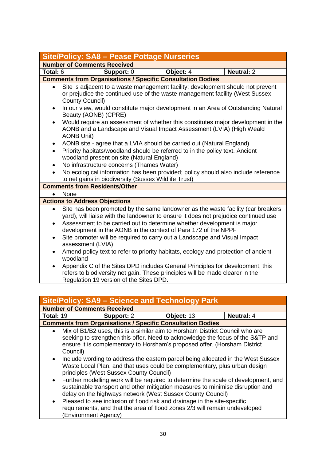| <b>Site/Policy: SA8 - Pease Pottage Nurseries</b> |                                                                                                                                                                                                                                                                                                                     |                                                                       |           |                                                                                                                                                                |  |
|---------------------------------------------------|---------------------------------------------------------------------------------------------------------------------------------------------------------------------------------------------------------------------------------------------------------------------------------------------------------------------|-----------------------------------------------------------------------|-----------|----------------------------------------------------------------------------------------------------------------------------------------------------------------|--|
|                                                   | <b>Number of Comments Received</b>                                                                                                                                                                                                                                                                                  |                                                                       |           |                                                                                                                                                                |  |
| Total: 6                                          |                                                                                                                                                                                                                                                                                                                     | Support: 0                                                            | Object: 4 | <b>Neutral: 2</b>                                                                                                                                              |  |
|                                                   |                                                                                                                                                                                                                                                                                                                     | <b>Comments from Organisations / Specific Consultation Bodies</b>     |           |                                                                                                                                                                |  |
| $\bullet$                                         | Site is adjacent to a waste management facility; development should not prevent<br>or prejudice the continued use of the waste management facility (West Sussex<br><b>County Council)</b>                                                                                                                           |                                                                       |           |                                                                                                                                                                |  |
| $\bullet$                                         | In our view, would constitute major development in an Area of Outstanding Natural<br>Beauty (AONB) (CPRE)                                                                                                                                                                                                           |                                                                       |           |                                                                                                                                                                |  |
| $\bullet$                                         | Would require an assessment of whether this constitutes major development in the<br>AONB and a Landscape and Visual Impact Assessment (LVIA) (High Weald<br><b>AONB Unit)</b>                                                                                                                                       |                                                                       |           |                                                                                                                                                                |  |
| $\bullet$                                         |                                                                                                                                                                                                                                                                                                                     | AONB site - agree that a LVIA should be carried out (Natural England) |           |                                                                                                                                                                |  |
| $\bullet$                                         | Priority habitats/woodland should be referred to in the policy text. Ancient<br>woodland present on site (Natural England)                                                                                                                                                                                          |                                                                       |           |                                                                                                                                                                |  |
| $\bullet$                                         | No infrastructure concerns (Thames Water)                                                                                                                                                                                                                                                                           |                                                                       |           |                                                                                                                                                                |  |
|                                                   | No ecological information has been provided; policy should also include reference<br>to net gains in biodiversity (Sussex Wildlife Trust)                                                                                                                                                                           |                                                                       |           |                                                                                                                                                                |  |
|                                                   | <b>Comments from Residents/Other</b>                                                                                                                                                                                                                                                                                |                                                                       |           |                                                                                                                                                                |  |
|                                                   | None                                                                                                                                                                                                                                                                                                                |                                                                       |           |                                                                                                                                                                |  |
| <b>Actions to Address Objections</b>              |                                                                                                                                                                                                                                                                                                                     |                                                                       |           |                                                                                                                                                                |  |
| $\bullet$<br>$\bullet$                            | Site has been promoted by the same landowner as the waste facility (car breakers<br>yard), will liaise with the landowner to ensure it does not prejudice continued use<br>Assessment to be carried out to determine whether development is major<br>development in the AONB in the context of Para 172 of the NPPF |                                                                       |           |                                                                                                                                                                |  |
| $\bullet$                                         | Site promoter will be required to carry out a Landscape and Visual Impact<br>assessment (LVIA)                                                                                                                                                                                                                      |                                                                       |           |                                                                                                                                                                |  |
| $\bullet$                                         | Amend policy text to refer to priority habitats, ecology and protection of ancient<br>woodland                                                                                                                                                                                                                      |                                                                       |           |                                                                                                                                                                |  |
| $\bullet$                                         |                                                                                                                                                                                                                                                                                                                     | Regulation 19 version of the Sites DPD.                               |           | Appendix C of the Sites DPD includes General Principles for development, this<br>refers to biodiversity net gain. These principles will be made clearer in the |  |

| <b>Site/Policy: SA9 - Science and Technology Park</b>                                                                                                                                                                                                                 |                                                                                                                                                                                                                                    |            |                   |  |
|-----------------------------------------------------------------------------------------------------------------------------------------------------------------------------------------------------------------------------------------------------------------------|------------------------------------------------------------------------------------------------------------------------------------------------------------------------------------------------------------------------------------|------------|-------------------|--|
| <b>Number of Comments Received</b>                                                                                                                                                                                                                                    |                                                                                                                                                                                                                                    |            |                   |  |
| Total: 19                                                                                                                                                                                                                                                             | Support: 2                                                                                                                                                                                                                         | Object: 13 | <b>Neutral: 4</b> |  |
|                                                                                                                                                                                                                                                                       | <b>Comments from Organisations / Specific Consultation Bodies</b>                                                                                                                                                                  |            |                   |  |
| Mix of B1/B2 uses, this is a similar aim to Horsham District Council who are<br>$\bullet$<br>seeking to strengthen this offer. Need to acknowledge the focus of the S&TP and<br>ensure it is complementary to Horsham's proposed offer. (Horsham District<br>Council) |                                                                                                                                                                                                                                    |            |                   |  |
| Include wording to address the eastern parcel being allocated in the West Sussex<br>$\bullet$<br>Waste Local Plan, and that uses could be complementary, plus urban design<br>principles (West Sussex County Council)                                                 |                                                                                                                                                                                                                                    |            |                   |  |
| $\bullet$                                                                                                                                                                                                                                                             | Further modelling work will be required to determine the scale of development, and<br>sustainable transport and other mitigation measures to minimise disruption and<br>delay on the highways network (West Sussex County Council) |            |                   |  |
| $\bullet$                                                                                                                                                                                                                                                             | Pleased to see inclusion of flood risk and drainage in the site-specific<br>requirements, and that the area of flood zones 2/3 will remain undeveloped<br>(Environment Agency)                                                     |            |                   |  |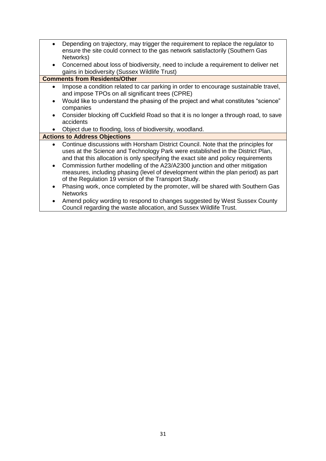- Depending on trajectory, may trigger the requirement to replace the regulator to ensure the site could connect to the gas network satisfactorily (Southern Gas Networks)
- Concerned about loss of biodiversity, need to include a requirement to deliver net gains in biodiversity (Sussex Wildlife Trust)

#### **Comments from Residents/Other**

- Impose a condition related to car parking in order to encourage sustainable travel, and impose TPOs on all significant trees (CPRE)
- Would like to understand the phasing of the project and what constitutes "science" companies
- Consider blocking off Cuckfield Road so that it is no longer a through road, to save accidents
- Object due to flooding, loss of biodiversity, woodland.

#### **Actions to Address Objections**

- Continue discussions with Horsham District Council. Note that the principles for uses at the Science and Technology Park were established in the District Plan, and that this allocation is only specifying the exact site and policy requirements
- Commission further modelling of the A23/A2300 junction and other mitigation measures, including phasing (level of development within the plan period) as part of the Regulation 19 version of the Transport Study.
- Phasing work, once completed by the promoter, will be shared with Southern Gas **Networks**
- Amend policy wording to respond to changes suggested by West Sussex County Council regarding the waste allocation, and Sussex Wildlife Trust.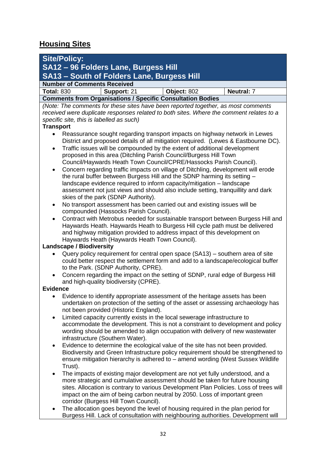## **Housing Sites**

| <b>Site/Policy:</b>                                                                                                                                                   |                                                                                            |             |                   |  |  |
|-----------------------------------------------------------------------------------------------------------------------------------------------------------------------|--------------------------------------------------------------------------------------------|-------------|-------------------|--|--|
| SA12 - 96 Folders Lane, Burgess Hill                                                                                                                                  |                                                                                            |             |                   |  |  |
|                                                                                                                                                                       | <b>SA13 - South of Folders Lane, Burgess Hill</b>                                          |             |                   |  |  |
| <b>Number of Comments Received</b>                                                                                                                                    |                                                                                            |             |                   |  |  |
| <b>Total: 830</b>                                                                                                                                                     | Support: 21                                                                                | Object: 802 | <b>Neutral: 7</b> |  |  |
|                                                                                                                                                                       | <b>Comments from Organisations / Specific Consultation Bodies</b>                          |             |                   |  |  |
|                                                                                                                                                                       | (Note: The comments for these sites have been reported together, as most comments          |             |                   |  |  |
|                                                                                                                                                                       | received were duplicate responses related to both sites. Where the comment relates to a    |             |                   |  |  |
|                                                                                                                                                                       | specific site, this is labelled as such)                                                   |             |                   |  |  |
| <b>Transport</b>                                                                                                                                                      | Reassurance sought regarding transport impacts on highway network in Lewes                 |             |                   |  |  |
|                                                                                                                                                                       | District and proposed details of all mitigation required. (Lewes & Eastbourne DC).         |             |                   |  |  |
| $\bullet$                                                                                                                                                             | Traffic issues will be compounded by the extent of additional development                  |             |                   |  |  |
|                                                                                                                                                                       | proposed in this area (Ditchling Parish Council/Burgess Hill Town                          |             |                   |  |  |
|                                                                                                                                                                       | Council/Haywards Heath Town Council/CPRE/Hassocks Parish Council).                         |             |                   |  |  |
| $\bullet$                                                                                                                                                             | Concern regarding traffic impacts on village of Ditchling, development will erode          |             |                   |  |  |
|                                                                                                                                                                       | the rural buffer between Burgess Hill and the SDNP harming its setting -                   |             |                   |  |  |
|                                                                                                                                                                       | landscape evidence required to inform capacity/mitigation - landscape                      |             |                   |  |  |
|                                                                                                                                                                       | assessment not just views and should also include setting, tranquillity and dark           |             |                   |  |  |
|                                                                                                                                                                       | skies of the park (SDNP Authority).                                                        |             |                   |  |  |
| $\bullet$                                                                                                                                                             | No transport assessment has been carried out and existing issues will be                   |             |                   |  |  |
|                                                                                                                                                                       | compounded (Hassocks Parish Council).                                                      |             |                   |  |  |
| $\bullet$                                                                                                                                                             | Contract with Metrobus needed for sustainable transport between Burgess Hill and           |             |                   |  |  |
|                                                                                                                                                                       | Haywards Heath. Haywards Heath to Burgess Hill cycle path must be delivered                |             |                   |  |  |
|                                                                                                                                                                       | and highway mitigation provided to address impact of this development on                   |             |                   |  |  |
|                                                                                                                                                                       | Haywards Heath (Haywards Heath Town Council).<br><b>Landscape / Biodiversity</b>           |             |                   |  |  |
| $\bullet$                                                                                                                                                             | Query policy requirement for central open space (SA13) – southern area of site             |             |                   |  |  |
|                                                                                                                                                                       | could better respect the settlement form and add to a landscape/ecological buffer          |             |                   |  |  |
|                                                                                                                                                                       | to the Park. (SDNP Authority, CPRE).                                                       |             |                   |  |  |
|                                                                                                                                                                       | Concern regarding the impact on the setting of SDNP, rural edge of Burgess Hill            |             |                   |  |  |
|                                                                                                                                                                       | and high-quality biodiversity (CPRE).                                                      |             |                   |  |  |
| <b>Evidence</b>                                                                                                                                                       |                                                                                            |             |                   |  |  |
|                                                                                                                                                                       | Evidence to identify appropriate assessment of the heritage assets has been                |             |                   |  |  |
|                                                                                                                                                                       | undertaken on protection of the setting of the asset or assessing archaeology has          |             |                   |  |  |
|                                                                                                                                                                       | not been provided (Historic England).                                                      |             |                   |  |  |
| $\bullet$                                                                                                                                                             | Limited capacity currently exists in the local sewerage infrastructure to                  |             |                   |  |  |
|                                                                                                                                                                       | accommodate the development. This is not a constraint to development and policy            |             |                   |  |  |
|                                                                                                                                                                       | wording should be amended to align occupation with delivery of new wastewater              |             |                   |  |  |
|                                                                                                                                                                       | infrastructure (Southern Water).                                                           |             |                   |  |  |
| $\bullet$                                                                                                                                                             | Evidence to determine the ecological value of the site has not been provided.              |             |                   |  |  |
|                                                                                                                                                                       | Biodiversity and Green Infrastructure policy requirement should be strengthened to         |             |                   |  |  |
|                                                                                                                                                                       | ensure mitigation hierarchy is adhered to - amend wording (West Sussex Wildlife<br>Trust). |             |                   |  |  |
| $\bullet$                                                                                                                                                             | The impacts of existing major development are not yet fully understood, and a              |             |                   |  |  |
|                                                                                                                                                                       |                                                                                            |             |                   |  |  |
| more strategic and cumulative assessment should be taken for future housing<br>sites. Allocation is contrary to various Development Plan Policies. Loss of trees will |                                                                                            |             |                   |  |  |
| impact on the aim of being carbon neutral by 2050. Loss of important green                                                                                            |                                                                                            |             |                   |  |  |
|                                                                                                                                                                       | corridor (Burgess Hill Town Council).                                                      |             |                   |  |  |
| $\bullet$                                                                                                                                                             | The allocation goes beyond the level of housing required in the plan period for            |             |                   |  |  |
|                                                                                                                                                                       | Burgess Hill. Lack of consultation with neighbouring authorities. Development will         |             |                   |  |  |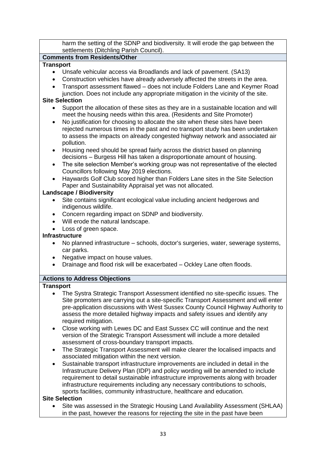harm the setting of the SDNP and biodiversity. It will erode the gap between the settlements (Ditchling Parish Council).

#### **Comments from Residents/Other**

#### **Transport**

- Unsafe vehicular access via Broadlands and lack of pavement. (SA13)
- Construction vehicles have already adversely affected the streets in the area.
- Transport assessment flawed does not include Folders Lane and Keymer Road junction. Does not include any appropriate mitigation in the vicinity of the site.

#### **Site Selection**

- Support the allocation of these sites as they are in a sustainable location and will meet the housing needs within this area. (Residents and Site Promoter)
- No justification for choosing to allocate the site when these sites have been rejected numerous times in the past and no transport study has been undertaken to assess the impacts on already congested highway network and associated air pollution.
- Housing need should be spread fairly across the district based on planning decisions – Burgess Hill has taken a disproportionate amount of housing.
- The site selection Member's working group was not representative of the elected Councillors following May 2019 elections.
- Haywards Golf Club scored higher than Folders Lane sites in the Site Selection Paper and Sustainability Appraisal yet was not allocated.

#### **Landscape / Biodiversity**

- Site contains significant ecological value including ancient hedgerows and indigenous wildlife.
- Concern regarding impact on SDNP and biodiversity.
- Will erode the natural landscape.
- Loss of green space.

#### **Infrastructure**

- No planned infrastructure schools, doctor's surgeries, water, sewerage systems, car parks.
- Negative impact on house values.
- Drainage and flood risk will be exacerbated Ockley Lane often floods.

#### **Actions to Address Objections**

#### **Transport**

- The Systra Strategic Transport Assessment identified no site-specific issues. The Site promoters are carrying out a site-specific Transport Assessment and will enter pre-application discussions with West Sussex County Council Highway Authority to assess the more detailed highway impacts and safety issues and identify any required mitigation.
- Close working with Lewes DC and East Sussex CC will continue and the next version of the Strategic Transport Assessment will include a more detailed assessment of cross-boundary transport impacts.
- The Strategic Transport Assessment will make clearer the localised impacts and associated mitigation within the next version.
- Sustainable transport infrastructure improvements are included in detail in the Infrastructure Delivery Plan (IDP) and policy wording will be amended to include requirement to detail sustainable infrastructure improvements along with broader infrastructure requirements including any necessary contributions to schools, sports facilities, community infrastructure, healthcare and education.

#### **Site Selection**

• Site was assessed in the Strategic Housing Land Availability Assessment (SHLAA) in the past, however the reasons for rejecting the site in the past have been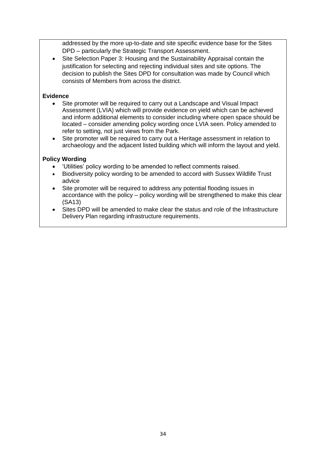addressed by the more up-to-date and site specific evidence base for the Sites DPD – particularly the Strategic Transport Assessment.

• Site Selection Paper 3: Housing and the Sustainability Appraisal contain the justification for selecting and rejecting individual sites and site options. The decision to publish the Sites DPD for consultation was made by Council which consists of Members from across the district.

#### **Evidence**

- Site promoter will be required to carry out a Landscape and Visual Impact Assessment (LVIA) which will provide evidence on yield which can be achieved and inform additional elements to consider including where open space should be located – consider amending policy wording once LVIA seen. Policy amended to refer to setting, not just views from the Park.
- Site promoter will be required to carry out a Heritage assessment in relation to archaeology and the adjacent listed building which will inform the layout and yield.

#### **Policy Wording**

- 'Utilities' policy wording to be amended to reflect comments raised.
- Biodiversity policy wording to be amended to accord with Sussex Wildlife Trust advice
- Site promoter will be required to address any potential flooding issues in accordance with the policy – policy wording will be strengthened to make this clear (SA13)
- Sites DPD will be amended to make clear the status and role of the Infrastructure Delivery Plan regarding infrastructure requirements.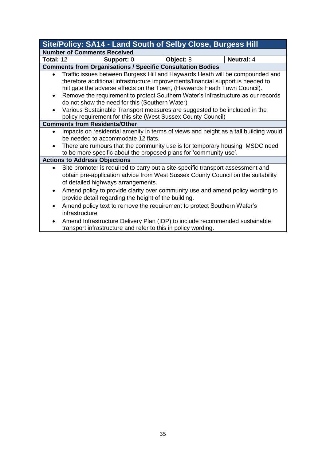|                                                                                                                                                                                                                                                                                                                                                                                                                                                                                            |                                                                                                                                                                                                                                                                                             |            | Site/Policy: SA14 - Land South of Selby Close, Burgess Hill       |                                                                             |
|--------------------------------------------------------------------------------------------------------------------------------------------------------------------------------------------------------------------------------------------------------------------------------------------------------------------------------------------------------------------------------------------------------------------------------------------------------------------------------------------|---------------------------------------------------------------------------------------------------------------------------------------------------------------------------------------------------------------------------------------------------------------------------------------------|------------|-------------------------------------------------------------------|-----------------------------------------------------------------------------|
| <b>Number of Comments Received</b>                                                                                                                                                                                                                                                                                                                                                                                                                                                         |                                                                                                                                                                                                                                                                                             |            |                                                                   |                                                                             |
| <b>Total: 12</b>                                                                                                                                                                                                                                                                                                                                                                                                                                                                           |                                                                                                                                                                                                                                                                                             | Support: 0 | Object: 8                                                         | <b>Neutral: 4</b>                                                           |
|                                                                                                                                                                                                                                                                                                                                                                                                                                                                                            |                                                                                                                                                                                                                                                                                             |            | <b>Comments from Organisations / Specific Consultation Bodies</b> |                                                                             |
| Traffic issues between Burgess Hill and Haywards Heath will be compounded and<br>therefore additional infrastructure improvements/financial support is needed to<br>mitigate the adverse effects on the Town, (Haywards Heath Town Council).<br>Remove the requirement to protect Southern Water's infrastructure as our records<br>$\bullet$<br>do not show the need for this (Southern Water)<br>Various Sustainable Transport measures are suggested to be included in the<br>$\bullet$ |                                                                                                                                                                                                                                                                                             |            |                                                                   |                                                                             |
| policy requirement for this site (West Sussex County Council)<br><b>Comments from Residents/Other</b>                                                                                                                                                                                                                                                                                                                                                                                      |                                                                                                                                                                                                                                                                                             |            |                                                                   |                                                                             |
|                                                                                                                                                                                                                                                                                                                                                                                                                                                                                            | Impacts on residential amenity in terms of views and height as a tall building would<br>be needed to accommodate 12 flats.<br>There are rumours that the community use is for temporary housing. MSDC need<br>to be more specific about the proposed plans for 'community use'.             |            |                                                                   |                                                                             |
| <b>Actions to Address Objections</b>                                                                                                                                                                                                                                                                                                                                                                                                                                                       |                                                                                                                                                                                                                                                                                             |            |                                                                   |                                                                             |
| $\bullet$                                                                                                                                                                                                                                                                                                                                                                                                                                                                                  | Site promoter is required to carry out a site-specific transport assessment and<br>obtain pre-application advice from West Sussex County Council on the suitability<br>of detailed highways arrangements.<br>Amend policy to provide clarity over community use and amend policy wording to |            |                                                                   |                                                                             |
| $\bullet$                                                                                                                                                                                                                                                                                                                                                                                                                                                                                  | provide detail regarding the height of the building.<br>Amend policy text to remove the requirement to protect Southern Water's<br>infrastructure                                                                                                                                           |            |                                                                   |                                                                             |
| $\bullet$                                                                                                                                                                                                                                                                                                                                                                                                                                                                                  |                                                                                                                                                                                                                                                                                             |            | transport infrastructure and refer to this in policy wording.     | Amend Infrastructure Delivery Plan (IDP) to include recommended sustainable |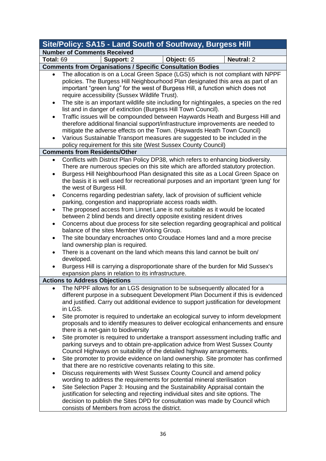|                        | Site/Policy: SA15 - Land South of Southway, Burgess Hill                                                                                                                                                                                                                                                                                                                                                                                              |            |                                                                                                                                                                                                                                                             |  |  |
|------------------------|-------------------------------------------------------------------------------------------------------------------------------------------------------------------------------------------------------------------------------------------------------------------------------------------------------------------------------------------------------------------------------------------------------------------------------------------------------|------------|-------------------------------------------------------------------------------------------------------------------------------------------------------------------------------------------------------------------------------------------------------------|--|--|
|                        | <b>Number of Comments Received</b>                                                                                                                                                                                                                                                                                                                                                                                                                    |            |                                                                                                                                                                                                                                                             |  |  |
| <b>Total: 69</b>       | Support: 2                                                                                                                                                                                                                                                                                                                                                                                                                                            | Object: 65 | <b>Neutral: 2</b>                                                                                                                                                                                                                                           |  |  |
|                        | <b>Comments from Organisations / Specific Consultation Bodies</b>                                                                                                                                                                                                                                                                                                                                                                                     |            |                                                                                                                                                                                                                                                             |  |  |
|                        | The allocation is on a Local Green Space (LGS) which is not compliant with NPPF<br>policies. The Burgess Hill Neighbourhood Plan designated this area as part of an<br>important "green lung" for the west of Burgess Hill, a function which does not<br>require accessibility (Sussex Wildlife Trust).                                                                                                                                               |            |                                                                                                                                                                                                                                                             |  |  |
| $\bullet$              | list and in danger of extinction (Burgess Hill Town Council).                                                                                                                                                                                                                                                                                                                                                                                         |            | The site is an important wildlife site including for nightingales, a species on the red                                                                                                                                                                     |  |  |
| $\bullet$<br>$\bullet$ | therefore additional financial support/infrastructure improvements are needed to<br>mitigate the adverse effects on the Town. (Haywards Heath Town Council)<br>Various Sustainable Transport measures are suggested to be included in the                                                                                                                                                                                                             |            | Traffic issues will be compounded between Haywards Heath and Burgess Hill and                                                                                                                                                                               |  |  |
|                        | policy requirement for this site (West Sussex County Council)                                                                                                                                                                                                                                                                                                                                                                                         |            |                                                                                                                                                                                                                                                             |  |  |
|                        | <b>Comments from Residents/Other</b>                                                                                                                                                                                                                                                                                                                                                                                                                  |            |                                                                                                                                                                                                                                                             |  |  |
| $\bullet$              | Conflicts with District Plan Policy DP38, which refers to enhancing biodiversity.<br>the west of Burgess Hill.                                                                                                                                                                                                                                                                                                                                        |            | There are numerous species on this site which are afforded statutory protection.<br>Burgess Hill Neighbourhood Plan designated this site as a Local Green Space on<br>the basis it is well used for recreational purposes and an important 'green lung' for |  |  |
| $\bullet$              | Concerns regarding pedestrian safety, lack of provision of sufficient vehicle<br>parking, congestion and inappropriate access roads width.                                                                                                                                                                                                                                                                                                            |            |                                                                                                                                                                                                                                                             |  |  |
| ٠                      | The proposed access from Linnet Lane is not suitable as it would be located<br>between 2 blind bends and directly opposite existing resident drives                                                                                                                                                                                                                                                                                                   |            |                                                                                                                                                                                                                                                             |  |  |
| $\bullet$              | balance of the sites Member Working Group.                                                                                                                                                                                                                                                                                                                                                                                                            |            | Concerns about due process for site selection regarding geographical and political                                                                                                                                                                          |  |  |
| $\bullet$              | The site boundary encroaches onto Croudace Homes land and a more precise<br>land ownership plan is required.                                                                                                                                                                                                                                                                                                                                          |            |                                                                                                                                                                                                                                                             |  |  |
|                        | There is a covenant on the land which means this land cannot be built on/<br>developed.                                                                                                                                                                                                                                                                                                                                                               |            |                                                                                                                                                                                                                                                             |  |  |
|                        | Burgess Hill is carrying a disproportionate share of the burden for Mid Sussex's<br>expansion plans in relation to its infrastructure.                                                                                                                                                                                                                                                                                                                |            |                                                                                                                                                                                                                                                             |  |  |
|                        | <b>Actions to Address Objections</b>                                                                                                                                                                                                                                                                                                                                                                                                                  |            |                                                                                                                                                                                                                                                             |  |  |
|                        | The NPPF allows for an LGS designation to be subsequently allocated for a<br>in LGS.                                                                                                                                                                                                                                                                                                                                                                  |            | different purpose in a subsequent Development Plan Document if this is evidenced<br>and justified. Carry out additional evidence to support justification for development                                                                                   |  |  |
| ٠                      | there is a net-gain to biodiversity                                                                                                                                                                                                                                                                                                                                                                                                                   |            | Site promoter is required to undertake an ecological survey to inform development<br>proposals and to identify measures to deliver ecological enhancements and ensure                                                                                       |  |  |
| ٠                      | parking surveys and to obtain pre-application advice from West Sussex County<br>Council Highways on suitability of the detailed highway arrangements.                                                                                                                                                                                                                                                                                                 |            | Site promoter is required to undertake a transport assessment including traffic and<br>Site promoter to provide evidence on land ownership. Site promoter has confirmed                                                                                     |  |  |
|                        | that there are no restrictive covenants relating to this site.                                                                                                                                                                                                                                                                                                                                                                                        |            |                                                                                                                                                                                                                                                             |  |  |
| $\bullet$<br>٠         | Discuss requirements with West Sussex County Council and amend policy<br>wording to address the requirements for potential mineral sterilisation<br>Site Selection Paper 3: Housing and the Sustainability Appraisal contain the<br>justification for selecting and rejecting individual sites and site options. The<br>decision to publish the Sites DPD for consultation was made by Council which<br>consists of Members from across the district. |            |                                                                                                                                                                                                                                                             |  |  |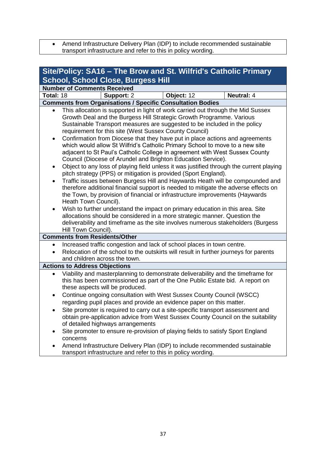• Amend Infrastructure Delivery Plan (IDP) to include recommended sustainable transport infrastructure and refer to this in policy wording.

| Site/Policy: SA16 - The Brow and St. Wilfrid's Catholic Primary |                                                                                                                                                                                                                                                                                                                                                                                                                                                                                                                                                                                                                                                                                                                                                                                                                                                                                                                                                                                                                                                                                                                                                                                                                                                                                                                                                                                     |            |                   |  |  |  |
|-----------------------------------------------------------------|-------------------------------------------------------------------------------------------------------------------------------------------------------------------------------------------------------------------------------------------------------------------------------------------------------------------------------------------------------------------------------------------------------------------------------------------------------------------------------------------------------------------------------------------------------------------------------------------------------------------------------------------------------------------------------------------------------------------------------------------------------------------------------------------------------------------------------------------------------------------------------------------------------------------------------------------------------------------------------------------------------------------------------------------------------------------------------------------------------------------------------------------------------------------------------------------------------------------------------------------------------------------------------------------------------------------------------------------------------------------------------------|------------|-------------------|--|--|--|
|                                                                 | <b>School, School Close, Burgess Hill</b>                                                                                                                                                                                                                                                                                                                                                                                                                                                                                                                                                                                                                                                                                                                                                                                                                                                                                                                                                                                                                                                                                                                                                                                                                                                                                                                                           |            |                   |  |  |  |
|                                                                 | <b>Number of Comments Received</b>                                                                                                                                                                                                                                                                                                                                                                                                                                                                                                                                                                                                                                                                                                                                                                                                                                                                                                                                                                                                                                                                                                                                                                                                                                                                                                                                                  |            |                   |  |  |  |
| Total: 18                                                       | Support: 2                                                                                                                                                                                                                                                                                                                                                                                                                                                                                                                                                                                                                                                                                                                                                                                                                                                                                                                                                                                                                                                                                                                                                                                                                                                                                                                                                                          | Object: 12 | <b>Neutral: 4</b> |  |  |  |
|                                                                 |                                                                                                                                                                                                                                                                                                                                                                                                                                                                                                                                                                                                                                                                                                                                                                                                                                                                                                                                                                                                                                                                                                                                                                                                                                                                                                                                                                                     |            |                   |  |  |  |
| $\bullet$<br>$\bullet$<br>$\bullet$                             | <b>Comments from Organisations / Specific Consultation Bodies</b><br>This allocation is supported in light of work carried out through the Mid Sussex<br>Growth Deal and the Burgess Hill Strategic Growth Programme. Various<br>Sustainable Transport measures are suggested to be included in the policy<br>requirement for this site (West Sussex County Council)<br>Confirmation from Diocese that they have put in place actions and agreements<br>which would allow St Wilfrid's Catholic Primary School to move to a new site<br>adjacent to St Paul's Catholic College in agreement with West Sussex County<br>Council (Diocese of Arundel and Brighton Education Service).<br>Object to any loss of playing field unless it was justified through the current playing<br>pitch strategy (PPS) or mitigation is provided (Sport England).<br>Traffic issues between Burgess Hill and Haywards Heath will be compounded and<br>therefore additional financial support is needed to mitigate the adverse effects on<br>the Town, by provision of financial or infrastructure improvements (Haywards<br>Heath Town Council).<br>Wish to further understand the impact on primary education in this area. Site<br>allocations should be considered in a more strategic manner. Question the<br>deliverability and timeframe as the site involves numerous stakeholders (Burgess |            |                   |  |  |  |
|                                                                 | Hill Town Council).<br><b>Comments from Residents/Other</b>                                                                                                                                                                                                                                                                                                                                                                                                                                                                                                                                                                                                                                                                                                                                                                                                                                                                                                                                                                                                                                                                                                                                                                                                                                                                                                                         |            |                   |  |  |  |
| $\bullet$                                                       | Increased traffic congestion and lack of school places in town centre.<br>Relocation of the school to the outskirts will result in further journeys for parents<br>and children across the town.                                                                                                                                                                                                                                                                                                                                                                                                                                                                                                                                                                                                                                                                                                                                                                                                                                                                                                                                                                                                                                                                                                                                                                                    |            |                   |  |  |  |
|                                                                 | <b>Actions to Address Objections</b>                                                                                                                                                                                                                                                                                                                                                                                                                                                                                                                                                                                                                                                                                                                                                                                                                                                                                                                                                                                                                                                                                                                                                                                                                                                                                                                                                |            |                   |  |  |  |
|                                                                 | Viability and masterplanning to demonstrate deliverability and the timeframe for<br>this has been commissioned as part of the One Public Estate bid. A report on<br>these aspects will be produced.                                                                                                                                                                                                                                                                                                                                                                                                                                                                                                                                                                                                                                                                                                                                                                                                                                                                                                                                                                                                                                                                                                                                                                                 |            |                   |  |  |  |
| $\bullet$<br>$\bullet$                                          | Continue ongoing consultation with West Sussex County Council (WSCC)<br>regarding pupil places and provide an evidence paper on this matter.<br>Site promoter is required to carry out a site-specific transport assessment and<br>obtain pre-application advice from West Sussex County Council on the suitability<br>of detailed highways arrangements<br>Site promoter to ensure re-provision of playing fields to satisfy Sport England                                                                                                                                                                                                                                                                                                                                                                                                                                                                                                                                                                                                                                                                                                                                                                                                                                                                                                                                         |            |                   |  |  |  |
|                                                                 | concerns<br>Amend Infrastructure Delivery Plan (IDP) to include recommended sustainable<br>transport infrastructure and refer to this in policy wording.                                                                                                                                                                                                                                                                                                                                                                                                                                                                                                                                                                                                                                                                                                                                                                                                                                                                                                                                                                                                                                                                                                                                                                                                                            |            |                   |  |  |  |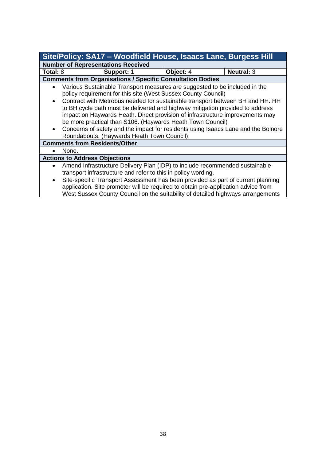| Site/Policy: SA17 - Woodfield House, Isaacs Lane, Burgess Hill                                                                                                                                                                                                                                                                                                                                                                                                                                                                                                                                               |                                           |                                                                   |                                                                                                                                                                                                                                                                                                                                         |
|--------------------------------------------------------------------------------------------------------------------------------------------------------------------------------------------------------------------------------------------------------------------------------------------------------------------------------------------------------------------------------------------------------------------------------------------------------------------------------------------------------------------------------------------------------------------------------------------------------------|-------------------------------------------|-------------------------------------------------------------------|-----------------------------------------------------------------------------------------------------------------------------------------------------------------------------------------------------------------------------------------------------------------------------------------------------------------------------------------|
|                                                                                                                                                                                                                                                                                                                                                                                                                                                                                                                                                                                                              | <b>Number of Representations Received</b> |                                                                   |                                                                                                                                                                                                                                                                                                                                         |
| Total: 8                                                                                                                                                                                                                                                                                                                                                                                                                                                                                                                                                                                                     | Support: 1                                | Object: 4                                                         | <b>Neutral: 3</b>                                                                                                                                                                                                                                                                                                                       |
|                                                                                                                                                                                                                                                                                                                                                                                                                                                                                                                                                                                                              |                                           | <b>Comments from Organisations / Specific Consultation Bodies</b> |                                                                                                                                                                                                                                                                                                                                         |
| Various Sustainable Transport measures are suggested to be included in the<br>$\bullet$<br>policy requirement for this site (West Sussex County Council)<br>Contract with Metrobus needed for sustainable transport between BH and HH. HH<br>to BH cycle path must be delivered and highway mitigation provided to address<br>impact on Haywards Heath. Direct provision of infrastructure improvements may<br>be more practical than S106. (Haywards Heath Town Council)<br>Concerns of safety and the impact for residents using Isaacs Lane and the Bolnore<br>Roundabouts. (Haywards Heath Town Council) |                                           |                                                                   |                                                                                                                                                                                                                                                                                                                                         |
| <b>Comments from Residents/Other</b>                                                                                                                                                                                                                                                                                                                                                                                                                                                                                                                                                                         |                                           |                                                                   |                                                                                                                                                                                                                                                                                                                                         |
| None.                                                                                                                                                                                                                                                                                                                                                                                                                                                                                                                                                                                                        |                                           |                                                                   |                                                                                                                                                                                                                                                                                                                                         |
| <b>Actions to Address Objections</b>                                                                                                                                                                                                                                                                                                                                                                                                                                                                                                                                                                         |                                           |                                                                   |                                                                                                                                                                                                                                                                                                                                         |
| $\bullet$                                                                                                                                                                                                                                                                                                                                                                                                                                                                                                                                                                                                    |                                           | transport infrastructure and refer to this in policy wording.     | Amend Infrastructure Delivery Plan (IDP) to include recommended sustainable<br>Site-specific Transport Assessment has been provided as part of current planning<br>application. Site promoter will be required to obtain pre-application advice from<br>West Sussex County Council on the suitability of detailed highways arrangements |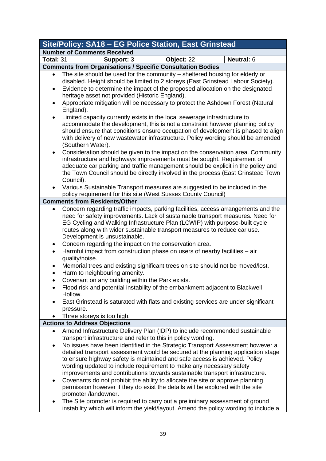| Site/Policy: SA18 - EG Police Station, East Grinstead |                                                                                                                                                                                                                                                                                                                                                                                                                                                                                                                                                                                                                                                                                                                                                                                                                                                                                                   |  |  |  |
|-------------------------------------------------------|---------------------------------------------------------------------------------------------------------------------------------------------------------------------------------------------------------------------------------------------------------------------------------------------------------------------------------------------------------------------------------------------------------------------------------------------------------------------------------------------------------------------------------------------------------------------------------------------------------------------------------------------------------------------------------------------------------------------------------------------------------------------------------------------------------------------------------------------------------------------------------------------------|--|--|--|
|                                                       | <b>Number of Comments Received</b>                                                                                                                                                                                                                                                                                                                                                                                                                                                                                                                                                                                                                                                                                                                                                                                                                                                                |  |  |  |
| Total: 31                                             | Object: 22<br>Neutral: 6<br>Support: 3                                                                                                                                                                                                                                                                                                                                                                                                                                                                                                                                                                                                                                                                                                                                                                                                                                                            |  |  |  |
|                                                       | <b>Comments from Organisations / Specific Consultation Bodies</b>                                                                                                                                                                                                                                                                                                                                                                                                                                                                                                                                                                                                                                                                                                                                                                                                                                 |  |  |  |
| $\bullet$<br>٠                                        | The site should be used for the community – sheltered housing for elderly or<br>disabled. Height should be limited to 2 storeys (East Grinstead Labour Society).<br>Evidence to determine the impact of the proposed allocation on the designated<br>heritage asset not provided (Historic England).<br>Appropriate mitigation will be necessary to protect the Ashdown Forest (Natural                                                                                                                                                                                                                                                                                                                                                                                                                                                                                                           |  |  |  |
|                                                       | England).<br>Limited capacity currently exists in the local sewerage infrastructure to<br>accommodate the development, this is not a constraint however planning policy<br>should ensure that conditions ensure occupation of development is phased to align                                                                                                                                                                                                                                                                                                                                                                                                                                                                                                                                                                                                                                      |  |  |  |
|                                                       | with delivery of new wastewater infrastructure. Policy wording should be amended<br>(Southern Water).<br>Consideration should be given to the impact on the conservation area. Community<br>infrastructure and highways improvements must be sought. Requirement of<br>adequate car parking and traffic management should be explicit in the policy and<br>the Town Council should be directly involved in the process (East Grinstead Town<br>Council).<br>Various Sustainable Transport measures are suggested to be included in the                                                                                                                                                                                                                                                                                                                                                            |  |  |  |
|                                                       | policy requirement for this site (West Sussex County Council)                                                                                                                                                                                                                                                                                                                                                                                                                                                                                                                                                                                                                                                                                                                                                                                                                                     |  |  |  |
|                                                       | <b>Comments from Residents/Other</b>                                                                                                                                                                                                                                                                                                                                                                                                                                                                                                                                                                                                                                                                                                                                                                                                                                                              |  |  |  |
| ٠<br>$\bullet$<br>$\bullet$<br>$\bullet$<br>$\bullet$ | Concern regarding traffic impacts, parking facilities, access arrangements and the<br>need for safety improvements. Lack of sustainable transport measures. Need for<br>EG Cycling and Walking Infrastructure Plan (LCWIP) with purpose-built cycle<br>routes along with wider sustainable transport measures to reduce car use.<br>Development is unsustainable.<br>Concern regarding the impact on the conservation area.<br>Harmful impact from construction phase on users of nearby facilities - air<br>quality/noise.<br>Memorial trees and existing significant trees on site should not be moved/lost.<br>Harm to neighbouring amenity.<br>Covenant on any building within the Park exists.<br>Flood risk and potential instability of the embankment adjacent to Blackwell<br>Hollow.<br>East Grinstead is saturated with flats and existing services are under significant<br>pressure. |  |  |  |
|                                                       | Three storeys is too high.                                                                                                                                                                                                                                                                                                                                                                                                                                                                                                                                                                                                                                                                                                                                                                                                                                                                        |  |  |  |
|                                                       | <b>Actions to Address Objections</b>                                                                                                                                                                                                                                                                                                                                                                                                                                                                                                                                                                                                                                                                                                                                                                                                                                                              |  |  |  |
| $\bullet$<br>٠                                        | Amend Infrastructure Delivery Plan (IDP) to include recommended sustainable<br>transport infrastructure and refer to this in policy wording.<br>No issues have been identified in the Strategic Transport Assessment however a<br>detailed transport assessment would be secured at the planning application stage<br>to ensure highway safety is maintained and safe access is achieved. Policy<br>wording updated to include requirement to make any necessary safety<br>improvements and contributions towards sustainable transport infrastructure.                                                                                                                                                                                                                                                                                                                                           |  |  |  |
| ٠                                                     | Covenants do not prohibit the ability to allocate the site or approve planning<br>permission however if they do exist the details will be explored with the site<br>promoter /landowner.<br>The Site promoter is required to carry out a preliminary assessment of ground<br>instability which will inform the yield/layout. Amend the policy wording to include a                                                                                                                                                                                                                                                                                                                                                                                                                                                                                                                                |  |  |  |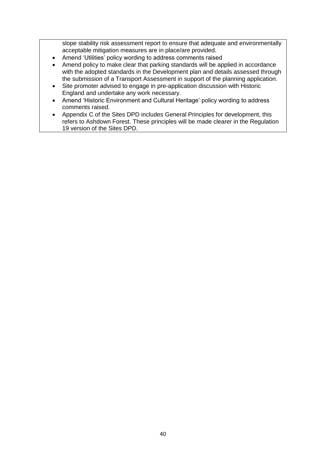slope stability risk assessment report to ensure that adequate and environmentally acceptable mitigation measures are in place/are provided.

- Amend 'Utilities' policy wording to address comments raised
- Amend policy to make clear that parking standards will be applied in accordance with the adopted standards in the Development plan and details assessed through the submission of a Transport Assessment in support of the planning application.
- Site promoter advised to engage in pre-application discussion with Historic England and undertake any work necessary.
- Amend 'Historic Environment and Cultural Heritage' policy wording to address comments raised.
- Appendix C of the Sites DPD includes General Principles for development, this refers to Ashdown Forest. These principles will be made clearer in the Regulation 19 version of the Sites DPD.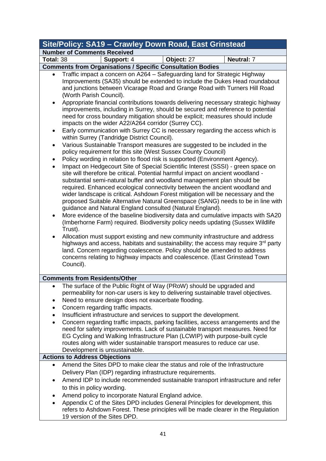|                                                                    | Site/Policy: SA19 - Crawley Down Road, East Grinstead                                                                                                                                                                                                                                                                                                                                                                                                                                                                                                                                                                                                                                                                                                                                                                                                                                                                                                                                                                                                                                                                                                                                                                                                                                                                                                                                                                                                                                                                                                                                                                                                                                                                                                                                                                                                                                                                                                                    |  |  |  |
|--------------------------------------------------------------------|--------------------------------------------------------------------------------------------------------------------------------------------------------------------------------------------------------------------------------------------------------------------------------------------------------------------------------------------------------------------------------------------------------------------------------------------------------------------------------------------------------------------------------------------------------------------------------------------------------------------------------------------------------------------------------------------------------------------------------------------------------------------------------------------------------------------------------------------------------------------------------------------------------------------------------------------------------------------------------------------------------------------------------------------------------------------------------------------------------------------------------------------------------------------------------------------------------------------------------------------------------------------------------------------------------------------------------------------------------------------------------------------------------------------------------------------------------------------------------------------------------------------------------------------------------------------------------------------------------------------------------------------------------------------------------------------------------------------------------------------------------------------------------------------------------------------------------------------------------------------------------------------------------------------------------------------------------------------------|--|--|--|
|                                                                    | <b>Number of Comments Received</b>                                                                                                                                                                                                                                                                                                                                                                                                                                                                                                                                                                                                                                                                                                                                                                                                                                                                                                                                                                                                                                                                                                                                                                                                                                                                                                                                                                                                                                                                                                                                                                                                                                                                                                                                                                                                                                                                                                                                       |  |  |  |
| Total: 38                                                          | <b>Neutral: 7</b><br>Support: 4<br>Object: 27                                                                                                                                                                                                                                                                                                                                                                                                                                                                                                                                                                                                                                                                                                                                                                                                                                                                                                                                                                                                                                                                                                                                                                                                                                                                                                                                                                                                                                                                                                                                                                                                                                                                                                                                                                                                                                                                                                                            |  |  |  |
|                                                                    | <b>Comments from Organisations / Specific Consultation Bodies</b>                                                                                                                                                                                                                                                                                                                                                                                                                                                                                                                                                                                                                                                                                                                                                                                                                                                                                                                                                                                                                                                                                                                                                                                                                                                                                                                                                                                                                                                                                                                                                                                                                                                                                                                                                                                                                                                                                                        |  |  |  |
| $\bullet$<br>$\bullet$<br>$\bullet$<br>٠<br>$\bullet$<br>$\bullet$ | Traffic impact a concern on A264 - Safeguarding land for Strategic Highway<br>Improvements (SA35) should be extended to include the Dukes Head roundabout<br>and junctions between Vicarage Road and Grange Road with Turners Hill Road<br>(Worth Parish Council).<br>Appropriate financial contributions towards delivering necessary strategic highway<br>improvements, including in Surrey, should be secured and reference to potential<br>need for cross boundary mitigation should be explicit; measures should include<br>impacts on the wider A22/A264 corridor (Surrey CC).<br>Early communication with Surrey CC is necessary regarding the access which is<br>within Surrey (Tandridge District Council).<br>Various Sustainable Transport measures are suggested to be included in the<br>policy requirement for this site (West Sussex County Council)<br>Policy wording in relation to flood risk is supported (Environment Agency).<br>Impact on Hedgecourt Site of Special Scientific Interest (SSSI) - green space on<br>site will therefore be critical. Potential harmful impact on ancient woodland -<br>substantial semi-natural buffer and woodland management plan should be<br>required. Enhanced ecological connectivity between the ancient woodland and<br>wider landscape is critical. Ashdown Forest mitigation will be necessary and the<br>proposed Suitable Alternative Natural Greenspace (SANG) needs to be in line with<br>guidance and Natural England consulted (Natural England).<br>More evidence of the baseline biodiversity data and cumulative impacts with SA20<br>(Imberhorne Farm) required. Biodiversity policy needs updating (Sussex Wildlife<br>Trust).<br>Allocation must support existing and new community infrastructure and address<br>highways and access, habitats and sustainability; the access may require 3 <sup>rd</sup> party<br>land. Concern regarding coalescence. Policy should be amended to address |  |  |  |
|                                                                    | concerns relating to highway impacts and coalescence. (East Grinstead Town                                                                                                                                                                                                                                                                                                                                                                                                                                                                                                                                                                                                                                                                                                                                                                                                                                                                                                                                                                                                                                                                                                                                                                                                                                                                                                                                                                                                                                                                                                                                                                                                                                                                                                                                                                                                                                                                                               |  |  |  |
|                                                                    | Council).                                                                                                                                                                                                                                                                                                                                                                                                                                                                                                                                                                                                                                                                                                                                                                                                                                                                                                                                                                                                                                                                                                                                                                                                                                                                                                                                                                                                                                                                                                                                                                                                                                                                                                                                                                                                                                                                                                                                                                |  |  |  |
|                                                                    |                                                                                                                                                                                                                                                                                                                                                                                                                                                                                                                                                                                                                                                                                                                                                                                                                                                                                                                                                                                                                                                                                                                                                                                                                                                                                                                                                                                                                                                                                                                                                                                                                                                                                                                                                                                                                                                                                                                                                                          |  |  |  |
|                                                                    | <b>Comments from Residents/Other</b>                                                                                                                                                                                                                                                                                                                                                                                                                                                                                                                                                                                                                                                                                                                                                                                                                                                                                                                                                                                                                                                                                                                                                                                                                                                                                                                                                                                                                                                                                                                                                                                                                                                                                                                                                                                                                                                                                                                                     |  |  |  |
| $\bullet$<br>٠<br>$\bullet$                                        | The surface of the Public Right of Way (PRoW) should be upgraded and<br>permeability for non-car users is key to delivering sustainable travel objectives.<br>Need to ensure design does not exacerbate flooding.<br>Concern regarding traffic impacts.                                                                                                                                                                                                                                                                                                                                                                                                                                                                                                                                                                                                                                                                                                                                                                                                                                                                                                                                                                                                                                                                                                                                                                                                                                                                                                                                                                                                                                                                                                                                                                                                                                                                                                                  |  |  |  |
| $\bullet$                                                          | Insufficient infrastructure and services to support the development.<br>Concern regarding traffic impacts, parking facilities, access arrangements and the<br>need for safety improvements. Lack of sustainable transport measures. Need for<br>EG Cycling and Walking Infrastructure Plan (LCWIP) with purpose-built cycle<br>routes along with wider sustainable transport measures to reduce car use.                                                                                                                                                                                                                                                                                                                                                                                                                                                                                                                                                                                                                                                                                                                                                                                                                                                                                                                                                                                                                                                                                                                                                                                                                                                                                                                                                                                                                                                                                                                                                                 |  |  |  |
|                                                                    | Development is unsustainable.                                                                                                                                                                                                                                                                                                                                                                                                                                                                                                                                                                                                                                                                                                                                                                                                                                                                                                                                                                                                                                                                                                                                                                                                                                                                                                                                                                                                                                                                                                                                                                                                                                                                                                                                                                                                                                                                                                                                            |  |  |  |
| <b>Actions to Address Objections</b>                               |                                                                                                                                                                                                                                                                                                                                                                                                                                                                                                                                                                                                                                                                                                                                                                                                                                                                                                                                                                                                                                                                                                                                                                                                                                                                                                                                                                                                                                                                                                                                                                                                                                                                                                                                                                                                                                                                                                                                                                          |  |  |  |
| $\bullet$                                                          | Amend the Sites DPD to make clear the status and role of the Infrastructure<br>Delivery Plan (IDP) regarding infrastructure requirements.<br>Amend IDP to include recommended sustainable transport infrastructure and refer                                                                                                                                                                                                                                                                                                                                                                                                                                                                                                                                                                                                                                                                                                                                                                                                                                                                                                                                                                                                                                                                                                                                                                                                                                                                                                                                                                                                                                                                                                                                                                                                                                                                                                                                             |  |  |  |
| $\bullet$                                                          | to this in policy wording.<br>Amend policy to incorporate Natural England advice.<br>Appendix C of the Sites DPD includes General Principles for development, this                                                                                                                                                                                                                                                                                                                                                                                                                                                                                                                                                                                                                                                                                                                                                                                                                                                                                                                                                                                                                                                                                                                                                                                                                                                                                                                                                                                                                                                                                                                                                                                                                                                                                                                                                                                                       |  |  |  |
|                                                                    | refers to Ashdown Forest. These principles will be made clearer in the Regulation<br>19 version of the Sites DPD.                                                                                                                                                                                                                                                                                                                                                                                                                                                                                                                                                                                                                                                                                                                                                                                                                                                                                                                                                                                                                                                                                                                                                                                                                                                                                                                                                                                                                                                                                                                                                                                                                                                                                                                                                                                                                                                        |  |  |  |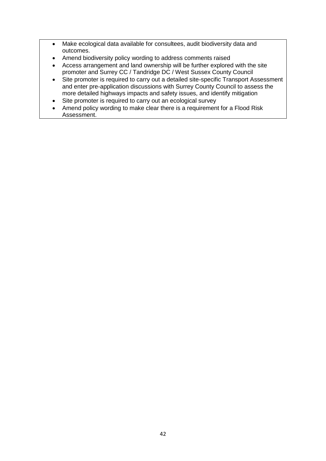- Make ecological data available for consultees, audit biodiversity data and outcomes.
- Amend biodiversity policy wording to address comments raised
- Access arrangement and land ownership will be further explored with the site promoter and Surrey CC / Tandridge DC / West Sussex County Council
- Site promoter is required to carry out a detailed site-specific Transport Assessment and enter pre-application discussions with Surrey County Council to assess the more detailed highways impacts and safety issues, and identify mitigation
- Site promoter is required to carry out an ecological survey
- Amend policy wording to make clear there is a requirement for a Flood Risk Assessment.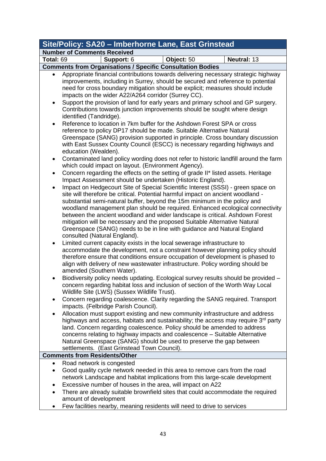| Site/Policy: SA20 - Imberhorne Lane, East Grinstead             |                                                                                                                                                                                                                                                                                                                                                                                                                                                                                                                                                                                                                                                                                                                                                                                                                                                                                                                                                                                                                                                                                                                                                                                                                                                                                                                                                                                                                                                                                                                                                                                                                                                                                                                                                                                                                                                                                                                                                                                                                                                                                                                                                                                                                                                                                                                                                                                |             |  |  |
|-----------------------------------------------------------------|--------------------------------------------------------------------------------------------------------------------------------------------------------------------------------------------------------------------------------------------------------------------------------------------------------------------------------------------------------------------------------------------------------------------------------------------------------------------------------------------------------------------------------------------------------------------------------------------------------------------------------------------------------------------------------------------------------------------------------------------------------------------------------------------------------------------------------------------------------------------------------------------------------------------------------------------------------------------------------------------------------------------------------------------------------------------------------------------------------------------------------------------------------------------------------------------------------------------------------------------------------------------------------------------------------------------------------------------------------------------------------------------------------------------------------------------------------------------------------------------------------------------------------------------------------------------------------------------------------------------------------------------------------------------------------------------------------------------------------------------------------------------------------------------------------------------------------------------------------------------------------------------------------------------------------------------------------------------------------------------------------------------------------------------------------------------------------------------------------------------------------------------------------------------------------------------------------------------------------------------------------------------------------------------------------------------------------------------------------------------------------|-------------|--|--|
| <b>Number of Comments Received</b>                              |                                                                                                                                                                                                                                                                                                                                                                                                                                                                                                                                                                                                                                                                                                                                                                                                                                                                                                                                                                                                                                                                                                                                                                                                                                                                                                                                                                                                                                                                                                                                                                                                                                                                                                                                                                                                                                                                                                                                                                                                                                                                                                                                                                                                                                                                                                                                                                                |             |  |  |
| Total: 69                                                       | Support: 6<br>Object: 50                                                                                                                                                                                                                                                                                                                                                                                                                                                                                                                                                                                                                                                                                                                                                                                                                                                                                                                                                                                                                                                                                                                                                                                                                                                                                                                                                                                                                                                                                                                                                                                                                                                                                                                                                                                                                                                                                                                                                                                                                                                                                                                                                                                                                                                                                                                                                       | Neutral: 13 |  |  |
|                                                                 |                                                                                                                                                                                                                                                                                                                                                                                                                                                                                                                                                                                                                                                                                                                                                                                                                                                                                                                                                                                                                                                                                                                                                                                                                                                                                                                                                                                                                                                                                                                                                                                                                                                                                                                                                                                                                                                                                                                                                                                                                                                                                                                                                                                                                                                                                                                                                                                |             |  |  |
| $\bullet$<br>$\bullet$<br>٠<br>$\bullet$<br>$\bullet$<br>٠<br>٠ | <b>Comments from Organisations / Specific Consultation Bodies</b><br>Appropriate financial contributions towards delivering necessary strategic highway<br>improvements, including in Surrey, should be secured and reference to potential<br>need for cross boundary mitigation should be explicit; measures should include<br>impacts on the wider A22/A264 corridor (Surrey CC).<br>Support the provision of land for early years and primary school and GP surgery.<br>Contributions towards junction improvements should be sought where design<br>identified (Tandridge).<br>Reference to location in 7km buffer for the Ashdown Forest SPA or cross<br>reference to policy DP17 should be made. Suitable Alternative Natural<br>Greenspace (SANG) provision supported in principle. Cross boundary discussion<br>with East Sussex County Council (ESCC) is necessary regarding highways and<br>education (Wealden).<br>Contaminated land policy wording does not refer to historic landfill around the farm<br>which could impact on layout. (Environment Agency).<br>Concern regarding the effects on the setting of grade II* listed assets. Heritage<br>Impact Assessment should be undertaken (Historic England).<br>Impact on Hedgecourt Site of Special Scientific Interest (SSSI) - green space on<br>site will therefore be critical. Potential harmful impact on ancient woodland -<br>substantial semi-natural buffer, beyond the 15m minimum in the policy and<br>woodland management plan should be required. Enhanced ecological connectivity<br>between the ancient woodland and wider landscape is critical. Ashdown Forest<br>mitigation will be necessary and the proposed Suitable Alternative Natural<br>Greenspace (SANG) needs to be in line with guidance and Natural England<br>consulted (Natural England).<br>Limited current capacity exists in the local sewerage infrastructure to<br>accommodate the development, not a constraint however planning policy should<br>therefore ensure that conditions ensure occupation of development is phased to<br>align with delivery of new wastewater infrastructure. Policy wording should be<br>amended (Southern Water).<br>Biodiversity policy needs updating. Ecological survey results should be provided -<br>concern regarding habitat loss and inclusion of section of the Worth Way Local |             |  |  |
| ٠                                                               | Wildlife Site (LWS) (Sussex Wildlife Trust).<br>Concern regarding coalescence. Clarity regarding the SANG required. Transport                                                                                                                                                                                                                                                                                                                                                                                                                                                                                                                                                                                                                                                                                                                                                                                                                                                                                                                                                                                                                                                                                                                                                                                                                                                                                                                                                                                                                                                                                                                                                                                                                                                                                                                                                                                                                                                                                                                                                                                                                                                                                                                                                                                                                                                  |             |  |  |
|                                                                 | impacts. (Felbridge Parish Council).<br>Allocation must support existing and new community infrastructure and address<br>highways and access, habitats and sustainability; the access may require $3rd$ party<br>land. Concern regarding coalescence. Policy should be amended to address<br>concerns relating to highway impacts and coalescence - Suitable Alternative<br>Natural Greenspace (SANG) should be used to preserve the gap between<br>settlements. (East Grinstead Town Council).                                                                                                                                                                                                                                                                                                                                                                                                                                                                                                                                                                                                                                                                                                                                                                                                                                                                                                                                                                                                                                                                                                                                                                                                                                                                                                                                                                                                                                                                                                                                                                                                                                                                                                                                                                                                                                                                                |             |  |  |
|                                                                 | <b>Comments from Residents/Other</b>                                                                                                                                                                                                                                                                                                                                                                                                                                                                                                                                                                                                                                                                                                                                                                                                                                                                                                                                                                                                                                                                                                                                                                                                                                                                                                                                                                                                                                                                                                                                                                                                                                                                                                                                                                                                                                                                                                                                                                                                                                                                                                                                                                                                                                                                                                                                           |             |  |  |
| $\bullet$                                                       | Road network is congested                                                                                                                                                                                                                                                                                                                                                                                                                                                                                                                                                                                                                                                                                                                                                                                                                                                                                                                                                                                                                                                                                                                                                                                                                                                                                                                                                                                                                                                                                                                                                                                                                                                                                                                                                                                                                                                                                                                                                                                                                                                                                                                                                                                                                                                                                                                                                      |             |  |  |
| ٠                                                               | Good quality cycle network needed in this area to remove cars from the road                                                                                                                                                                                                                                                                                                                                                                                                                                                                                                                                                                                                                                                                                                                                                                                                                                                                                                                                                                                                                                                                                                                                                                                                                                                                                                                                                                                                                                                                                                                                                                                                                                                                                                                                                                                                                                                                                                                                                                                                                                                                                                                                                                                                                                                                                                    |             |  |  |
|                                                                 | network Landscape and habitat implications from this large-scale development                                                                                                                                                                                                                                                                                                                                                                                                                                                                                                                                                                                                                                                                                                                                                                                                                                                                                                                                                                                                                                                                                                                                                                                                                                                                                                                                                                                                                                                                                                                                                                                                                                                                                                                                                                                                                                                                                                                                                                                                                                                                                                                                                                                                                                                                                                   |             |  |  |
| ٠                                                               | Excessive number of houses in the area, will impact on A22                                                                                                                                                                                                                                                                                                                                                                                                                                                                                                                                                                                                                                                                                                                                                                                                                                                                                                                                                                                                                                                                                                                                                                                                                                                                                                                                                                                                                                                                                                                                                                                                                                                                                                                                                                                                                                                                                                                                                                                                                                                                                                                                                                                                                                                                                                                     |             |  |  |
| $\bullet$                                                       | There are already suitable brownfield sites that could accommodate the required<br>amount of development                                                                                                                                                                                                                                                                                                                                                                                                                                                                                                                                                                                                                                                                                                                                                                                                                                                                                                                                                                                                                                                                                                                                                                                                                                                                                                                                                                                                                                                                                                                                                                                                                                                                                                                                                                                                                                                                                                                                                                                                                                                                                                                                                                                                                                                                       |             |  |  |
|                                                                 | Few facilities nearby, meaning residents will need to drive to services                                                                                                                                                                                                                                                                                                                                                                                                                                                                                                                                                                                                                                                                                                                                                                                                                                                                                                                                                                                                                                                                                                                                                                                                                                                                                                                                                                                                                                                                                                                                                                                                                                                                                                                                                                                                                                                                                                                                                                                                                                                                                                                                                                                                                                                                                                        |             |  |  |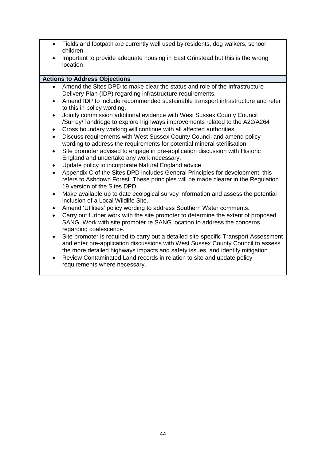- Fields and footpath are currently well used by residents, dog walkers, school children
- Important to provide adequate housing in East Grinstead but this is the wrong location

#### **Actions to Address Objections**

- Amend the Sites DPD to make clear the status and role of the Infrastructure Delivery Plan (IDP) regarding infrastructure requirements.
- Amend IDP to include recommended sustainable transport infrastructure and refer to this in policy wording.
- Jointly commission additional evidence with West Sussex County Council /Surrey/Tandridge to explore highways improvements related to the A22/A264
- Cross boundary working will continue with all affected authorities.
- Discuss requirements with West Sussex County Council and amend policy wording to address the requirements for potential mineral sterilisation
- Site promoter advised to engage in pre-application discussion with Historic England and undertake any work necessary.
- Update policy to incorporate Natural England advice.
- Appendix C of the Sites DPD includes General Principles for development, this refers to Ashdown Forest. These principles will be made clearer in the Regulation 19 version of the Sites DPD.
- Make available up to date ecological survey information and assess the potential inclusion of a Local Wildlife Site.
- Amend 'Utilities' policy wording to address Southern Water comments.
- Carry out further work with the site promoter to determine the extent of proposed SANG. Work with site promoter re SANG location to address the concerns regarding coalescence.
- Site promoter is required to carry out a detailed site-specific Transport Assessment and enter pre-application discussions with West Sussex County Council to assess the more detailed highways impacts and safety issues, and identify mitigation
- Review Contaminated Land records in relation to site and update policy requirements where necessary.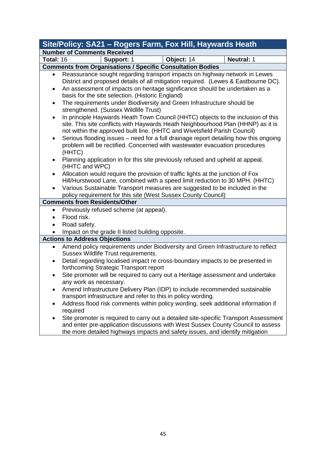|                                                         | Site/Policy: SA21 - Rogers Farm, Fox Hill, Haywards Heath                                                                                                                                                                                                                                                                                                                                                                                                                                                                                                                                                                                                                                                                                                                                                                                                                                                                                                                                                                                          |            |                   |  |  |
|---------------------------------------------------------|----------------------------------------------------------------------------------------------------------------------------------------------------------------------------------------------------------------------------------------------------------------------------------------------------------------------------------------------------------------------------------------------------------------------------------------------------------------------------------------------------------------------------------------------------------------------------------------------------------------------------------------------------------------------------------------------------------------------------------------------------------------------------------------------------------------------------------------------------------------------------------------------------------------------------------------------------------------------------------------------------------------------------------------------------|------------|-------------------|--|--|
|                                                         | <b>Number of Comments Received</b>                                                                                                                                                                                                                                                                                                                                                                                                                                                                                                                                                                                                                                                                                                                                                                                                                                                                                                                                                                                                                 |            |                   |  |  |
| Total: 16                                               | Support: 1                                                                                                                                                                                                                                                                                                                                                                                                                                                                                                                                                                                                                                                                                                                                                                                                                                                                                                                                                                                                                                         | Object: 14 | <b>Neutral: 1</b> |  |  |
|                                                         | <b>Comments from Organisations / Specific Consultation Bodies</b>                                                                                                                                                                                                                                                                                                                                                                                                                                                                                                                                                                                                                                                                                                                                                                                                                                                                                                                                                                                  |            |                   |  |  |
| $\bullet$<br>٠<br>٠<br>$\bullet$<br>٠<br>٠<br>$\bullet$ | Reassurance sought regarding transport impacts on highway network in Lewes<br>District and proposed details of all mitigation required. (Lewes & Eastbourne DC).<br>An assessment of impacts on heritage significance should be undertaken as a<br>basis for the site selection. (Historic England)<br>The requirements under Biodiversity and Green Infrastructure should be<br>strengthened. (Sussex Wildlife Trust)<br>In principle Haywards Heath Town Council (HHTC) objects to the inclusion of this<br>site. This site conflicts with Haywards Heath Neighbourhood Plan (HHNP) as it is<br>not within the approved built line. (HHTC and Wivelsfield Parish Council)<br>Serious flooding issues – need for a full drainage report detailing how this ongoing<br>problem will be rectified. Concerned with wastewater evacuation procedures<br>(HHTC)<br>Planning application in for this site previously refused and upheld at appeal.<br>(HHTC and WPC)<br>Allocation would require the provision of traffic lights at the junction of Fox |            |                   |  |  |
|                                                         | Hill/Hurstwood Lane, combined with a speed limit reduction to 30 MPH. (HHTC)<br>Various Sustainable Transport measures are suggested to be included in the                                                                                                                                                                                                                                                                                                                                                                                                                                                                                                                                                                                                                                                                                                                                                                                                                                                                                         |            |                   |  |  |
|                                                         | policy requirement for this site (West Sussex County Council)<br><b>Comments from Residents/Other</b>                                                                                                                                                                                                                                                                                                                                                                                                                                                                                                                                                                                                                                                                                                                                                                                                                                                                                                                                              |            |                   |  |  |
| ٠                                                       | Previously refused scheme (at appeal).                                                                                                                                                                                                                                                                                                                                                                                                                                                                                                                                                                                                                                                                                                                                                                                                                                                                                                                                                                                                             |            |                   |  |  |
| $\bullet$                                               | Flood risk.                                                                                                                                                                                                                                                                                                                                                                                                                                                                                                                                                                                                                                                                                                                                                                                                                                                                                                                                                                                                                                        |            |                   |  |  |
|                                                         | Road safety.                                                                                                                                                                                                                                                                                                                                                                                                                                                                                                                                                                                                                                                                                                                                                                                                                                                                                                                                                                                                                                       |            |                   |  |  |
|                                                         | Impact on the grade II listed building opposite.                                                                                                                                                                                                                                                                                                                                                                                                                                                                                                                                                                                                                                                                                                                                                                                                                                                                                                                                                                                                   |            |                   |  |  |
|                                                         | <b>Actions to Address Objections</b>                                                                                                                                                                                                                                                                                                                                                                                                                                                                                                                                                                                                                                                                                                                                                                                                                                                                                                                                                                                                               |            |                   |  |  |
| ٠                                                       | Amend policy requirements under Biodiversity and Green Infrastructure to reflect<br>Sussex Wildlife Trust requirements.                                                                                                                                                                                                                                                                                                                                                                                                                                                                                                                                                                                                                                                                                                                                                                                                                                                                                                                            |            |                   |  |  |
| ٠                                                       | Detail regarding localised impact re cross-boundary impacts to be presented in<br>forthcoming Strategic Transport report<br>Site promoter will be required to carry out a Heritage assessment and undertake                                                                                                                                                                                                                                                                                                                                                                                                                                                                                                                                                                                                                                                                                                                                                                                                                                        |            |                   |  |  |
| ٠                                                       | any work as necessary.<br>Amend Infrastructure Delivery Plan (IDP) to include recommended sustainable                                                                                                                                                                                                                                                                                                                                                                                                                                                                                                                                                                                                                                                                                                                                                                                                                                                                                                                                              |            |                   |  |  |
|                                                         | transport infrastructure and refer to this in policy wording.                                                                                                                                                                                                                                                                                                                                                                                                                                                                                                                                                                                                                                                                                                                                                                                                                                                                                                                                                                                      |            |                   |  |  |
|                                                         | Address flood risk comments within policy wording, seek additional information if<br>required                                                                                                                                                                                                                                                                                                                                                                                                                                                                                                                                                                                                                                                                                                                                                                                                                                                                                                                                                      |            |                   |  |  |
| $\bullet$                                               | Site promoter is required to carry out a detailed site-specific Transport Assessment<br>and enter pre-application discussions with West Sussex County Council to assess<br>the more detailed highways impacts and safety issues, and identify mitigation                                                                                                                                                                                                                                                                                                                                                                                                                                                                                                                                                                                                                                                                                                                                                                                           |            |                   |  |  |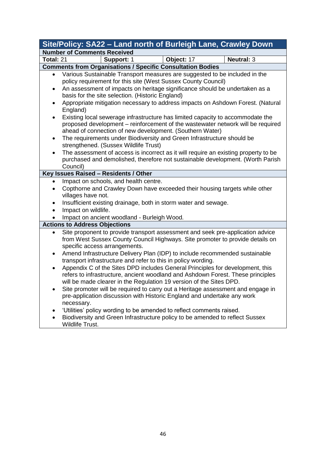|           | Site/Policy: SA22 - Land north of Burleigh Lane, Crawley Down                                                                                                                                                                           |            |                   |  |  |  |
|-----------|-----------------------------------------------------------------------------------------------------------------------------------------------------------------------------------------------------------------------------------------|------------|-------------------|--|--|--|
|           | <b>Number of Comments Received</b>                                                                                                                                                                                                      |            |                   |  |  |  |
| Total: 21 | Support: 1                                                                                                                                                                                                                              | Object: 17 | <b>Neutral: 3</b> |  |  |  |
|           | <b>Comments from Organisations / Specific Consultation Bodies</b>                                                                                                                                                                       |            |                   |  |  |  |
| $\bullet$ | Various Sustainable Transport measures are suggested to be included in the<br>policy requirement for this site (West Sussex County Council)                                                                                             |            |                   |  |  |  |
| $\bullet$ | An assessment of impacts on heritage significance should be undertaken as a<br>basis for the site selection. (Historic England)                                                                                                         |            |                   |  |  |  |
| ٠         | Appropriate mitigation necessary to address impacts on Ashdown Forest. (Natural<br>England)                                                                                                                                             |            |                   |  |  |  |
| $\bullet$ | Existing local sewerage infrastructure has limited capacity to accommodate the<br>proposed development - reinforcement of the wastewater network will be required<br>ahead of connection of new development. (Southern Water)           |            |                   |  |  |  |
| $\bullet$ | The requirements under Biodiversity and Green Infrastructure should be<br>strengthened. (Sussex Wildlife Trust)                                                                                                                         |            |                   |  |  |  |
| $\bullet$ | The assessment of access is incorrect as it will require an existing property to be<br>purchased and demolished, therefore not sustainable development. (Worth Parish<br>Council)                                                       |            |                   |  |  |  |
|           | Key Issues Raised - Residents / Other                                                                                                                                                                                                   |            |                   |  |  |  |
|           | Impact on schools, and health centre.                                                                                                                                                                                                   |            |                   |  |  |  |
| $\bullet$ | Copthorne and Crawley Down have exceeded their housing targets while other                                                                                                                                                              |            |                   |  |  |  |
|           | villages have not.                                                                                                                                                                                                                      |            |                   |  |  |  |
| $\bullet$ | Insufficient existing drainage, both in storm water and sewage.                                                                                                                                                                         |            |                   |  |  |  |
| $\bullet$ | Impact on wildlife.                                                                                                                                                                                                                     |            |                   |  |  |  |
|           | Impact on ancient woodland - Burleigh Wood.                                                                                                                                                                                             |            |                   |  |  |  |
|           | <b>Actions to Address Objections</b>                                                                                                                                                                                                    |            |                   |  |  |  |
| $\bullet$ | Site proponent to provide transport assessment and seek pre-application advice<br>from West Sussex County Council Highways. Site promoter to provide details on<br>specific access arrangements.                                        |            |                   |  |  |  |
| $\bullet$ | Amend Infrastructure Delivery Plan (IDP) to include recommended sustainable<br>transport infrastructure and refer to this in policy wording.                                                                                            |            |                   |  |  |  |
| $\bullet$ | Appendix C of the Sites DPD includes General Principles for development, this<br>refers to infrastructure, ancient woodland and Ashdown Forest. These principles<br>will be made clearer in the Regulation 19 version of the Sites DPD. |            |                   |  |  |  |
| $\bullet$ | Site promoter will be required to carry out a Heritage assessment and engage in<br>pre-application discussion with Historic England and undertake any work<br>necessary.                                                                |            |                   |  |  |  |
|           | 'Utilities' policy wording to be amended to reflect comments raised.<br>Biodiversity and Green Infrastructure policy to be amended to reflect Sussex                                                                                    |            |                   |  |  |  |
|           | Wildlife Trust.                                                                                                                                                                                                                         |            |                   |  |  |  |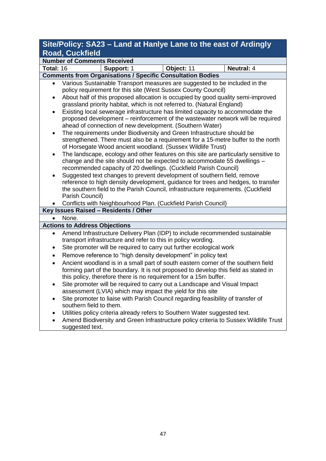## **Site/Policy: SA23 – Land at Hanlye Lane to the east of Ardingly Road, Cuckfield**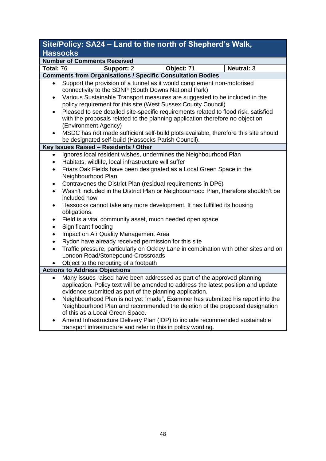## **Site/Policy: SA24 – Land to the north of Shepherd's Walk, Hassocks**

|                                      | <u> 11499065</u>                                                                                   |                                                      |                                                                                                                                |                                                                                                                                                                      |  |  |
|--------------------------------------|----------------------------------------------------------------------------------------------------|------------------------------------------------------|--------------------------------------------------------------------------------------------------------------------------------|----------------------------------------------------------------------------------------------------------------------------------------------------------------------|--|--|
|                                      | <b>Number of Comments Received</b>                                                                 |                                                      |                                                                                                                                |                                                                                                                                                                      |  |  |
| Total: 76                            |                                                                                                    | Support: 2                                           | Object: 71                                                                                                                     | <b>Neutral: 3</b>                                                                                                                                                    |  |  |
|                                      |                                                                                                    |                                                      | <b>Comments from Organisations / Specific Consultation Bodies</b>                                                              |                                                                                                                                                                      |  |  |
|                                      |                                                                                                    |                                                      | Support the provision of a tunnel as it would complement non-motorised<br>connectivity to the SDNP (South Downs National Park) | Various Sustainable Transport measures are suggested to be included in the                                                                                           |  |  |
|                                      |                                                                                                    |                                                      | policy requirement for this site (West Sussex County Council)                                                                  |                                                                                                                                                                      |  |  |
| $\bullet$                            | (Environment Agency)                                                                               |                                                      |                                                                                                                                | Pleased to see detailed site-specific requirements related to flood risk, satisfied<br>with the proposals related to the planning application therefore no objection |  |  |
|                                      |                                                                                                    |                                                      | be designated self-build (Hassocks Parish Council).                                                                            | MSDC has not made sufficient self-build plots available, therefore this site should                                                                                  |  |  |
|                                      |                                                                                                    | Key Issues Raised - Residents / Other                |                                                                                                                                |                                                                                                                                                                      |  |  |
| $\bullet$                            |                                                                                                    | Habitats, wildlife, local infrastructure will suffer | Ignores local resident wishes, undermines the Neighbourhood Plan                                                               |                                                                                                                                                                      |  |  |
| $\bullet$                            | Neighbourhood Plan                                                                                 |                                                      | Friars Oak Fields have been designated as a Local Green Space in the                                                           |                                                                                                                                                                      |  |  |
| $\bullet$                            |                                                                                                    |                                                      | Contravenes the District Plan (residual requirements in DP6)                                                                   |                                                                                                                                                                      |  |  |
| $\bullet$                            | Wasn't included in the District Plan or Neighbourhood Plan, therefore shouldn't be<br>included now |                                                      |                                                                                                                                |                                                                                                                                                                      |  |  |
| $\bullet$                            | obligations.                                                                                       |                                                      | Hassocks cannot take any more development. It has fulfilled its housing                                                        |                                                                                                                                                                      |  |  |
| $\bullet$<br>$\bullet$               | Significant flooding                                                                               |                                                      | Field is a vital community asset, much needed open space                                                                       |                                                                                                                                                                      |  |  |
| $\bullet$                            |                                                                                                    | Impact on Air Quality Management Area                |                                                                                                                                |                                                                                                                                                                      |  |  |
| $\bullet$                            |                                                                                                    |                                                      | Rydon have already received permission for this site                                                                           |                                                                                                                                                                      |  |  |
| $\bullet$                            |                                                                                                    | London Road/Stonepound Crossroads                    |                                                                                                                                | Traffic pressure, particularly on Ockley Lane in combination with other sites and on                                                                                 |  |  |
|                                      |                                                                                                    | Object to the rerouting of a footpath                |                                                                                                                                |                                                                                                                                                                      |  |  |
| <b>Actions to Address Objections</b> |                                                                                                    |                                                      |                                                                                                                                |                                                                                                                                                                      |  |  |
| $\bullet$                            |                                                                                                    |                                                      | evidence submitted as part of the planning application.                                                                        | Many issues raised have been addressed as part of the approved planning<br>application. Policy text will be amended to address the latest position and update        |  |  |
| $\bullet$                            |                                                                                                    | of this as a Local Green Space.                      |                                                                                                                                | Neighbourhood Plan is not yet "made", Examiner has submitted his report into the<br>Neighbourhood Plan and recommended the deletion of the proposed designation      |  |  |
|                                      |                                                                                                    |                                                      | transport infrastructure and refer to this in policy wording.                                                                  | Amend Infrastructure Delivery Plan (IDP) to include recommended sustainable                                                                                          |  |  |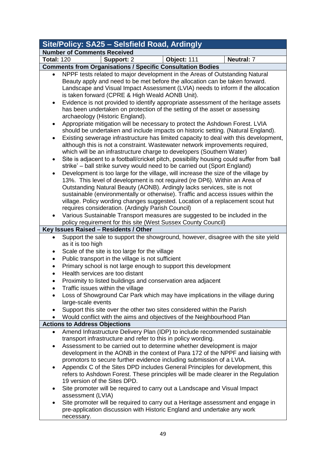| Site/Policy: SA25 - Selsfield Road, Ardingly |                                                                                                                                                                                                                                                                                                                                            |             |            |  |  |  |
|----------------------------------------------|--------------------------------------------------------------------------------------------------------------------------------------------------------------------------------------------------------------------------------------------------------------------------------------------------------------------------------------------|-------------|------------|--|--|--|
|                                              | <b>Number of Comments Received</b>                                                                                                                                                                                                                                                                                                         |             |            |  |  |  |
| <b>Total: 120</b>                            | Support: 2                                                                                                                                                                                                                                                                                                                                 | Object: 111 | Neutral: 7 |  |  |  |
|                                              | <b>Comments from Organisations / Specific Consultation Bodies</b>                                                                                                                                                                                                                                                                          |             |            |  |  |  |
|                                              | NPPF tests related to major development in the Areas of Outstanding Natural<br>Beauty apply and need to be met before the allocation can be taken forward.<br>Landscape and Visual Impact Assessment (LVIA) needs to inform if the allocation<br>is taken forward (CPRE & High Weald AONB Unit).                                           |             |            |  |  |  |
| $\bullet$                                    | Evidence is not provided to identify appropriate assessment of the heritage assets<br>has been undertaken on protection of the setting of the asset or assessing<br>archaeology (Historic England).                                                                                                                                        |             |            |  |  |  |
| $\bullet$                                    | Appropriate mitigation will be necessary to protect the Ashdown Forest. LVIA<br>should be undertaken and include impacts on historic setting. (Natural England).                                                                                                                                                                           |             |            |  |  |  |
| $\bullet$                                    | Existing sewerage infrastructure has limited capacity to deal with this development,<br>although this is not a constraint. Wastewater network improvements required,<br>which will be an infrastructure charge to developers (Southern Water)<br>Site is adjacent to a football/cricket pitch, possibility housing could suffer from 'ball |             |            |  |  |  |
| $\bullet$                                    | strike' – ball strike survey would need to be carried out (Sport England)                                                                                                                                                                                                                                                                  |             |            |  |  |  |
| $\bullet$                                    | Development is too large for the village, will increase the size of the village by<br>13%. This level of development is not required (re DP6). Within an Area of                                                                                                                                                                           |             |            |  |  |  |
|                                              | Outstanding Natural Beauty (AONB). Ardingly lacks services, site is not                                                                                                                                                                                                                                                                    |             |            |  |  |  |
|                                              | sustainable (environmentally or otherwise). Traffic and access issues within the                                                                                                                                                                                                                                                           |             |            |  |  |  |
|                                              | village. Policy wording changes suggested. Location of a replacement scout hut<br>requires consideration. (Ardingly Parish Council)                                                                                                                                                                                                        |             |            |  |  |  |
| $\bullet$                                    | Various Sustainable Transport measures are suggested to be included in the                                                                                                                                                                                                                                                                 |             |            |  |  |  |
|                                              | policy requirement for this site (West Sussex County Council)                                                                                                                                                                                                                                                                              |             |            |  |  |  |
|                                              | Key Issues Raised - Residents / Other                                                                                                                                                                                                                                                                                                      |             |            |  |  |  |
|                                              | Support the sale to support the showground, however, disagree with the site yield                                                                                                                                                                                                                                                          |             |            |  |  |  |
|                                              | as it is too high                                                                                                                                                                                                                                                                                                                          |             |            |  |  |  |
| ٠                                            | Scale of the site is too large for the village                                                                                                                                                                                                                                                                                             |             |            |  |  |  |
| $\bullet$<br>$\bullet$                       | Public transport in the village is not sufficient<br>Primary school is not large enough to support this development                                                                                                                                                                                                                        |             |            |  |  |  |
|                                              | Health services are too distant                                                                                                                                                                                                                                                                                                            |             |            |  |  |  |
|                                              | Proximity to listed buildings and conservation area adjacent                                                                                                                                                                                                                                                                               |             |            |  |  |  |
| ٠                                            | Traffic issues within the village                                                                                                                                                                                                                                                                                                          |             |            |  |  |  |
| $\bullet$                                    | Loss of Showground Car Park which may have implications in the village during<br>large-scale events                                                                                                                                                                                                                                        |             |            |  |  |  |
|                                              | Support this site over the other two sites considered within the Parish                                                                                                                                                                                                                                                                    |             |            |  |  |  |
|                                              | Would conflict with the aims and objectives of the Neighbourhood Plan                                                                                                                                                                                                                                                                      |             |            |  |  |  |
| <b>Actions to Address Objections</b>         |                                                                                                                                                                                                                                                                                                                                            |             |            |  |  |  |
| $\bullet$                                    | Amend Infrastructure Delivery Plan (IDP) to include recommended sustainable<br>transport infrastructure and refer to this in policy wording.                                                                                                                                                                                               |             |            |  |  |  |
| $\bullet$                                    | Assessment to be carried out to determine whether development is major                                                                                                                                                                                                                                                                     |             |            |  |  |  |
|                                              | development in the AONB in the context of Para 172 of the NPPF and liaising with                                                                                                                                                                                                                                                           |             |            |  |  |  |
|                                              | promotors to secure further evidence including submission of a LVIA.                                                                                                                                                                                                                                                                       |             |            |  |  |  |
| $\bullet$                                    | Appendix C of the Sites DPD includes General Principles for development, this<br>refers to Ashdown Forest. These principles will be made clearer in the Regulation<br>19 version of the Sites DPD.                                                                                                                                         |             |            |  |  |  |
| $\bullet$                                    | Site promoter will be required to carry out a Landscape and Visual Impact<br>assessment (LVIA)                                                                                                                                                                                                                                             |             |            |  |  |  |
| ٠                                            | Site promoter will be required to carry out a Heritage assessment and engage in                                                                                                                                                                                                                                                            |             |            |  |  |  |
|                                              | pre-application discussion with Historic England and undertake any work<br>necessary.                                                                                                                                                                                                                                                      |             |            |  |  |  |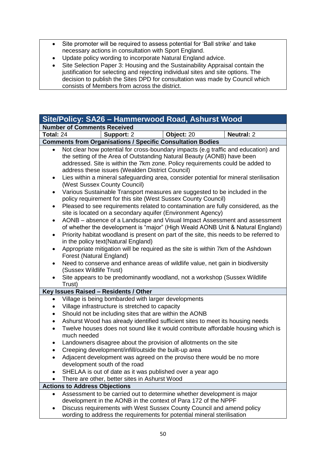- Site promoter will be required to assess potential for 'Ball strike' and take necessary actions in consultation with Sport England.
- Update policy wording to incorporate Natural England advice.
- Site Selection Paper 3: Housing and the Sustainability Appraisal contain the justification for selecting and rejecting individual sites and site options. The decision to publish the Sites DPD for consultation was made by Council which consists of Members from across the district.

|                                                                                                                                                                                                                                                                                                                                                                                                                                                                                                                                                                                                                                                                                                                                                                                                                                 | Site/Policy: SA26 - Hammerwood Road, Ashurst Wood                                                                                                                                                                                                                                                                                                                                                                                                                                                                                                                                                                                                                                                                                                                                                                                                                                                                                                                                                                                                                                                                                                                                                                                                                                                                                       |            |                   |  |  |
|---------------------------------------------------------------------------------------------------------------------------------------------------------------------------------------------------------------------------------------------------------------------------------------------------------------------------------------------------------------------------------------------------------------------------------------------------------------------------------------------------------------------------------------------------------------------------------------------------------------------------------------------------------------------------------------------------------------------------------------------------------------------------------------------------------------------------------|-----------------------------------------------------------------------------------------------------------------------------------------------------------------------------------------------------------------------------------------------------------------------------------------------------------------------------------------------------------------------------------------------------------------------------------------------------------------------------------------------------------------------------------------------------------------------------------------------------------------------------------------------------------------------------------------------------------------------------------------------------------------------------------------------------------------------------------------------------------------------------------------------------------------------------------------------------------------------------------------------------------------------------------------------------------------------------------------------------------------------------------------------------------------------------------------------------------------------------------------------------------------------------------------------------------------------------------------|------------|-------------------|--|--|
|                                                                                                                                                                                                                                                                                                                                                                                                                                                                                                                                                                                                                                                                                                                                                                                                                                 | <b>Number of Comments Received</b>                                                                                                                                                                                                                                                                                                                                                                                                                                                                                                                                                                                                                                                                                                                                                                                                                                                                                                                                                                                                                                                                                                                                                                                                                                                                                                      |            |                   |  |  |
| Total: $24$                                                                                                                                                                                                                                                                                                                                                                                                                                                                                                                                                                                                                                                                                                                                                                                                                     | Support: 2                                                                                                                                                                                                                                                                                                                                                                                                                                                                                                                                                                                                                                                                                                                                                                                                                                                                                                                                                                                                                                                                                                                                                                                                                                                                                                                              | Object: 20 | <b>Neutral: 2</b> |  |  |
|                                                                                                                                                                                                                                                                                                                                                                                                                                                                                                                                                                                                                                                                                                                                                                                                                                 | <b>Comments from Organisations / Specific Consultation Bodies</b>                                                                                                                                                                                                                                                                                                                                                                                                                                                                                                                                                                                                                                                                                                                                                                                                                                                                                                                                                                                                                                                                                                                                                                                                                                                                       |            |                   |  |  |
| $\bullet$<br>$\bullet$<br>$\bullet$<br>$\bullet$<br>$\bullet$<br>$\bullet$<br>$\bullet$<br>٠                                                                                                                                                                                                                                                                                                                                                                                                                                                                                                                                                                                                                                                                                                                                    | Not clear how potential for cross-boundary impacts (e.g traffic and education) and<br>the setting of the Area of Outstanding Natural Beauty (AONB) have been<br>addressed. Site is within the 7km zone. Policy requirements could be added to<br>address these issues (Wealden District Council)<br>Lies within a mineral safeguarding area, consider potential for mineral sterilisation<br>(West Sussex County Council)<br>Various Sustainable Transport measures are suggested to be included in the<br>policy requirement for this site (West Sussex County Council)<br>Pleased to see requirements related to contamination are fully considered, as the<br>site is located on a secondary aquifer (Environment Agency)<br>AONB - absence of a Landscape and Visual Impact Assessment and assessment<br>of whether the development is "major" (High Weald AONB Unit & Natural England)<br>Priority habitat woodland is present on part of the site, this needs to be referred to<br>in the policy text(Natural England)<br>Appropriate mitigation will be required as the site is within 7km of the Ashdown<br>Forest (Natural England)<br>Need to conserve and enhance areas of wildlife value, net gain in biodiversity<br>(Sussex Wildlife Trust)<br>Site appears to be predominantly woodland, not a workshop (Sussex Wildlife |            |                   |  |  |
|                                                                                                                                                                                                                                                                                                                                                                                                                                                                                                                                                                                                                                                                                                                                                                                                                                 | Trust)                                                                                                                                                                                                                                                                                                                                                                                                                                                                                                                                                                                                                                                                                                                                                                                                                                                                                                                                                                                                                                                                                                                                                                                                                                                                                                                                  |            |                   |  |  |
|                                                                                                                                                                                                                                                                                                                                                                                                                                                                                                                                                                                                                                                                                                                                                                                                                                 | Key Issues Raised - Residents / Other                                                                                                                                                                                                                                                                                                                                                                                                                                                                                                                                                                                                                                                                                                                                                                                                                                                                                                                                                                                                                                                                                                                                                                                                                                                                                                   |            |                   |  |  |
| Village is being bombarded with larger developments<br>$\bullet$<br>Village infrastructure is stretched to capacity<br>٠<br>Should not be including sites that are within the AONB<br>$\bullet$<br>Ashurst Wood has already identified sufficient sites to meet its housing needs<br>$\bullet$<br>Twelve houses does not sound like it would contribute affordable housing which is<br>$\bullet$<br>much needed<br>Landowners disagree about the provision of allotments on the site<br>٠<br>Creeping development/infill/outside the built-up area<br>$\bullet$<br>Adjacent development was agreed on the proviso there would be no more<br>development south of the road<br>SHELAA is out of date as it was published over a year ago<br>There are other, better sites in Ashurst Wood<br><b>Actions to Address Objections</b> |                                                                                                                                                                                                                                                                                                                                                                                                                                                                                                                                                                                                                                                                                                                                                                                                                                                                                                                                                                                                                                                                                                                                                                                                                                                                                                                                         |            |                   |  |  |
|                                                                                                                                                                                                                                                                                                                                                                                                                                                                                                                                                                                                                                                                                                                                                                                                                                 | Assessment to be carried out to determine whether development is major                                                                                                                                                                                                                                                                                                                                                                                                                                                                                                                                                                                                                                                                                                                                                                                                                                                                                                                                                                                                                                                                                                                                                                                                                                                                  |            |                   |  |  |
|                                                                                                                                                                                                                                                                                                                                                                                                                                                                                                                                                                                                                                                                                                                                                                                                                                 | development in the AONB in the context of Para 172 of the NPPF<br>Discuss requirements with West Sussex County Council and amend policy                                                                                                                                                                                                                                                                                                                                                                                                                                                                                                                                                                                                                                                                                                                                                                                                                                                                                                                                                                                                                                                                                                                                                                                                 |            |                   |  |  |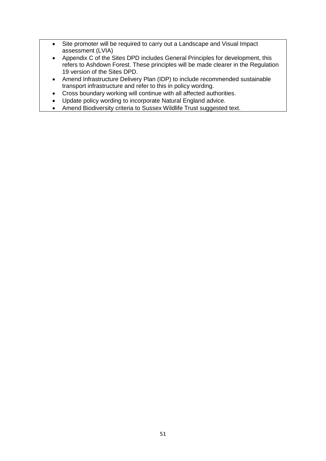- Site promoter will be required to carry out a Landscape and Visual Impact assessment (LVIA)
- Appendix C of the Sites DPD includes General Principles for development, this refers to Ashdown Forest. These principles will be made clearer in the Regulation 19 version of the Sites DPD.
- Amend Infrastructure Delivery Plan (IDP) to include recommended sustainable transport infrastructure and refer to this in policy wording.
- Cross boundary working will continue with all affected authorities.
- Update policy wording to incorporate Natural England advice.
- Amend Biodiversity criteria to Sussex Wildlife Trust suggested text.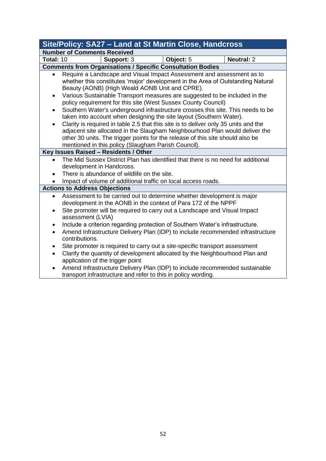|                                                                                                                                                                                                                                                                                                                                                                                                                                                                                                                                                                                                                                                                                                                                                                                                                                                       | Site/Policy: SA27 - Land at St Martin Close, Handcross                                                                                                                                                                                                          |           |                   |  |  |  |
|-------------------------------------------------------------------------------------------------------------------------------------------------------------------------------------------------------------------------------------------------------------------------------------------------------------------------------------------------------------------------------------------------------------------------------------------------------------------------------------------------------------------------------------------------------------------------------------------------------------------------------------------------------------------------------------------------------------------------------------------------------------------------------------------------------------------------------------------------------|-----------------------------------------------------------------------------------------------------------------------------------------------------------------------------------------------------------------------------------------------------------------|-----------|-------------------|--|--|--|
|                                                                                                                                                                                                                                                                                                                                                                                                                                                                                                                                                                                                                                                                                                                                                                                                                                                       | <b>Number of Comments Received</b>                                                                                                                                                                                                                              |           |                   |  |  |  |
| Total: 10                                                                                                                                                                                                                                                                                                                                                                                                                                                                                                                                                                                                                                                                                                                                                                                                                                             | Support: 3                                                                                                                                                                                                                                                      | Object: 5 | <b>Neutral: 2</b> |  |  |  |
|                                                                                                                                                                                                                                                                                                                                                                                                                                                                                                                                                                                                                                                                                                                                                                                                                                                       | <b>Comments from Organisations / Specific Consultation Bodies</b>                                                                                                                                                                                               |           |                   |  |  |  |
| Require a Landscape and Visual Impact Assessment and assessment as to<br>whether this constitutes 'major' development in the Area of Outstanding Natural<br>Beauty (AONB) (High Weald AONB Unit and CPRE).<br>Various Sustainable Transport measures are suggested to be included in the<br>٠<br>policy requirement for this site (West Sussex County Council)<br>Southern Water's underground infrastructure crosses this site. This needs to be<br>$\bullet$<br>taken into account when designing the site layout (Southern Water).<br>Clarity is required in table 2.5 that this site is to deliver only 35 units and the<br>adjacent site allocated in the Slaugham Neighbourhood Plan would deliver the<br>other 30 units. The trigger points for the release of this site should also be<br>mentioned in this policy (Slaugham Parish Council). |                                                                                                                                                                                                                                                                 |           |                   |  |  |  |
|                                                                                                                                                                                                                                                                                                                                                                                                                                                                                                                                                                                                                                                                                                                                                                                                                                                       | Key Issues Raised - Residents / Other                                                                                                                                                                                                                           |           |                   |  |  |  |
| $\bullet$                                                                                                                                                                                                                                                                                                                                                                                                                                                                                                                                                                                                                                                                                                                                                                                                                                             | The Mid Sussex District Plan has identified that there is no need for additional<br>development in Handcross.<br>There is abundance of wildlife on the site.<br>Impact of volume of additional traffic on local access roads.                                   |           |                   |  |  |  |
|                                                                                                                                                                                                                                                                                                                                                                                                                                                                                                                                                                                                                                                                                                                                                                                                                                                       | <b>Actions to Address Objections</b>                                                                                                                                                                                                                            |           |                   |  |  |  |
| ٠                                                                                                                                                                                                                                                                                                                                                                                                                                                                                                                                                                                                                                                                                                                                                                                                                                                     | Assessment to be carried out to determine whether development is major<br>development in the AONB in the context of Para 172 of the NPPF<br>Site promoter will be required to carry out a Landscape and Visual Impact<br>assessment (LVIA)                      |           |                   |  |  |  |
| ٠<br>$\bullet$<br>$\bullet$                                                                                                                                                                                                                                                                                                                                                                                                                                                                                                                                                                                                                                                                                                                                                                                                                           | Include a criterion regarding protection of Southern Water's infrastructure.<br>Amend Infrastructure Delivery Plan (IDP) to include recommended infrastructure<br>contributions.<br>Site promoter is required to carry out a site-specific transport assessment |           |                   |  |  |  |
| $\bullet$                                                                                                                                                                                                                                                                                                                                                                                                                                                                                                                                                                                                                                                                                                                                                                                                                                             | Clarify the quantity of development allocated by the Neighbourhood Plan and<br>application of the trigger point<br>Amend Infrastructure Delivery Plan (IDP) to include recommended sustainable<br>transport infrastructure and refer to this in policy wording. |           |                   |  |  |  |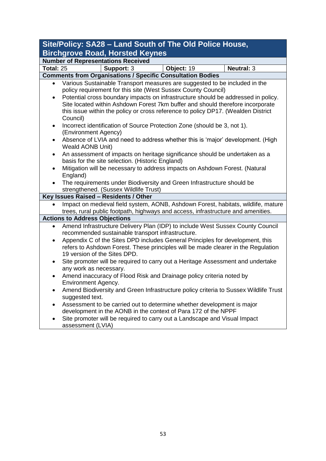| Site/Policy: SA28 - Land South of The Old Police House, |                                                                                                                                                                     |            |                   |  |  |  |  |
|---------------------------------------------------------|---------------------------------------------------------------------------------------------------------------------------------------------------------------------|------------|-------------------|--|--|--|--|
|                                                         | <b>Birchgrove Road, Horsted Keynes</b>                                                                                                                              |            |                   |  |  |  |  |
|                                                         | <b>Number of Representations Received</b>                                                                                                                           |            |                   |  |  |  |  |
| <b>Total: 25</b>                                        | Support: 3                                                                                                                                                          | Object: 19 | <b>Neutral: 3</b> |  |  |  |  |
|                                                         | <b>Comments from Organisations / Specific Consultation Bodies</b>                                                                                                   |            |                   |  |  |  |  |
| $\bullet$                                               | Various Sustainable Transport measures are suggested to be included in the                                                                                          |            |                   |  |  |  |  |
|                                                         | policy requirement for this site (West Sussex County Council)                                                                                                       |            |                   |  |  |  |  |
| $\bullet$                                               | Potential cross boundary impacts on infrastructure should be addressed in policy.                                                                                   |            |                   |  |  |  |  |
|                                                         | Site located within Ashdown Forest 7km buffer and should therefore incorporate<br>this issue within the policy or cross reference to policy DP17. (Wealden District |            |                   |  |  |  |  |
|                                                         | Council)                                                                                                                                                            |            |                   |  |  |  |  |
| $\bullet$                                               | Incorrect identification of Source Protection Zone (should be 3, not 1).                                                                                            |            |                   |  |  |  |  |
|                                                         | (Environment Agency)                                                                                                                                                |            |                   |  |  |  |  |
| $\bullet$                                               | Absence of LVIA and need to address whether this is 'major' development. (High                                                                                      |            |                   |  |  |  |  |
|                                                         | Weald AONB Unit)                                                                                                                                                    |            |                   |  |  |  |  |
| ٠                                                       | An assessment of impacts on heritage significance should be undertaken as a                                                                                         |            |                   |  |  |  |  |
|                                                         | basis for the site selection. (Historic England)                                                                                                                    |            |                   |  |  |  |  |
| $\bullet$                                               | Mitigation will be necessary to address impacts on Ashdown Forest. (Natural                                                                                         |            |                   |  |  |  |  |
|                                                         | England)                                                                                                                                                            |            |                   |  |  |  |  |
|                                                         | The requirements under Biodiversity and Green Infrastructure should be                                                                                              |            |                   |  |  |  |  |
|                                                         | strengthened. (Sussex Wildlife Trust)                                                                                                                               |            |                   |  |  |  |  |
|                                                         | Key Issues Raised - Residents / Other<br>Impact on medieval field system, AONB, Ashdown Forest, habitats, wildlife, mature                                          |            |                   |  |  |  |  |
|                                                         | trees, rural public footpath, highways and access, infrastructure and amenities.                                                                                    |            |                   |  |  |  |  |
|                                                         | <b>Actions to Address Objections</b>                                                                                                                                |            |                   |  |  |  |  |
| $\bullet$                                               | Amend Infrastructure Delivery Plan (IDP) to include West Sussex County Council                                                                                      |            |                   |  |  |  |  |
|                                                         | recommended sustainable transport infrastructure.                                                                                                                   |            |                   |  |  |  |  |
| $\bullet$                                               | Appendix C of the Sites DPD includes General Principles for development, this                                                                                       |            |                   |  |  |  |  |
|                                                         | refers to Ashdown Forest. These principles will be made clearer in the Regulation                                                                                   |            |                   |  |  |  |  |
|                                                         | 19 version of the Sites DPD.                                                                                                                                        |            |                   |  |  |  |  |
| $\bullet$                                               | Site promoter will be required to carry out a Heritage Assessment and undertake                                                                                     |            |                   |  |  |  |  |
|                                                         | any work as necessary.                                                                                                                                              |            |                   |  |  |  |  |
| ٠                                                       | Amend inaccuracy of Flood Risk and Drainage policy criteria noted by                                                                                                |            |                   |  |  |  |  |
|                                                         | Environment Agency.                                                                                                                                                 |            |                   |  |  |  |  |
|                                                         | Amend Biodiversity and Green Infrastructure policy criteria to Sussex Wildlife Trust<br>suggested text.                                                             |            |                   |  |  |  |  |
|                                                         | Assessment to be carried out to determine whether development is major                                                                                              |            |                   |  |  |  |  |
|                                                         | development in the AONB in the context of Para 172 of the NPPF                                                                                                      |            |                   |  |  |  |  |
|                                                         | Site promoter will be required to carry out a Landscape and Visual Impact                                                                                           |            |                   |  |  |  |  |
|                                                         | assessment (LVIA)                                                                                                                                                   |            |                   |  |  |  |  |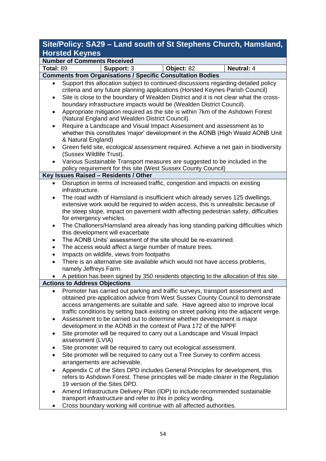## **Site/Policy: SA29 – Land south of St Stephens Church, Hamsland, Horsted Keynes**

|                        | <b>Number of Comments Received</b>                                                                                                                                                                                                                                                                                                         |            |                   |  |  |  |
|------------------------|--------------------------------------------------------------------------------------------------------------------------------------------------------------------------------------------------------------------------------------------------------------------------------------------------------------------------------------------|------------|-------------------|--|--|--|
| Total: 89              | Support: 3                                                                                                                                                                                                                                                                                                                                 | Object: 82 | <b>Neutral: 4</b> |  |  |  |
|                        | <b>Comments from Organisations / Specific Consultation Bodies</b>                                                                                                                                                                                                                                                                          |            |                   |  |  |  |
| $\bullet$<br>$\bullet$ | Support this allocation subject to continued discussions regarding detailed policy<br>criteria and any future planning applications (Horsted Keynes Parish Council)<br>Site is close to the boundary of Wealden District and it is not clear what the cross-                                                                               |            |                   |  |  |  |
|                        | boundary infrastructure impacts would be (Wealden District Council).                                                                                                                                                                                                                                                                       |            |                   |  |  |  |
| $\bullet$              | Appropriate mitigation required as the site is within 7km of the Ashdown Forest<br>(Natural England and Wealden District Council).                                                                                                                                                                                                         |            |                   |  |  |  |
| $\bullet$              | Require a Landscape and Visual Impact Assessment and assessment as to<br>whether this constitutes 'major' development in the AONB (High Weald AONB Unit<br>& Natural England)                                                                                                                                                              |            |                   |  |  |  |
| $\bullet$              | Green field site, ecological assessment required. Achieve a net gain in biodiversity<br>(Sussex Wildlife Trust).                                                                                                                                                                                                                           |            |                   |  |  |  |
|                        | Various Sustainable Transport measures are suggested to be included in the<br>policy requirement for this site (West Sussex County Council)                                                                                                                                                                                                |            |                   |  |  |  |
|                        | Key Issues Raised - Residents / Other                                                                                                                                                                                                                                                                                                      |            |                   |  |  |  |
| $\bullet$              | Disruption in terms of increased traffic, congestion and impacts on existing<br>infrastructure.                                                                                                                                                                                                                                            |            |                   |  |  |  |
|                        | The road width of Hamsland is insufficient which already serves 125 dwellings,<br>extensive work would be required to widen access, this is unrealistic because of<br>the steep slope, impact on pavement width affecting pedestrian safety, difficulties                                                                                  |            |                   |  |  |  |
| $\bullet$              | for emergency vehicles.<br>The Challoners/Hamsland area already has long standing parking difficulties which<br>this development will exacerbate                                                                                                                                                                                           |            |                   |  |  |  |
|                        | The AONB Units' assessment of the site should be re-examined.                                                                                                                                                                                                                                                                              |            |                   |  |  |  |
|                        | The access would affect a large number of mature trees.                                                                                                                                                                                                                                                                                    |            |                   |  |  |  |
|                        | Impacts on wildlife, views from footpaths                                                                                                                                                                                                                                                                                                  |            |                   |  |  |  |
| $\bullet$              | There is an alternative site available which would not have access problems,<br>namely Jeffreys Farm.                                                                                                                                                                                                                                      |            |                   |  |  |  |
|                        | A petition has been signed by 350 residents objecting to the allocation of this site.                                                                                                                                                                                                                                                      |            |                   |  |  |  |
|                        | <b>Actions to Address Objections</b>                                                                                                                                                                                                                                                                                                       |            |                   |  |  |  |
| $\bullet$              | Promoter has carried out parking and traffic surveys, transport assessment and<br>obtained pre-application advice from West Sussex County Council to demonstrate<br>access arrangements are suitable and safe. Have agreed also to improve local<br>traffic conditions by setting back existing on street parking into the adjacent verge. |            |                   |  |  |  |
| $\bullet$              | Assessment to be carried out to determine whether development is major<br>development in the AONB in the context of Para 172 of the NPPF                                                                                                                                                                                                   |            |                   |  |  |  |
| ٠                      | Site promoter will be required to carry out a Landscape and Visual Impact<br>assessment (LVIA)                                                                                                                                                                                                                                             |            |                   |  |  |  |
|                        | Site promoter will be required to carry out ecological assessment.                                                                                                                                                                                                                                                                         |            |                   |  |  |  |
|                        | Site promoter will be required to carry out a Tree Survey to confirm access<br>arrangements are achievable.                                                                                                                                                                                                                                |            |                   |  |  |  |
| $\bullet$              | Appendix C of the Sites DPD includes General Principles for development, this<br>refers to Ashdown Forest. These principles will be made clearer in the Regulation<br>19 version of the Sites DPD.                                                                                                                                         |            |                   |  |  |  |
| $\bullet$              | Amend Infrastructure Delivery Plan (IDP) to include recommended sustainable<br>transport infrastructure and refer to this in policy wording.                                                                                                                                                                                               |            |                   |  |  |  |
|                        | Cross boundary working will continue with all affected authorities.                                                                                                                                                                                                                                                                        |            |                   |  |  |  |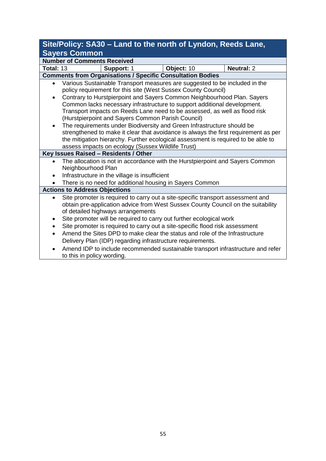## **Site/Policy: SA30 – Land to the north of Lyndon, Reeds Lane, Sayers Common**

|           | ________<br><b>Number of Comments Received</b>                                                                         |  |  |  |  |  |
|-----------|------------------------------------------------------------------------------------------------------------------------|--|--|--|--|--|
|           | <b>Total: 13</b><br>Object: 10<br><b>Neutral: 2</b><br>Support: 1                                                      |  |  |  |  |  |
|           | <b>Comments from Organisations / Specific Consultation Bodies</b>                                                      |  |  |  |  |  |
| $\bullet$ | Various Sustainable Transport measures are suggested to be included in the                                             |  |  |  |  |  |
|           | policy requirement for this site (West Sussex County Council)                                                          |  |  |  |  |  |
| $\bullet$ | Contrary to Hurstpierpoint and Sayers Common Neighbourhood Plan. Sayers                                                |  |  |  |  |  |
|           | Common lacks necessary infrastructure to support additional development.                                               |  |  |  |  |  |
|           | Transport impacts on Reeds Lane need to be assessed, as well as flood risk                                             |  |  |  |  |  |
|           | (Hurstpierpoint and Sayers Common Parish Council)                                                                      |  |  |  |  |  |
| $\bullet$ | The requirements under Biodiversity and Green Infrastructure should be                                                 |  |  |  |  |  |
|           | strengthened to make it clear that avoidance is always the first requirement as per                                    |  |  |  |  |  |
|           | the mitigation hierarchy. Further ecological assessment is required to be able to                                      |  |  |  |  |  |
|           | assess impacts on ecology (Sussex Wildlife Trust)                                                                      |  |  |  |  |  |
|           | Key Issues Raised - Residents / Other<br>The allocation is not in accordance with the Hurstpierpoint and Sayers Common |  |  |  |  |  |
|           |                                                                                                                        |  |  |  |  |  |
|           | Neighbourhood Plan                                                                                                     |  |  |  |  |  |
|           | Infrastructure in the village is insufficient                                                                          |  |  |  |  |  |
|           | There is no need for additional housing in Sayers Common                                                               |  |  |  |  |  |
|           | <b>Actions to Address Objections</b>                                                                                   |  |  |  |  |  |
|           | Site promoter is required to carry out a site-specific transport assessment and                                        |  |  |  |  |  |
|           | obtain pre-application advice from West Sussex County Council on the suitability                                       |  |  |  |  |  |
|           | of detailed highways arrangements                                                                                      |  |  |  |  |  |
|           | Site promoter will be required to carry out further ecological work                                                    |  |  |  |  |  |
| $\bullet$ | Site promoter is required to carry out a site-specific flood risk assessment                                           |  |  |  |  |  |
| $\bullet$ | Amend the Sites DPD to make clear the status and role of the Infrastructure                                            |  |  |  |  |  |
|           | Delivery Plan (IDP) regarding infrastructure requirements.                                                             |  |  |  |  |  |
|           | Amend IDP to include recommended sustainable transport infrastructure and refer                                        |  |  |  |  |  |
|           | to this in policy wording.                                                                                             |  |  |  |  |  |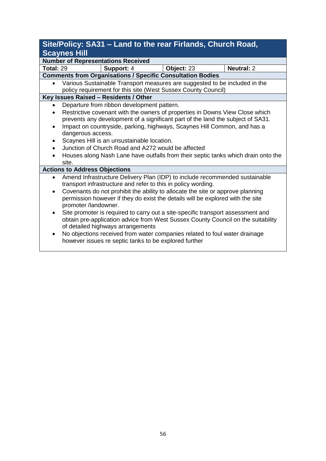## **Site/Policy: SA31 – Land to the rear Firlands, Church Road, Scaynes Hill**

**Number of Representations Received Total:** 29 **Support:** 4 **Object:** 23 **Neutral:** 2 **Comments from Organisations / Specific Consultation Bodies** • Various Sustainable Transport measures are suggested to be included in the policy requirement for this site (West Sussex County Council) **Key Issues Raised – Residents / Other**

- Departure from ribbon development pattern.
- Restrictive covenant with the owners of properties in Downs View Close which prevents any development of a significant part of the land the subject of SA31.
- Impact on countryside, parking, highways, Scaynes Hill Common, and has a dangerous access.
- Scaynes Hill is an unsustainable location.
- Junction of Church Road and A272 would be affected
- Houses along Nash Lane have outfalls from their septic tanks which drain onto the site.

#### **Actions to Address Objections**

- Amend Infrastructure Delivery Plan (IDP) to include recommended sustainable transport infrastructure and refer to this in policy wording.
- Covenants do not prohibit the ability to allocate the site or approve planning permission however if they do exist the details will be explored with the site promoter /landowner.
- Site promoter is required to carry out a site-specific transport assessment and obtain pre-application advice from West Sussex County Council on the suitability of detailed highways arrangements
- No objections received from water companies related to foul water drainage however issues re septic tanks to be explored further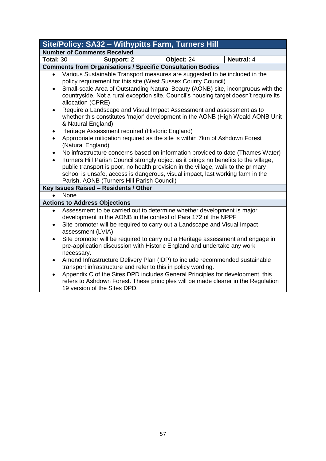|                                                                                                                                                                                                                                                                                                                                                                                                                                                                                                                                                                                                                                                                                                                                                                                                                                                                                                                                                                                                                                                                                             | <b>Site/Policy: SA32 - Withypitts Farm, Turners Hill</b>                                                                                                                                                                                                                                                                                           |            |                   |  |  |  |
|---------------------------------------------------------------------------------------------------------------------------------------------------------------------------------------------------------------------------------------------------------------------------------------------------------------------------------------------------------------------------------------------------------------------------------------------------------------------------------------------------------------------------------------------------------------------------------------------------------------------------------------------------------------------------------------------------------------------------------------------------------------------------------------------------------------------------------------------------------------------------------------------------------------------------------------------------------------------------------------------------------------------------------------------------------------------------------------------|----------------------------------------------------------------------------------------------------------------------------------------------------------------------------------------------------------------------------------------------------------------------------------------------------------------------------------------------------|------------|-------------------|--|--|--|
|                                                                                                                                                                                                                                                                                                                                                                                                                                                                                                                                                                                                                                                                                                                                                                                                                                                                                                                                                                                                                                                                                             | <b>Number of Comments Received</b>                                                                                                                                                                                                                                                                                                                 |            |                   |  |  |  |
| <b>Total: 30</b>                                                                                                                                                                                                                                                                                                                                                                                                                                                                                                                                                                                                                                                                                                                                                                                                                                                                                                                                                                                                                                                                            | Support: 2                                                                                                                                                                                                                                                                                                                                         | Object: 24 | <b>Neutral: 4</b> |  |  |  |
|                                                                                                                                                                                                                                                                                                                                                                                                                                                                                                                                                                                                                                                                                                                                                                                                                                                                                                                                                                                                                                                                                             |                                                                                                                                                                                                                                                                                                                                                    |            |                   |  |  |  |
| <b>Comments from Organisations / Specific Consultation Bodies</b><br>Various Sustainable Transport measures are suggested to be included in the<br>$\bullet$<br>policy requirement for this site (West Sussex County Council)<br>Small-scale Area of Outstanding Natural Beauty (AONB) site, incongruous with the<br>$\bullet$<br>countryside. Not a rural exception site. Council's housing target doesn't require its<br>allocation (CPRE)<br>Require a Landscape and Visual Impact Assessment and assessment as to<br>$\bullet$<br>whether this constitutes 'major' development in the AONB (High Weald AONB Unit<br>& Natural England)<br>Heritage Assessment required (Historic England)<br>Appropriate mitigation required as the site is within 7km of Ashdown Forest<br>$\bullet$<br>(Natural England)<br>No infrastructure concerns based on information provided to date (Thames Water)<br>Turners Hill Parish Council strongly object as it brings no benefits to the village,<br>$\bullet$<br>public transport is poor, no health provision in the village, walk to the primary |                                                                                                                                                                                                                                                                                                                                                    |            |                   |  |  |  |
|                                                                                                                                                                                                                                                                                                                                                                                                                                                                                                                                                                                                                                                                                                                                                                                                                                                                                                                                                                                                                                                                                             | school is unsafe, access is dangerous, visual impact, last working farm in the<br>Parish, AONB (Turners Hill Parish Council)                                                                                                                                                                                                                       |            |                   |  |  |  |
| Key Issues Raised - Residents / Other                                                                                                                                                                                                                                                                                                                                                                                                                                                                                                                                                                                                                                                                                                                                                                                                                                                                                                                                                                                                                                                       |                                                                                                                                                                                                                                                                                                                                                    |            |                   |  |  |  |
| None                                                                                                                                                                                                                                                                                                                                                                                                                                                                                                                                                                                                                                                                                                                                                                                                                                                                                                                                                                                                                                                                                        |                                                                                                                                                                                                                                                                                                                                                    |            |                   |  |  |  |
|                                                                                                                                                                                                                                                                                                                                                                                                                                                                                                                                                                                                                                                                                                                                                                                                                                                                                                                                                                                                                                                                                             | <b>Actions to Address Objections</b>                                                                                                                                                                                                                                                                                                               |            |                   |  |  |  |
| $\bullet$                                                                                                                                                                                                                                                                                                                                                                                                                                                                                                                                                                                                                                                                                                                                                                                                                                                                                                                                                                                                                                                                                   | Assessment to be carried out to determine whether development is major<br>development in the AONB in the context of Para 172 of the NPPF<br>Site promoter will be required to carry out a Landscape and Visual Impact<br>assessment (LVIA)                                                                                                         |            |                   |  |  |  |
| $\bullet$                                                                                                                                                                                                                                                                                                                                                                                                                                                                                                                                                                                                                                                                                                                                                                                                                                                                                                                                                                                                                                                                                   | Site promoter will be required to carry out a Heritage assessment and engage in<br>pre-application discussion with Historic England and undertake any work<br>necessary.                                                                                                                                                                           |            |                   |  |  |  |
| $\bullet$<br>$\bullet$                                                                                                                                                                                                                                                                                                                                                                                                                                                                                                                                                                                                                                                                                                                                                                                                                                                                                                                                                                                                                                                                      | Amend Infrastructure Delivery Plan (IDP) to include recommended sustainable<br>transport infrastructure and refer to this in policy wording.<br>Appendix C of the Sites DPD includes General Principles for development, this<br>refers to Ashdown Forest. These principles will be made clearer in the Regulation<br>19 version of the Sites DPD. |            |                   |  |  |  |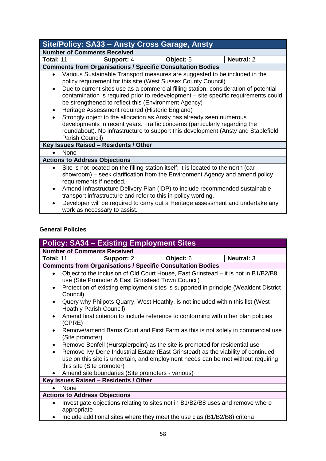| Site/Policy: SA33 - Ansty Cross Garage, Ansty                                                                                                                                                                                                                                                                                                                                                                                                                                                                                                                                                                                                                                                                                              |                                                                                                                                                                                              |           |                   |  |  |
|--------------------------------------------------------------------------------------------------------------------------------------------------------------------------------------------------------------------------------------------------------------------------------------------------------------------------------------------------------------------------------------------------------------------------------------------------------------------------------------------------------------------------------------------------------------------------------------------------------------------------------------------------------------------------------------------------------------------------------------------|----------------------------------------------------------------------------------------------------------------------------------------------------------------------------------------------|-----------|-------------------|--|--|
|                                                                                                                                                                                                                                                                                                                                                                                                                                                                                                                                                                                                                                                                                                                                            | <b>Number of Comments Received</b>                                                                                                                                                           |           |                   |  |  |
| Total: 11                                                                                                                                                                                                                                                                                                                                                                                                                                                                                                                                                                                                                                                                                                                                  | Support: 4                                                                                                                                                                                   | Object: 5 | <b>Neutral: 2</b> |  |  |
|                                                                                                                                                                                                                                                                                                                                                                                                                                                                                                                                                                                                                                                                                                                                            | <b>Comments from Organisations / Specific Consultation Bodies</b>                                                                                                                            |           |                   |  |  |
| Various Sustainable Transport measures are suggested to be included in the<br>policy requirement for this site (West Sussex County Council)<br>Due to current sites use as a commercial filling station, consideration of potential<br>$\bullet$<br>contamination is required prior to redevelopment – site specific requirements could<br>be strengthened to reflect this (Environment Agency)<br>Heritage Assessment required (Historic England)<br>$\bullet$<br>Strongly object to the allocation as Ansty has already seen numerous<br>$\bullet$<br>developments in recent years. Traffic concerns (particularly regarding the<br>roundabout). No infrastructure to support this development (Ansty and Staplefield<br>Parish Council) |                                                                                                                                                                                              |           |                   |  |  |
| Key Issues Raised - Residents / Other                                                                                                                                                                                                                                                                                                                                                                                                                                                                                                                                                                                                                                                                                                      |                                                                                                                                                                                              |           |                   |  |  |
| <b>None</b>                                                                                                                                                                                                                                                                                                                                                                                                                                                                                                                                                                                                                                                                                                                                |                                                                                                                                                                                              |           |                   |  |  |
|                                                                                                                                                                                                                                                                                                                                                                                                                                                                                                                                                                                                                                                                                                                                            | <b>Actions to Address Objections</b>                                                                                                                                                         |           |                   |  |  |
| $\bullet$                                                                                                                                                                                                                                                                                                                                                                                                                                                                                                                                                                                                                                                                                                                                  | Site is not located on the filling station itself; it is located to the north (car<br>showroom) – seek clarification from the Environment Agency and amend policy<br>requirements if needed. |           |                   |  |  |
| $\bullet$                                                                                                                                                                                                                                                                                                                                                                                                                                                                                                                                                                                                                                                                                                                                  | Amend Infrastructure Delivery Plan (IDP) to include recommended sustainable<br>transport infrastructure and refer to this in policy wording.                                                 |           |                   |  |  |
| $\bullet$                                                                                                                                                                                                                                                                                                                                                                                                                                                                                                                                                                                                                                                                                                                                  | Developer will be required to carry out a Heritage assessment and undertake any<br>work as necessary to assist.                                                                              |           |                   |  |  |

## **General Policies**

| <b>Policy: SA34 - Existing Employment Sites</b> |                                                                                                                                                                                                   |           |                   |  |  |  |
|-------------------------------------------------|---------------------------------------------------------------------------------------------------------------------------------------------------------------------------------------------------|-----------|-------------------|--|--|--|
|                                                 | <b>Number of Comments Received</b>                                                                                                                                                                |           |                   |  |  |  |
| Total: 11                                       | <b>Support: 2</b>                                                                                                                                                                                 | Object: 6 | <b>Neutral: 3</b> |  |  |  |
|                                                 | <b>Comments from Organisations / Specific Consultation Bodies</b>                                                                                                                                 |           |                   |  |  |  |
| $\bullet$                                       | Object to the inclusion of Old Court House, East Grinstead – it is not in B1/B2/B8<br>use (Site Promoter & East Grinstead Town Council)                                                           |           |                   |  |  |  |
| $\bullet$                                       | Protection of existing employment sites is supported in principle (Wealdent District<br>Council)                                                                                                  |           |                   |  |  |  |
| $\bullet$                                       | Query why Philpots Quarry, West Hoathly, is not included within this list (West<br>Hoathly Parish Council)                                                                                        |           |                   |  |  |  |
| $\bullet$                                       | Amend final criterion to include reference to conforming with other plan policies<br>(CPRE)                                                                                                       |           |                   |  |  |  |
| $\bullet$                                       | Remove/amend Barns Court and First Farm as this is not solely in commercial use<br>(Site promoter)                                                                                                |           |                   |  |  |  |
| $\bullet$                                       | Remove Benfell (Hurstpierpoint) as the site is promoted for residential use                                                                                                                       |           |                   |  |  |  |
| $\bullet$                                       | Remove Ivy Dene Industrial Estate (East Grinstead) as the viability of continued<br>use on this site is uncertain, and employment needs can be met without requiring<br>this site (Site promoter) |           |                   |  |  |  |
|                                                 | Amend site boundaries (Site promoters - various)                                                                                                                                                  |           |                   |  |  |  |
| Key Issues Raised - Residents / Other           |                                                                                                                                                                                                   |           |                   |  |  |  |
| None                                            |                                                                                                                                                                                                   |           |                   |  |  |  |
| <b>Actions to Address Objections</b>            |                                                                                                                                                                                                   |           |                   |  |  |  |
| $\bullet$                                       | Investigate objections relating to sites not in B1/B2/B8 uses and remove where<br>appropriate                                                                                                     |           |                   |  |  |  |
|                                                 | Include additional sites where they meet the use clas (B1/B2/B8) criteria                                                                                                                         |           |                   |  |  |  |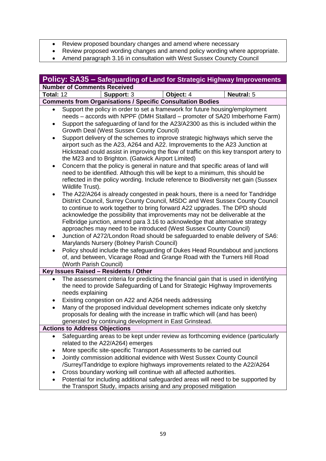- Review proposed boundary changes and amend where necessary
- Review proposed wording changes and amend policy wording where appropriate.
- Amend paragraph 3.16 in consultation with West Sussex Councty Council

| Policy: SA35 – Safeguarding of Land for Strategic Highway Improvements                                                                                                                                                                                                                                                                                                                                                                                                                                                                                                                                                                                                                                                                                                                                                                                                                                                                                                                                                                                                                                                                                                                                                                                                                                                                                                                                                                                                                                                                                                                                                                                                                                                                       |                                                                                                                                                                                                                                                                                                                                                                                                                                                                                                                 |  |  |  |
|----------------------------------------------------------------------------------------------------------------------------------------------------------------------------------------------------------------------------------------------------------------------------------------------------------------------------------------------------------------------------------------------------------------------------------------------------------------------------------------------------------------------------------------------------------------------------------------------------------------------------------------------------------------------------------------------------------------------------------------------------------------------------------------------------------------------------------------------------------------------------------------------------------------------------------------------------------------------------------------------------------------------------------------------------------------------------------------------------------------------------------------------------------------------------------------------------------------------------------------------------------------------------------------------------------------------------------------------------------------------------------------------------------------------------------------------------------------------------------------------------------------------------------------------------------------------------------------------------------------------------------------------------------------------------------------------------------------------------------------------|-----------------------------------------------------------------------------------------------------------------------------------------------------------------------------------------------------------------------------------------------------------------------------------------------------------------------------------------------------------------------------------------------------------------------------------------------------------------------------------------------------------------|--|--|--|
| <b>Number of Comments Received</b>                                                                                                                                                                                                                                                                                                                                                                                                                                                                                                                                                                                                                                                                                                                                                                                                                                                                                                                                                                                                                                                                                                                                                                                                                                                                                                                                                                                                                                                                                                                                                                                                                                                                                                           |                                                                                                                                                                                                                                                                                                                                                                                                                                                                                                                 |  |  |  |
| Total: 12                                                                                                                                                                                                                                                                                                                                                                                                                                                                                                                                                                                                                                                                                                                                                                                                                                                                                                                                                                                                                                                                                                                                                                                                                                                                                                                                                                                                                                                                                                                                                                                                                                                                                                                                    | <b>Neutral: 5</b><br>Support: 3<br>Object: 4                                                                                                                                                                                                                                                                                                                                                                                                                                                                    |  |  |  |
|                                                                                                                                                                                                                                                                                                                                                                                                                                                                                                                                                                                                                                                                                                                                                                                                                                                                                                                                                                                                                                                                                                                                                                                                                                                                                                                                                                                                                                                                                                                                                                                                                                                                                                                                              | <b>Comments from Organisations / Specific Consultation Bodies</b>                                                                                                                                                                                                                                                                                                                                                                                                                                               |  |  |  |
| Support the policy in order to set a framework for future housing/employment<br>$\bullet$<br>needs - accords with NPPF (DMH Stallard - promoter of SA20 Imberhorne Farm)<br>Support the safeguarding of land for the A23/A2300 as this is included within the<br>$\bullet$<br>Growth Deal (West Sussex County Council)<br>Support delivery of the schemes to improve strategic highways which serve the<br>airport such as the A23, A264 and A22. Improvements to the A23 Junction at<br>Hickstead could assist in improving the flow of traffic on this key transport artery to<br>the M23 and to Brighton. (Gatwick Airport Limited)<br>Concern that the policy is general in nature and that specific areas of land will<br>٠<br>need to be identified. Although this will be kept to a minimum, this should be<br>reflected in the policy wording. Include reference to Biodiversity net gain (Sussex<br>Wildlife Trust).<br>The A22/A264 is already congested in peak hours, there is a need for Tandridge<br>٠<br>District Council, Surrey County Council, MSDC and West Sussex County Council<br>to continue to work together to bring forward A22 upgrades. The DPD should<br>acknowledge the possibility that improvements may not be deliverable at the<br>Felbridge junction, amend para 3.16 to acknowledge that alternative strategy<br>approaches may need to be introduced (West Sussex County Council)<br>Junction of A272/London Road should be safeguarded to enable delivery of SA6:<br>Marylands Nursery (Bolney Parish Council)<br>Policy should include the safeguarding of Dukes Head Roundabout and junctions<br>of, and between, Vicarage Road and Grange Road with the Turners Hill Road<br>(Worth Parish Council) |                                                                                                                                                                                                                                                                                                                                                                                                                                                                                                                 |  |  |  |
|                                                                                                                                                                                                                                                                                                                                                                                                                                                                                                                                                                                                                                                                                                                                                                                                                                                                                                                                                                                                                                                                                                                                                                                                                                                                                                                                                                                                                                                                                                                                                                                                                                                                                                                                              | Key Issues Raised - Residents / Other                                                                                                                                                                                                                                                                                                                                                                                                                                                                           |  |  |  |
| ٠<br>$\bullet$                                                                                                                                                                                                                                                                                                                                                                                                                                                                                                                                                                                                                                                                                                                                                                                                                                                                                                                                                                                                                                                                                                                                                                                                                                                                                                                                                                                                                                                                                                                                                                                                                                                                                                                               | The assessment criteria for predicting the financial gain that is used in identifying<br>the need to provide Safeguarding of Land for Strategic Highway Improvements<br>needs explaining<br>Existing congestion on A22 and A264 needs addressing<br>Many of the proposed individual development schemes indicate only sketchy<br>proposals for dealing with the increase in traffic which will (and has been)<br>generated by continuing development in East Grinstead.                                         |  |  |  |
| <b>Actions to Address Objections</b>                                                                                                                                                                                                                                                                                                                                                                                                                                                                                                                                                                                                                                                                                                                                                                                                                                                                                                                                                                                                                                                                                                                                                                                                                                                                                                                                                                                                                                                                                                                                                                                                                                                                                                         |                                                                                                                                                                                                                                                                                                                                                                                                                                                                                                                 |  |  |  |
| $\bullet$                                                                                                                                                                                                                                                                                                                                                                                                                                                                                                                                                                                                                                                                                                                                                                                                                                                                                                                                                                                                                                                                                                                                                                                                                                                                                                                                                                                                                                                                                                                                                                                                                                                                                                                                    | Safeguarding areas to be kept under review as forthcoming evidence (particularly<br>related to the A22/A264) emerges<br>More specific site-specific Transport Assessments to be carried out<br>Jointly commission additional evidence with West Sussex County Council<br>/Surrey/Tandridge to explore highways improvements related to the A22/A264<br>Cross boundary working will continue with all affected authorities.<br>Potential for including additional safeguarded areas will need to be supported by |  |  |  |
|                                                                                                                                                                                                                                                                                                                                                                                                                                                                                                                                                                                                                                                                                                                                                                                                                                                                                                                                                                                                                                                                                                                                                                                                                                                                                                                                                                                                                                                                                                                                                                                                                                                                                                                                              | the Transport Study, impacts arising and any proposed mitigation                                                                                                                                                                                                                                                                                                                                                                                                                                                |  |  |  |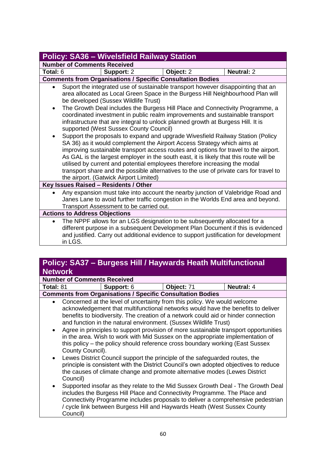| <b>Policy: SA36 - Wivelsfield Railway Station</b>                                                                                                                                                                                                                                                                                                                                                                                                                                                                                                                                                                                                                                                                                                                                                                                                                                                                                                                                                                                                                         |                                                                                      |           |                                                                                                                                                                           |  |  |  |
|---------------------------------------------------------------------------------------------------------------------------------------------------------------------------------------------------------------------------------------------------------------------------------------------------------------------------------------------------------------------------------------------------------------------------------------------------------------------------------------------------------------------------------------------------------------------------------------------------------------------------------------------------------------------------------------------------------------------------------------------------------------------------------------------------------------------------------------------------------------------------------------------------------------------------------------------------------------------------------------------------------------------------------------------------------------------------|--------------------------------------------------------------------------------------|-----------|---------------------------------------------------------------------------------------------------------------------------------------------------------------------------|--|--|--|
|                                                                                                                                                                                                                                                                                                                                                                                                                                                                                                                                                                                                                                                                                                                                                                                                                                                                                                                                                                                                                                                                           | <b>Number of Comments Received</b>                                                   |           |                                                                                                                                                                           |  |  |  |
| Total: 6                                                                                                                                                                                                                                                                                                                                                                                                                                                                                                                                                                                                                                                                                                                                                                                                                                                                                                                                                                                                                                                                  | Support: 2                                                                           | Object: 2 | <b>Neutral: 2</b>                                                                                                                                                         |  |  |  |
|                                                                                                                                                                                                                                                                                                                                                                                                                                                                                                                                                                                                                                                                                                                                                                                                                                                                                                                                                                                                                                                                           | <b>Comments from Organisations / Specific Consultation Bodies</b>                    |           |                                                                                                                                                                           |  |  |  |
| Suport the integrated use of sustainable transport however disappointing that an<br>$\bullet$<br>area allocated as Local Green Space in the Burgess Hill Neighbourhood Plan will<br>be developed (Sussex Wildlife Trust)<br>The Growth Deal includes the Burgess Hill Place and Connectivity Programme, a<br>$\bullet$<br>coordinated investment in public realm improvements and sustainable transport<br>infrastructure that are integral to unlock planned growth at Burgess Hill. It is<br>supported (West Sussex County Council)<br>Support the proposals to expand and upgrade Wivesfield Railway Station (Policy<br>$\bullet$<br>SA 36) as it would complement the Airport Access Strategy which aims at<br>improving sustainable transport access routes and options for travel to the airport.<br>As GAL is the largest employer in the south east, it is likely that this route will be<br>utilised by current and potential employees therefore increasing the modal<br>transport share and the possible alternatives to the use of private cars for travel to |                                                                                      |           |                                                                                                                                                                           |  |  |  |
| the airport. (Gatwick Airport Limited)<br>Key Issues Raised - Residents / Other                                                                                                                                                                                                                                                                                                                                                                                                                                                                                                                                                                                                                                                                                                                                                                                                                                                                                                                                                                                           |                                                                                      |           |                                                                                                                                                                           |  |  |  |
| $\bullet$                                                                                                                                                                                                                                                                                                                                                                                                                                                                                                                                                                                                                                                                                                                                                                                                                                                                                                                                                                                                                                                                 | Transport Assessment to be carried out.                                              |           | Any expansion must take into account the nearby junction of Valebridge Road and<br>Janes Lane to avoid further traffic congestion in the Worlds End area and beyond.      |  |  |  |
| <b>Actions to Address Objections</b>                                                                                                                                                                                                                                                                                                                                                                                                                                                                                                                                                                                                                                                                                                                                                                                                                                                                                                                                                                                                                                      |                                                                                      |           |                                                                                                                                                                           |  |  |  |
| $\bullet$                                                                                                                                                                                                                                                                                                                                                                                                                                                                                                                                                                                                                                                                                                                                                                                                                                                                                                                                                                                                                                                                 | The NPPF allows for an LGS designation to be subsequently allocated for a<br>in LGS. |           | different purpose in a subsequent Development Plan Document if this is evidenced<br>and justified. Carry out additional evidence to support justification for development |  |  |  |

## **Policy: SA37 – Burgess Hill / Haywards Heath Multifunctional Network**

|  | <b>Number of Comments Received</b> |  |
|--|------------------------------------|--|

|  | <b>Total: 81</b> | <b>Support: 6</b> | $\blacksquare$ Object: $7^4$ | <b>Neutral:</b> |
|--|------------------|-------------------|------------------------------|-----------------|
|--|------------------|-------------------|------------------------------|-----------------|

#### **Comments from Organisations / Specific Consultation Bodies**

- Concerned at the level of uncertainty from this policy. We would welcome acknowledgement that multifunctional networks would have the benefits to deliver benefits to biodiversity. The creation of a network could aid or hinder connection and function in the natural environment. (Sussex Wildlife Trust)
- Agree in principles to support provision of more sustainable transport opportunities in the area. Wish to work with Mid Sussex on the appropriate implementation of this policy – the policy should reference cross boundary working (East Sussex County Council).
- Lewes District Council support the principle of the safeguarded routes, the principle is consistent with the District Council's own adopted objectives to reduce the causes of climate change and promote alternative modes (Lewes District Council)
- Supported insofar as they relate to the Mid Sussex Growth Deal The Growth Deal includes the Burgess Hill Place and Connectivity Programme. The Place and Connectivity Programme includes proposals to deliver a comprehensive pedestrian / cycle link between Burgess Hill and Haywards Heath (West Sussex County Council)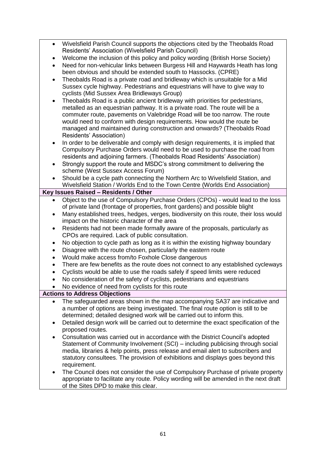- Wivelsfield Parish Council supports the objections cited by the Theobalds Road Residents' Association (Wivelsfield Parish Council)
- Welcome the inclusion of this policy and policy wording (British Horse Society)
- Need for non-vehicular links between Burgess Hill and Haywards Heath has long been obvious and should be extended south to Hassocks. (CPRE)
- Theobalds Road is a private road and bridleway which is unsuitable for a Mid Sussex cycle highway. Pedestrians and equestrians will have to give way to cyclists (Mid Sussex Area Bridleways Group)
- Theobalds Road is a public ancient bridleway with priorities for pedestrians, metalled as an equestrian pathway. It is a private road. The route will be a commuter route, pavements on Valebridge Road will be too narrow. The route would need to conform with design requirements. How would the route be managed and maintained during construction and onwards? (Theobalds Road Residents' Association)
- In order to be deliverable and comply with design requirements, it is implied that Compulsory Purchase Orders would need to be used to purchase the road from residents and adjoining farmers. (Theobalds Road Residents' Association)
- Strongly support the route and MSDC's strong commitment to delivering the scheme (West Sussex Access Forum)
- Should be a cycle path connecting the Northern Arc to Wivelsfield Station, and Wivelsfield Station / Worlds End to the Town Centre (Worlds End Association)

#### **Key Issues Raised – Residents / Other**

- Object to the use of Compulsory Purchase Orders (CPOs) would lead to the loss of private land (frontage of properties, front gardens) and possible blight
- Many established trees, hedges, verges, biodiversity on this route, their loss would impact on the historic character of the area
- Residents had not been made formally aware of the proposals, particularly as CPOs are required. Lack of public consultation.
- No objection to cycle path as long as it is within the existing highway boundary
- Disagree with the route chosen, particularly the eastern route
- Would make access from/to Foxhole Close dangerous
- There are few benefits as the route does not connect to any established cycleways
- Cyclists would be able to use the roads safely if speed limits were reduced
- No consideration of the safety of cyclists, pedestrians and equestrians
- No evidence of need from cyclists for this route

## **Actions to Address Objections**

- The safeguarded areas shown in the map accompanying SA37 are indicative and a number of options are being investigated. The final route option is still to be determined; detailed designed work will be carried out to inform this.
- Detailed design work will be carried out to determine the exact specification of the proposed routes.
- Consultation was carried out in accordance with the District Council's adopted Statement of Community Involvement (SCI) – including publicising through social media, libraries & help points, press release and email alert to subscribers and statutory consultees. The provision of exhibitions and displays goes beyond this requirement.
- The Council does not consider the use of Compulsory Purchase of private property appropriate to facilitate any route. Policy wording will be amended in the next draft of the Sites DPD to make this clear.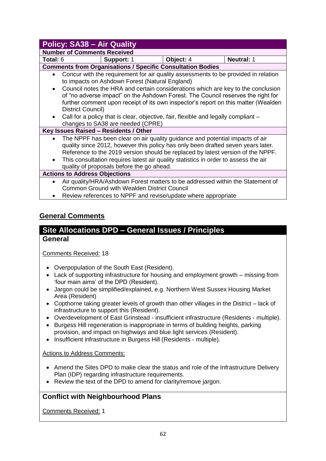|                                                                                                                                                                                                                                                                                                                                                                                                                                                                                                                                         | <b>Policy: SA38 - Air Quality</b>                                          |           |                   |  |  |  |
|-----------------------------------------------------------------------------------------------------------------------------------------------------------------------------------------------------------------------------------------------------------------------------------------------------------------------------------------------------------------------------------------------------------------------------------------------------------------------------------------------------------------------------------------|----------------------------------------------------------------------------|-----------|-------------------|--|--|--|
|                                                                                                                                                                                                                                                                                                                                                                                                                                                                                                                                         | <b>Number of Comments Received</b>                                         |           |                   |  |  |  |
| Total: 6                                                                                                                                                                                                                                                                                                                                                                                                                                                                                                                                | Support: 1                                                                 | Object: 4 | <b>Neutral: 1</b> |  |  |  |
|                                                                                                                                                                                                                                                                                                                                                                                                                                                                                                                                         | <b>Comments from Organisations / Specific Consultation Bodies</b>          |           |                   |  |  |  |
| Concur with the requirement for air quality assessments to be provided in relation<br>$\bullet$<br>to impacts on Ashdown Forest (Natural England)<br>Council notes the HRA and certain considerations which are key to the conclusion<br>$\bullet$<br>of "no adverse impact" on the Ashdown Forest. The Council reserves the right for<br>further comment upon receipt of its own inspector's report on this matter (Wealden<br>District Council)<br>Call for a policy that is clear, objective, fair, flexible and legally compliant – |                                                                            |           |                   |  |  |  |
|                                                                                                                                                                                                                                                                                                                                                                                                                                                                                                                                         | changes to SA38 are needed (CPRE)<br>Key Issues Raised - Residents / Other |           |                   |  |  |  |
| The NPPF has been clear on air quality guidance and potential impacts of air<br>$\bullet$<br>quality since 2012, however this policy has only been drafted seven years later.<br>Reference to the 2019 version should be replaced by latest version of the NPPF.<br>This consultation requires latest air quality statistics in order to assess the air<br>$\bullet$<br>quality of proposals before the go ahead.                                                                                                                       |                                                                            |           |                   |  |  |  |
| <b>Actions to Address Objections</b>                                                                                                                                                                                                                                                                                                                                                                                                                                                                                                    |                                                                            |           |                   |  |  |  |
| Air quality/HRA/Ashdown Forest matters to be addressed within the Statement of<br>$\bullet$<br><b>Common Ground with Wealden District Council</b><br>Review references to NPPF and revise/update where appropriate                                                                                                                                                                                                                                                                                                                      |                                                                            |           |                   |  |  |  |
|                                                                                                                                                                                                                                                                                                                                                                                                                                                                                                                                         |                                                                            |           |                   |  |  |  |

## **General Comments**

# **Site Allocations DPD – General Issues / Principles**

### **General**

Comments Received: 18

- Overpopulation of the South East (Resident).
- Lack of supporting infrastructure for housing and employment growth missing from 'four main aims' of the DPD (Resident).
- Jargon could be simplified/explained, e.g. Northern West Sussex Housing Market Area (Resident)
- Copthorne taking greater levels of growth than other villages in the District lack of infrastructure to support this (Resident).
- Overdevelopment of East Grinstead insufficient infrastructure (Residents multiple).
- Burgess Hill regeneration is inappropriate in terms of building heights, parking provision, and impact on highways and blue light services (Resident).
- Insufficient infrastructure in Burgess Hill (Residents multiple).

#### Actions to Address Comments:

- Amend the Sites DPD to make clear the status and role of the Infrastructure Delivery Plan (IDP) regarding infrastructure requirements.
- Review the text of the DPD to amend for clarity/remove jargon.

## **Conflict with Neighbourhood Plans**

Comments Received: 1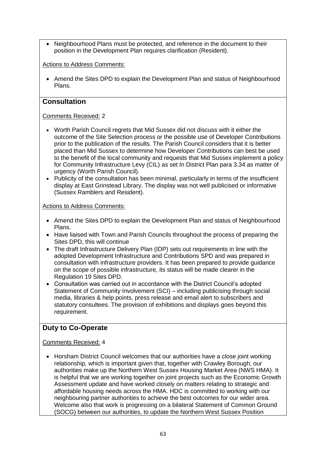• Neighbourhood Plans must be protected, and reference in the document to their position in the Development Plan requires clarification (Resident).

#### Actions to Address Comments:

• Amend the Sites DPD to explain the Development Plan and status of Neighbourhood Plans.

### **Consultation**

#### Comments Received: 2

- Worth Parish Council regrets that Mid Sussex did not discuss with it either the outcome of the Site Selection process or the possible use of Developer Contributions prior to the publication of the results. The Parish Council considers that it is better placed than Mid Sussex to determine how Developer Contributions can best be used to the benefit of the local community and requests that Mid Sussex implement a policy for Community Infrastructure Levy (CIL) as set In District Plan para 3.34 as matter of urgency (Worth Parish Council).
- Publicity of the consultation has been minimal, particularly in terms of the insufficient display at East Grinstead Library. The display was not well publicised or informative (Sussex Ramblers and Resident).

#### Actions to Address Comments:

- Amend the Sites DPD to explain the Development Plan and status of Neighbourhood Plans.
- Have liaised with Town and Parish Councils throughout the process of preparing the Sites DPD, this will continue
- The draft Infrastructure Delivery Plan (IDP) sets out requirements in line with the adopted Development Infrastructure and Contributions SPD and was prepared in consultation with infrastructure providers. It has been prepared to provide guidance on the scope of possible infrastructure, its status will be made clearer in the Regulation 19 Sites DPD.
- Consultation was carried out in accordance with the District Council's adopted Statement of Community Involvement (SCI) – including publicising through social media, libraries & help points, press release and email alert to subscribers and statutory consultees. The provision of exhibitions and displays goes beyond this requirement.

## **Duty to Co-Operate**

#### Comments Received: 4

• Horsham District Council welcomes that our authorities have a close joint working relationship, which is important given that, together with Crawley Borough, our authorities make up the Northern West Sussex Housing Market Area (NWS HMA). It is helpful that we are working together on joint projects such as the Economic Growth Assessment update and have worked closely on matters relating to strategic and affordable housing needs across the HMA. HDC is committed to working with our neighbouring partner authorities to achieve the best outcomes for our wider area. Welcome also that work is progressing on a bilateral Statement of Common Ground (SOCG) between our authorities, to update the Northern West Sussex Position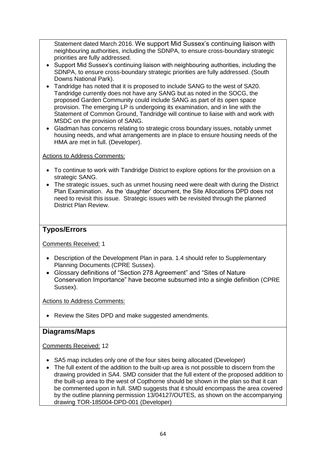Statement dated March 2016. We support Mid Sussex's continuing liaison with neighbouring authorities, including the SDNPA, to ensure cross-boundary strategic priorities are fully addressed.

- Support Mid Sussex's continuing liaison with neighbouring authorities, including the SDNPA, to ensure cross-boundary strategic priorities are fully addressed. (South Downs National Park).
- Tandridge has noted that it is proposed to include SANG to the west of SA20. Tandridge currently does not have any SANG but as noted in the SOCG, the proposed Garden Community could include SANG as part of its open space provision. The emerging LP is undergoing its examination, and in line with the Statement of Common Ground, Tandridge will continue to liaise with and work with MSDC on the provision of SANG.
- Gladman has concerns relating to strategic cross boundary issues, notably unmet housing needs, and what arrangements are in place to ensure housing needs of the HMA are met in full. (Developer).

#### Actions to Address Comments:

- To continue to work with Tandridge District to explore options for the provision on a strategic SANG.
- The strategic issues, such as unmet housing need were dealt with during the District Plan Examination. As the 'daughter' document, the Site Allocations DPD does not need to revisit this issue. Strategic issues with be revisited through the planned District Plan Review.

### **Typos/Errors**

Comments Received: 1

- Description of the Development Plan in para. 1.4 should refer to Supplementary Planning Documents (CPRE Sussex).
- Glossary definitions of "Section 278 Agreement" and "Sites of Nature Conservation Importance" have become subsumed into a single definition (CPRE Sussex).

Actions to Address Comments:

• Review the Sites DPD and make suggested amendments.

### **Diagrams/Maps**

#### Comments Received: 12

- SA5 map includes only one of the four sites being allocated (Developer)
- The full extent of the addition to the built-up area is not possible to discern from the drawing provided in SA4. SMD consider that the full extent of the proposed addition to the built-up area to the west of Copthorne should be shown in the plan so that it can be commented upon in full. SMD suggests that it should encompass the area covered by the outline planning permission 13/04127/OUTES, as shown on the accompanying drawing TOR-185004-DPD-001 (Developer)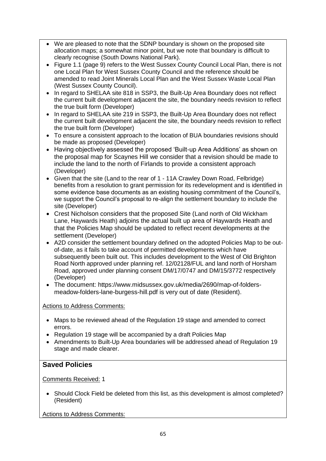- We are pleased to note that the SDNP boundary is shown on the proposed site allocation maps; a somewhat minor point, but we note that boundary is difficult to clearly recognise (South Downs National Park).
- Figure 1.1 (page 9) refers to the West Sussex County Council Local Plan, there is not one Local Plan for West Sussex County Council and the reference should be amended to read Joint Minerals Local Plan and the West Sussex Waste Local Plan (West Sussex County Council).
- In regard to SHELAA site 818 in SSP3, the Built-Up Area Boundary does not reflect the current built development adjacent the site, the boundary needs revision to reflect the true built form (Developer)
- In regard to SHELAA site 219 in SSP3, the Built-Up Area Boundary does not reflect the current built development adjacent the site, the boundary needs revision to reflect the true built form (Developer)
- To ensure a consistent approach to the location of BUA boundaries revisions should be made as proposed (Developer)
- Having objectively assessed the proposed 'Built-up Area Additions' as shown on the proposal map for Scaynes Hill we consider that a revision should be made to include the land to the north of Firlands to provide a consistent approach (Developer)
- Given that the site (Land to the rear of 1 11A Crawley Down Road, Felbridge) benefits from a resolution to grant permission for its redevelopment and is identified in some evidence base documents as an existing housing commitment of the Council's, we support the Council's proposal to re-align the settlement boundary to include the site (Developer)
- Crest Nicholson considers that the proposed Site (Land north of Old Wickham Lane, Haywards Heath) adjoins the actual built up area of Haywards Heath and that the Policies Map should be updated to reflect recent developments at the settlement (Developer)
- A2D consider the settlement boundary defined on the adopted Policies Map to be outof-date, as it fails to take account of permitted developments which have subsequently been built out. This includes development to the West of Old Brighton Road North approved under planning ref. 12/02128/FUL and land north of Horsham Road, approved under planning consent DM/17/0747 and DM/15/3772 respectively (Developer)
- The document: https://www.midsussex.gov.uk/media/2690/map-of-foldersmeadow-folders-lane-burgess-hill.pdf is very out of date (Resident).

### Actions to Address Comments:

- Maps to be reviewed ahead of the Regulation 19 stage and amended to correct errors.
- Regulation 19 stage will be accompanied by a draft Policies Map
- Amendments to Built-Up Area boundaries will be addressed ahead of Regulation 19 stage and made clearer.

## **Saved Policies**

Comments Received: 1

• Should Clock Field be deleted from this list, as this development is almost completed? (Resident)

Actions to Address Comments: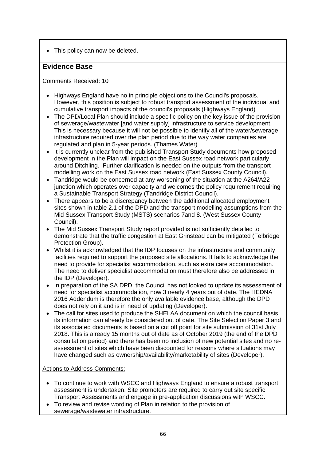• This policy can now be deleted.

## **Evidence Base**

#### Comments Received: 10

- Highways England have no in principle objections to the Council's proposals. However, this position is subject to robust transport assessment of the individual and cumulative transport impacts of the council's proposals (Highways England)
- The DPD/Local Plan should include a specific policy on the key issue of the provision of sewerage/wastewater [and water supply] infrastructure to service development. This is necessary because it will not be possible to identify all of the water/sewerage infrastructure required over the plan period due to the way water companies are regulated and plan in 5-year periods. (Thames Water)
- It is currently unclear from the published Transport Study documents how proposed development in the Plan will impact on the East Sussex road network particularly around Ditchling. Further clarification is needed on the outputs from the transport modelling work on the East Sussex road network (East Sussex County Council).
- Tandridge would be concerned at any worsening of the situation at the A264/A22 junction which operates over capacity and welcomes the policy requirement requiring a Sustainable Transport Strategy (Tandridge District Council).
- There appears to be a discrepancy between the additional allocated employment sites shown in table 2.1 of the DPD and the transport modelling assumptions from the Mid Sussex Transport Study (MSTS) scenarios 7and 8. (West Sussex County Council).
- The Mid Sussex Transport Study report provided is not sufficiently detailed to demonstrate that the traffic congestion at East Grinstead can be mitigated (Felbridge Protection Group).
- Whilst it is acknowledged that the IDP focuses on the infrastructure and community facilities required to support the proposed site allocations. It fails to acknowledge the need to provide for specialist accommodation, such as extra care accommodation. The need to deliver specialist accommodation must therefore also be addressed in the IDP (Developer).
- In preparation of the SA DPD, the Council has not looked to update its assessment of need for specialist accommodation, now 3 nearly 4 years out of date. The HEDNA 2016 Addendum is therefore the only available evidence base, although the DPD does not rely on it and is in need of updating (Developer).
- The call for sites used to produce the SHELAA document on which the council basis its information can already be considered out of date. The Site Selection Paper 3 and its associated documents is based on a cut off point for site submission of 31st July 2018. This is already 15 months out of date as of October 2019 (the end of the DPD consultation period) and there has been no inclusion of new potential sites and no reassessment of sites which have been discounted for reasons where situations may have changed such as ownership/availability/marketability of sites (Developer).

#### Actions to Address Comments:

- To continue to work with WSCC and Highways England to ensure a robust transport assessment is undertaken. Site promoters are required to carry out site specific Transport Assessments and engage in pre-application discussions with WSCC.
- To review and revise wording of Plan in relation to the provision of sewerage/wastewater infrastructure.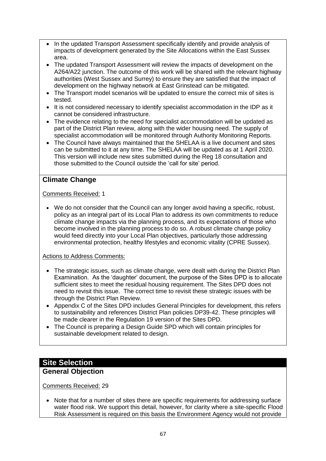- In the updated Transport Assessment specifically identify and provide analysis of impacts of development generated by the Site Allocations within the East Sussex area.
- The updated Transport Assessment will review the impacts of development on the A264/A22 junction. The outcome of this work will be shared with the relevant highway authorities (West Sussex and Surrey) to ensure they are satisfied that the impact of development on the highway network at East Grinstead can be mitigated.
- The Transport model scenarios will be updated to ensure the correct mix of sites is tested.
- It is not considered necessary to identify specialist accommodation in the IDP as it cannot be considered infrastructure.
- The evidence relating to the need for specialist accommodation will be updated as part of the District Plan review, along with the wider housing need. The supply of specialist accommodation will be monitored through Authority Monitoring Reports.
- The Council have always maintained that the SHELAA is a live document and sites can be submitted to it at any time. The SHELAA will be updated as at 1 April 2020. This version will include new sites submitted during the Reg 18 consultation and those submitted to the Council outside the 'call for site' period.

## **Climate Change**

#### Comments Received: 1

• We do not consider that the Council can any longer avoid having a specific, robust, policy as an integral part of its Local Plan to address its own commitments to reduce climate change impacts via the planning process, and its expectations of those who become involved in the planning process to do so. A robust climate change policy would feed directly into your Local Plan objectives, particularly those addressing environmental protection, healthy lifestyles and economic vitality (CPRE Sussex).

#### Actions to Address Comments:

- The strategic issues, such as climate change, were dealt with during the District Plan Examination. As the 'daughter' document, the purpose of the Sites DPD is to allocate sufficient sites to meet the residual housing requirement. The Sites DPD does not need to revisit this issue. The correct time to revisit these strategic issues with be through the District Plan Review.
- Appendix C of the Sites DPD includes General Principles for development, this refers to sustainability and references District Plan policies DP39-42. These principles will be made clearer in the Regulation 19 version of the Sites DPD.
- The Council is preparing a Design Guide SPD which will contain principles for sustainable development related to design.

## **Site Selection**

### **General Objection**

Comments Received: 29

• Note that for a number of sites there are specific requirements for addressing surface water flood risk. We support this detail, however, for clarity where a site-specific Flood Risk Assessment is required on this basis the Environment Agency would not provide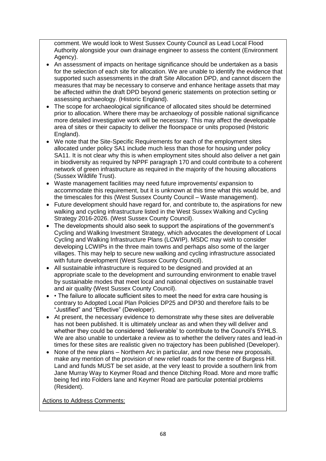comment. We would look to West Sussex County Council as Lead Local Flood Authority alongside your own drainage engineer to assess the content (Environment Agency).

- An assessment of impacts on heritage significance should be undertaken as a basis for the selection of each site for allocation. We are unable to identify the evidence that supported such assessments in the draft Site Allocation DPD, and cannot discern the measures that may be necessary to conserve and enhance heritage assets that may be affected within the draft DPD beyond generic statements on protection setting or assessing archaeology. (Historic England).
- The scope for archaeological significance of allocated sites should be determined prior to allocation. Where there may be archaeology of possible national significance more detailed investigative work will be necessary. This may affect the developable area of sites or their capacity to deliver the floorspace or units proposed (Historic England).
- We note that the Site-Specific Requirements for each of the employment sites allocated under policy SA1 include much less than those for housing under policy SA11. It is not clear why this is when employment sites should also deliver a net gain in biodiversity as required by NPPF paragraph 170 and could contribute to a coherent network of green infrastructure as required in the majority of the housing allocations (Sussex Wildlife Trust).
- Waste management facilities may need future improvements/ expansion to accommodate this requirement, but it is unknown at this time what this would be, and the timescales for this (West Sussex County Council – Waste management).
- Future development should have regard for, and contribute to, the aspirations for new walking and cycling infrastructure listed in the West Sussex Walking and Cycling Strategy 2016-2026. (West Sussex County Council).
- The developments should also seek to support the aspirations of the government's Cycling and Walking Investment Strategy, which advocates the development of Local Cycling and Walking Infrastructure Plans (LCWIP). MSDC may wish to consider developing LCWIPs in the three main towns and perhaps also some of the larger villages. This may help to secure new walking and cycling infrastructure associated with future development (West Sussex County Council).
- All sustainable infrastructure is required to be designed and provided at an appropriate scale to the development and surrounding environment to enable travel by sustainable modes that meet local and national objectives on sustainable travel and air quality (West Sussex County Council).
- • The failure to allocate sufficient sites to meet the need for extra care housing is contrary to Adopted Local Plan Policies DP25 and DP30 and therefore fails to be "Justified" and "Effective" (Developer).
- At present, the necessary evidence to demonstrate why these sites are deliverable has not been published. It is ultimately unclear as and when they will deliver and whether they could be considered 'deliverable' to contribute to the Council's 5YHLS. We are also unable to undertake a review as to whether the delivery rates and lead-in times for these sites are realistic given no trajectory has been published (Developer).
- None of the new plans Northern Arc in particular, and now these new proposals, make any mention of the provision of new relief roads for the centre of Burgess Hill. Land and funds MUST be set aside, at the very least to provide a southern link from Jane Murray Way to Keymer Road and thence Ditching Road. More and more traffic being fed into Folders lane and Keymer Road are particular potential problems (Resident).

Actions to Address Comments: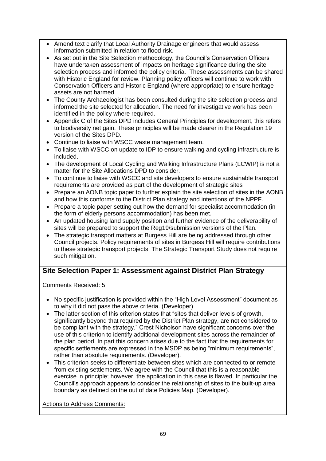- Amend text clarify that Local Authority Drainage engineers that would assess information submitted in relation to flood risk.
- As set out in the Site Selection methodology, the Council's Conservation Officers have undertaken assessment of impacts on heritage significance during the site selection process and informed the policy criteria. These assessments can be shared with Historic England for review. Planning policy officers will continue to work with Conservation Officers and Historic England (where appropriate) to ensure heritage assets are not harmed.
- The County Archaeologist has been consulted during the site selection process and informed the site selected for allocation. The need for investigative work has been identified in the policy where required.
- Appendix C of the Sites DPD includes General Principles for development, this refers to biodiversity net gain. These principles will be made clearer in the Regulation 19 version of the Sites DPD.
- Continue to liaise with WSCC waste management team.
- To liaise with WSCC on update to IDP to ensure walking and cycling infrastructure is included.
- The development of Local Cycling and Walking Infrastructure Plans (LCWIP) is not a matter for the Site Allocations DPD to consider.
- To continue to liaise with WSCC and site developers to ensure sustainable transport requirements are provided as part of the development of strategic sites
- Prepare an AONB topic paper to further explain the site selection of sites in the AONB and how this conforms to the District Plan strategy and intentions of the NPPF.
- Prepare a topic paper setting out how the demand for specialist accommodation (in the form of elderly persons accommodation) has been met.
- An updated housing land supply position and further evidence of the deliverability of sites will be prepared to support the Reg19/submission versions of the Plan.
- The strategic transport matters at Burgess Hill are being addressed through other Council projects. Policy requirements of sites in Burgess Hill will require contributions to these strategic transport projects. The Strategic Transport Study does not require such mitigation.

## **Site Selection Paper 1: Assessment against District Plan Strategy**

Comments Received: 5

- No specific justification is provided within the "High Level Assessment" document as to why it did not pass the above criteria. (Developer)
- The latter section of this criterion states that "sites that deliver levels of growth, significantly beyond that required by the District Plan strategy, are not considered to be compliant with the strategy." Crest Nicholson have significant concerns over the use of this criterion to identify additional development sites across the remainder of the plan period. In part this concern arises due to the fact that the requirements for specific settlements are expressed in the MSDP as being "minimum requirements", rather than absolute requirements. (Developer).
- This criterion seeks to differentiate between sites which are connected to or remote from existing settlements. We agree with the Council that this is a reasonable exercise in principle; however, the application in this case is flawed. In particular the Council's approach appears to consider the relationship of sites to the built-up area boundary as defined on the out of date Policies Map. (Developer).

Actions to Address Comments: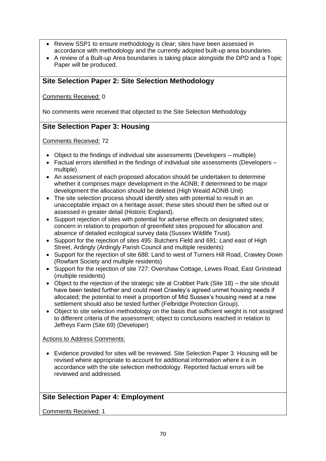- Review SSP1 to ensure methodology is clear; sites have been assessed in accordance with methodology and the currently adopted built-up area boundaries.
- A review of a Built-up Area boundaries is taking place alongside the DPD and a Topic Paper will be produced.

## **Site Selection Paper 2: Site Selection Methodology**

Comments Received: 0

No comments were received that objected to the Site Selection Methodology

## **Site Selection Paper 3: Housing**

Comments Received: 72

- Object to the findings of individual site assessments (Developers multiple)
- Factual errors identified in the findings of individual site assessments (Developers multiple)
- An assessment of each proposed allocation should be undertaken to determine whether it comprises major development in the AONB; if determined to be major development the allocation should be deleted (High Weald AONB Unit)
- The site selection process should identify sites with potential to result in an unacceptable impact on a heritage asset; these sites should then be sifted out or assessed in greater detail (Historic England).
- Support rejection of sites with potential for adverse effects on designated sites: concern in relation to proportion of greenfield sites proposed for allocation and absence of detailed ecological survey data (Sussex Wildlife Trust).
- Support for the rejection of sites 495: Butchers Field and 691: Land east of High Street, Ardingly (Ardingly Parish Council and multiple residents)
- Support for the rejection of site 688: Land to west of Turners Hill Road, Crawley Down (Rowfant Society and multiple residents)
- Support for the rejection of site 727: Overshaw Cottage, Lewes Road, East Grinstead (multiple residents)
- Object to the rejection of the strategic site at Crabbet Park (Site 18) the site should have been tested further and could meet Crawley's agreed unmet housing needs if allocated; the potential to meet a proportion of Mid Sussex's housing need at a new settlement should also be tested further (Felbridge Protection Group).
- Object to site selection methodology on the basis that sufficient weight is not assigned to different criteria of the assessment; object to conclusions reached in relation to Jeffreys Farm (Site 69) (Developer)

#### Actions to Address Comments:

• Evidence provided for sites will be reviewed. Site Selection Paper 3: Housing will be revised where appropriate to account for additional information where it is in accordance with the site selection methodology. Reported factual errors will be reviewed and addressed.

## **Site Selection Paper 4: Employment**

Comments Received: 1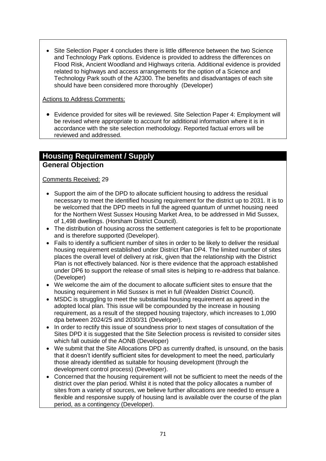• Site Selection Paper 4 concludes there is little difference between the two Science and Technology Park options. Evidence is provided to address the differences on Flood Risk, Ancient Woodland and Highways criteria. Additional evidence is provided related to highways and access arrangements for the option of a Science and Technology Park south of the A2300. The benefits and disadvantages of each site should have been considered more thoroughly (Developer)

#### Actions to Address Comments:

• Evidence provided for sites will be reviewed. Site Selection Paper 4: Employment will be revised where appropriate to account for additional information where it is in accordance with the site selection methodology. Reported factual errors will be reviewed and addressed.

## **Housing Requirement / Supply General Objection**

#### Comments Received: 29

- Support the aim of the DPD to allocate sufficient housing to address the residual necessary to meet the identified housing requirement for the district up to 2031. It is to be welcomed that the DPD meets in full the agreed quantum of unmet housing need for the Northern West Sussex Housing Market Area, to be addressed in Mid Sussex, of 1,498 dwellings. (Horsham District Council).
- The distribution of housing across the settlement categories is felt to be proportionate and is therefore supported (Developer).
- Fails to identify a sufficient number of sites in order to be likely to deliver the residual housing requirement established under District Plan DP4. The limited number of sites places the overall level of delivery at risk, given that the relationship with the District Plan is not effectively balanced. Nor is there evidence that the approach established under DP6 to support the release of small sites is helping to re-address that balance. (Developer)
- We welcome the aim of the document to allocate sufficient sites to ensure that the housing requirement in Mid Sussex is met in full (Wealden District Council).
- MSDC is struggling to meet the substantial housing requirement as agreed in the adopted local plan. This issue will be compounded by the increase in housing requirement, as a result of the stepped housing trajectory, which increases to 1,090 dpa between 2024/25 and 2030/31 (Developer).
- In order to rectify this issue of soundness prior to next stages of consultation of the Sites DPD it is suggested that the Site Selection process is revisited to consider sites which fall outside of the AONB (Developer)
- We submit that the Site Allocations DPD as currently drafted, is unsound, on the basis that it doesn't identify sufficient sites for development to meet the need, particularly those already identified as suitable for housing development (through the development control process) (Developer).
- Concerned that the housing requirement will not be sufficient to meet the needs of the district over the plan period. Whilst it is noted that the policy allocates a number of sites from a variety of sources, we believe further allocations are needed to ensure a flexible and responsive supply of housing land is available over the course of the plan period, as a contingency (Developer).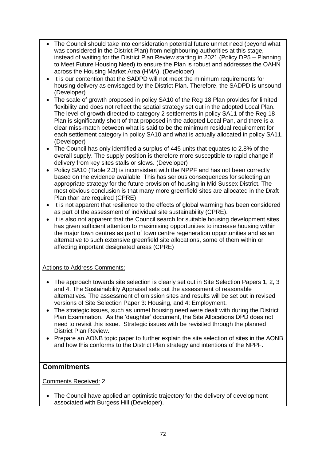- The Council should take into consideration potential future unmet need (beyond what was considered in the District Plan) from neighbouring authorities at this stage, instead of waiting for the District Plan Review starting in 2021 (Policy DP5 – Planning to Meet Future Housing Need) to ensure the Plan is robust and addresses the OAHN across the Housing Market Area (HMA). (Developer)
- It is our contention that the SADPD will not meet the minimum requirements for housing delivery as envisaged by the District Plan. Therefore, the SADPD is unsound (Developer)
- The scale of growth proposed in policy SA10 of the Reg 18 Plan provides for limited flexibility and does not reflect the spatial strategy set out in the adopted Local Plan. The level of growth directed to category 2 settlements in policy SA11 of the Reg 18 Plan is significantly short of that proposed in the adopted Local Pan, and there is a clear miss-match between what is said to be the minimum residual requirement for each settlement category in policy SA10 and what is actually allocated in policy SA11. (Developer)
- The Council has only identified a surplus of 445 units that equates to 2.8% of the overall supply. The supply position is therefore more susceptible to rapid change if delivery from key sites stalls or slows. (Developer)
- Policy SA10 (Table 2.3) is inconsistent with the NPPF and has not been correctly based on the evidence available. This has serious consequences for selecting an appropriate strategy for the future provision of housing in Mid Sussex District. The most obvious conclusion is that many more greenfield sites are allocated in the Draft Plan than are required (CPRE)
- It is not apparent that resilience to the effects of global warming has been considered as part of the assessment of individual site sustainability (CPRE).
- It is also not apparent that the Council search for suitable housing development sites has given sufficient attention to maximising opportunities to increase housing within the major town centres as part of town centre regeneration opportunities and as an alternative to such extensive greenfield site allocations, some of them within or affecting important designated areas (CPRE)

### Actions to Address Comments:

- The approach towards site selection is clearly set out in Site Selection Papers 1, 2, 3 and 4. The Sustainability Appraisal sets out the assessment of reasonable alternatives. The assessment of omission sites and results will be set out in revised versions of Site Selection Paper 3: Housing, and 4: Employment.
- The strategic issues, such as unmet housing need were dealt with during the District Plan Examination. As the 'daughter' document, the Site Allocations DPD does not need to revisit this issue. Strategic issues with be revisited through the planned District Plan Review.
- Prepare an AONB topic paper to further explain the site selection of sites in the AONB and how this conforms to the District Plan strategy and intentions of the NPPF.

### **Commitments**

Comments Received: 2

• The Council have applied an optimistic trajectory for the delivery of development associated with Burgess Hill (Developer).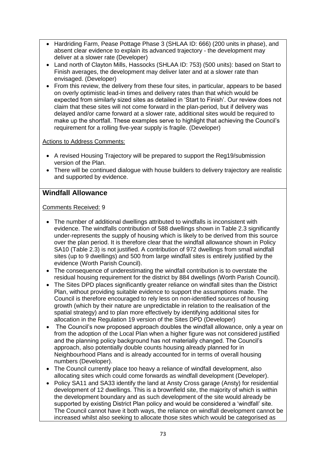- Hardriding Farm, Pease Pottage Phase 3 (SHLAA ID: 666) (200 units in phase), and absent clear evidence to explain its advanced trajectory - the development may deliver at a slower rate (Developer)
- Land north of Clayton Mills, Hassocks (SHLAA ID: 753) (500 units): based on Start to Finish averages, the development may deliver later and at a slower rate than envisaged. (Developer)
- From this review, the delivery from these four sites, in particular, appears to be based on overly optimistic lead-in times and delivery rates than that which would be expected from similarly sized sites as detailed in 'Start to Finish'. Our review does not claim that these sites will not come forward in the plan-period, but if delivery was delayed and/or came forward at a slower rate, additional sites would be required to make up the shortfall. These examples serve to highlight that achieving the Council's requirement for a rolling five-year supply is fragile. (Developer)

### Actions to Address Comments:

- A revised Housing Trajectory will be prepared to support the Reg19/submission version of the Plan.
- There will be continued dialogue with house builders to delivery trajectory are realistic and supported by evidence.

## **Windfall Allowance**

- The number of additional dwellings attributed to windfalls is inconsistent with evidence. The windfalls contribution of 588 dwellings shown in Table 2.3 significantly under-represents the supply of housing which is likely to be derived from this source over the plan period. It is therefore clear that the windfall allowance shown in Policy SA10 (Table 2.3) is not justified. A contribution of 972 dwellings from small windfall sites (up to 9 dwellings) and 500 from large windfall sites is entirely justified by the evidence (Worth Parish Council).
- The consequence of underestimating the windfall contribution is to overstate the residual housing requirement for the district by 884 dwellings (Worth Parish Council).
- The Sites DPD places significantly greater reliance on windfall sites than the District Plan, without providing suitable evidence to support the assumptions made. The Council is therefore encouraged to rely less on non-identified sources of housing growth (which by their nature are unpredictable in relation to the realisation of the spatial strategy) and to plan more effectively by identifying additional sites for allocation in the Regulation 19 version of the Sites DPD (Developer)
- The Council's now proposed approach doubles the windfall allowance, only a year on from the adoption of the Local Plan when a higher figure was not considered justified and the planning policy background has not materially changed. The Council's approach, also potentially double counts housing already planned for in Neighbourhood Plans and is already accounted for in terms of overall housing numbers (Developer).
- The Council currently place too heavy a reliance of windfall development, also allocating sites which could come forwards as windfall development (Developer).
- Policy SA11 and SA33 identify the land at Ansty Cross garage (Ansty) for residential development of 12 dwellings. This is a brownfield site, the majority of which is within the development boundary and as such development of the site would already be supported by existing District Plan policy and would be considered a 'windfall' site. The Council cannot have it both ways, the reliance on windfall development cannot be increased whilst also seeking to allocate those sites which would be categorised as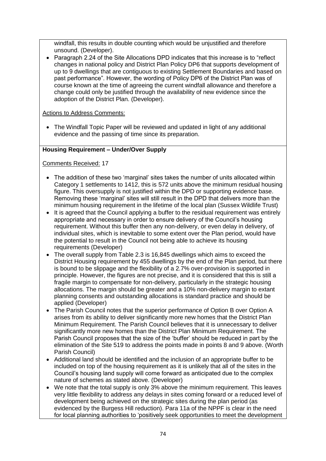windfall, this results in double counting which would be unjustified and therefore unsound. (Developer).

• Paragraph 2.24 of the Site Allocations DPD indicates that this increase is to "reflect" changes in national policy and District Plan Policy DP6 that supports development of up to 9 dwellings that are contiguous to existing Settlement Boundaries and based on past performance". However, the wording of Policy DP6 of the District Plan was of course known at the time of agreeing the current windfall allowance and therefore a change could only be justified through the availability of new evidence since the adoption of the District Plan. (Developer).

#### Actions to Address Comments:

• The Windfall Topic Paper will be reviewed and updated in light of any additional evidence and the passing of time since its preparation.

#### **Housing Requirement – Under/Over Supply**

- The addition of these two 'marginal' sites takes the number of units allocated within Category 1 settlements to 1412, this is 572 units above the minimum residual housing figure. This oversupply is not justified within the DPD or supporting evidence base. Removing these 'marginal' sites will still result in the DPD that delivers more than the minimum housing requirement in the lifetime of the local plan (Sussex Wildlife Trust)
- It is agreed that the Council applying a buffer to the residual requirement was entirely appropriate and necessary in order to ensure delivery of the Council's housing requirement. Without this buffer then any non-delivery, or even delay in delivery, of individual sites, which is inevitable to some extent over the Plan period, would have the potential to result in the Council not being able to achieve its housing requirements (Developer)
- The overall supply from Table 2.3 is 16,845 dwellings which aims to exceed the District Housing requirement by 455 dwellings by the end of the Plan period, but there is bound to be slippage and the flexibility of a 2.7% over-provision is supported in principle. However, the figures are not precise, and it is considered that this is still a fragile margin to compensate for non-delivery, particularly in the strategic housing allocations. The margin should be greater and a 10% non-delivery margin to extant planning consents and outstanding allocations is standard practice and should be applied (Developer)
- The Parish Council notes that the superior performance of Option B over Option A arises from its ability to deliver significantly more new homes that the District Plan Minimum Requirement. The Parish Council believes that it is unnecessary to deliver significantly more new homes than the District Plan Minimum Requirement. The Parish Council proposes that the size of the 'buffer' should be reduced in part by the elimination of the Site 519 to address the points made in points 8 and 9 above. (Worth Parish Council)
- Additional land should be identified and the inclusion of an appropriate buffer to be included on top of the housing requirement as it is unlikely that all of the sites in the Council's housing land supply will come forward as anticipated due to the complex nature of schemes as stated above. (Developer)
- We note that the total supply is only 3% above the minimum requirement. This leaves very little flexibility to address any delays in sites coming forward or a reduced level of development being achieved on the strategic sites during the plan period (as evidenced by the Burgess Hill reduction). Para 11a of the NPPF is clear in the need for local planning authorities to 'positively seek opportunities to meet the development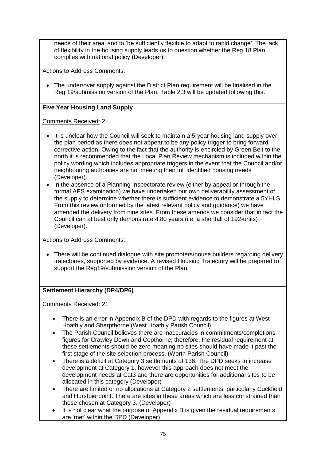needs of their area' and to 'be sufficiently flexible to adapt to rapid change'. The lack of flexibility in the housing supply leads us to question whether the Reg 18 Plan complies with national policy (Developer).

Actions to Address Comments:

• The under/over supply against the District Plan requirement will be finalised in the Reg 19/submission version of the Plan. Table 2.3 will be updated following this.

## **Five Year Housing Land Supply**

### Comments Received: 2

- It is unclear how the Council will seek to maintain a 5-year housing land supply over the plan period as there does not appear to be any policy trigger to bring forward corrective action. Owing to the fact that the authority is encircled by Green Belt to the north it is recommended that the Local Plan Review mechanism is included within the policy wording which includes appropriate triggers in the event that the Council and/or neighbouring authorities are not meeting their full identified housing needs (Developer).
- In the absence of a Planning Inspectorate review (either by appeal or through the formal APS examination) we have undertaken our own deliverability assessment of the supply to determine whether there is sufficient evidence to demonstrate a 5YHLS. From this review (informed by the latest relevant policy and guidance) we have amended the delivery from nine sites. From these amends we consider that in fact the Council can at best only demonstrate 4.80 years (i.e. a shortfall of 192-units) (Developer).

Actions to Address Comments:

• There will be continued dialogue with site promoters/house builders regarding delivery trajectories, supported by evidence. A revised Housing Trajectory will be prepared to support the Reg19/submission version of the Plan.

### **Settlement Hierarchy (DP4/DP6)**

- There is an error in Appendix B of the DPD with regards to the figures at West Hoathly and Sharpthorne (West Hoathly Parish Council)
- The Parish Council believes there are inaccuracies in commitments/completions figures for Crawley Down and Copthorne; therefore, the residual requirement at these settlements should be zero meaning no sites should have made it past the first stage of the site selection process. (Worth Parish Council)
- There is a deficit at Category 3 settlements of 136. The DPD seeks to increase development at Category 1, however this approach does not meet the development needs at Cat3 and there are opportunities for additional sites to be allocated in this category (Developer)
- There are limited or no allocations at Category 2 settlements, particularly Cuckfield and Hurstpierpoint. There are sites in these areas which are less constrained than those chosen at Category 3. (Developer)
- It is not clear what the purpose of Appendix B is given the residual requirements are 'met' within the DPD (Developer)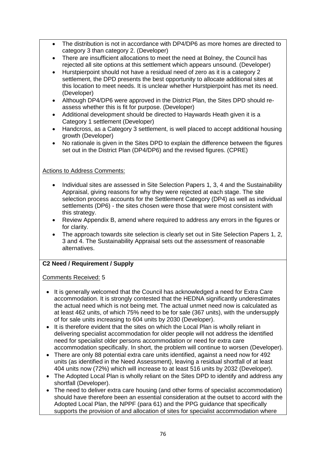- The distribution is not in accordance with DP4/DP6 as more homes are directed to category 3 than category 2. (Developer)
- There are insufficient allocations to meet the need at Bolney, the Council has rejected all site options at this settlement which appears unsound. (Developer)
- Hurstpierpoint should not have a residual need of zero as it is a category 2 settlement, the DPD presents the best opportunity to allocate additional sites at this location to meet needs. It is unclear whether Hurstpierpoint has met its need. (Developer)
- Although DP4/DP6 were approved in the District Plan, the Sites DPD should reassess whether this is fit for purpose. (Developer)
- Additional development should be directed to Haywards Heath given it is a Category 1 settlement (Developer)
- Handcross, as a Category 3 settlement, is well placed to accept additional housing growth (Developer)
- No rationale is given in the Sites DPD to explain the difference between the figures set out in the District Plan (DP4/DP6) and the revised figures. (CPRE)

### Actions to Address Comments:

- Individual sites are assessed in Site Selection Papers 1, 3, 4 and the Sustainability Appraisal, giving reasons for why they were rejected at each stage. The site selection process accounts for the Settlement Category (DP4) as well as individual settlements (DP6) - the sites chosen were those that were most consistent with this strategy.
- Review Appendix B, amend where required to address any errors in the figures or for clarity.
- The approach towards site selection is clearly set out in Site Selection Papers 1, 2, 3 and 4. The Sustainability Appraisal sets out the assessment of reasonable alternatives.

## **C2 Need / Requirement / Supply**

- It is generally welcomed that the Council has acknowledged a need for Extra Care accommodation. It is strongly contested that the HEDNA significantly underestimates the actual need which is not being met. The actual unmet need now is calculated as at least 462 units, of which 75% need to be for sale (367 units), with the undersupply of for sale units increasing to 604 units by 2030 (Developer).
- It is therefore evident that the sites on which the Local Plan is wholly reliant in delivering specialist accommodation for older people will not address the identified need for specialist older persons accommodation or need for extra care accommodation specifically. In short, the problem will continue to worsen (Developer).
- There are only 88 potential extra care units identified, against a need now for 492 units (as identified in the Need Assessment), leaving a residual shortfall of at least 404 units now (72%) which will increase to at least 516 units by 2032 (Developer).
- The Adopted Local Plan is wholly reliant on the Sites DPD to identify and address any shortfall (Developer).
- The need to deliver extra care housing (and other forms of specialist accommodation) should have therefore been an essential consideration at the outset to accord with the Adopted Local Plan, the NPPF (para 61) and the PPG guidance that specifically supports the provision of and allocation of sites for specialist accommodation where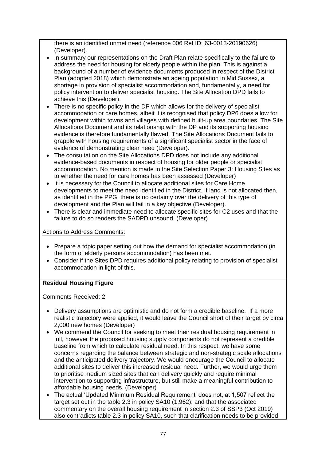there is an identified unmet need (reference 006 Ref ID: 63-0013-20190626) (Developer).

- In summary our representations on the Draft Plan relate specifically to the failure to address the need for housing for elderly people within the plan. This is against a background of a number of evidence documents produced in respect of the District Plan (adopted 2018) which demonstrate an ageing population in Mid Sussex, a shortage in provision of specialist accommodation and, fundamentally, a need for policy intervention to deliver specialist housing. The Site Allocation DPD fails to achieve this (Developer).
- There is no specific policy in the DP which allows for the delivery of specialist accommodation or care homes, albeit it is recognised that policy DP6 does allow for development within towns and villages with defined built-up area boundaries. The Site Allocations Document and its relationship with the DP and its supporting housing evidence is therefore fundamentally flawed. The Site Allocations Document fails to grapple with housing requirements of a significant specialist sector in the face of evidence of demonstrating clear need (Developer).
- The consultation on the Site Allocations DPD does not include any additional evidence-based documents in respect of housing for older people or specialist accommodation. No mention is made in the Site Selection Paper 3: Housing Sites as to whether the need for care homes has been assessed (Developer)
- It is necessary for the Council to allocate additional sites for Care Home developments to meet the need identified in the District. If land is not allocated then, as identified in the PPG, there is no certainty over the delivery of this type of development and the Plan will fail in a key objective (Developer).
- There is clear and immediate need to allocate specific sites for C2 uses and that the failure to do so renders the SADPD unsound. (Developer)

### Actions to Address Comments:

- Prepare a topic paper setting out how the demand for specialist accommodation (in the form of elderly persons accommodation) has been met.
- Consider if the Sites DPD requires additional policy relating to provision of specialist accommodation in light of this.

### **Residual Housing Figure**

- Delivery assumptions are optimistic and do not form a credible baseline. If a more realistic trajectory were applied, it would leave the Council short of their target by circa 2,000 new homes (Developer)
- We commend the Council for seeking to meet their residual housing requirement in full, however the proposed housing supply components do not represent a credible baseline from which to calculate residual need. In this respect, we have some concerns regarding the balance between strategic and non-strategic scale allocations and the anticipated delivery trajectory. We would encourage the Council to allocate additional sites to deliver this increased residual need. Further, we would urge them to prioritise medium sized sites that can delivery quickly and require minimal intervention to supporting infrastructure, but still make a meaningful contribution to affordable housing needs. (Developer)
- The actual 'Updated Minimum Residual Requirement' does not, at 1,507 reflect the target set out in the table 2.3 in policy SA10 (1,962); and that the associated commentary on the overall housing requirement in section 2.3 of SSP3 (Oct 2019) also contradicts table 2.3 in policy SA10, such that clarification needs to be provided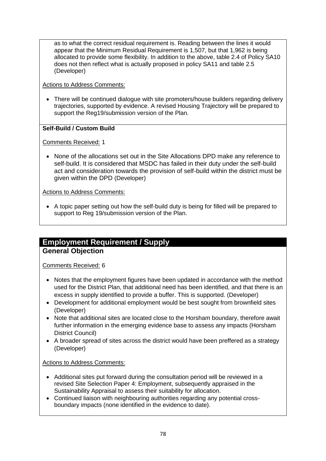as to what the correct residual requirement is. Reading between the lines it would appear that the Minimum Residual Requirement is 1,507, but that 1,962 is being allocated to provide some flexibility. In addition to the above, table 2.4 of Policy SA10 does not then reflect what is actually proposed in policy SA11 and table 2.5 (Developer)

Actions to Address Comments:

• There will be continued dialogue with site promoters/house builders regarding delivery trajectories, supported by evidence. A revised Housing Trajectory will be prepared to support the Reg19/submission version of the Plan.

## **Self-Build / Custom Build**

Comments Received: 1

• None of the allocations set out in the Site Allocations DPD make any reference to self-build. It is considered that MSDC has failed in their duty under the self-build act and consideration towards the provision of self-build within the district must be given within the DPD (Developer)

Actions to Address Comments:

• A topic paper setting out how the self-build duty is being for filled will be prepared to support to Reg 19/submission version of the Plan.

## **Employment Requirement / Supply General Objection**

Comments Received: 6

- Notes that the employment figures have been updated in accordance with the method used for the District Plan, that additional need has been identified, and that there is an excess in supply identified to provide a buffer. This is supported. (Developer)
- Development for additional employment would be best sought from brownfield sites (Developer)
- Note that additional sites are located close to the Horsham boundary, therefore await further information in the emerging evidence base to assess any impacts (Horsham District Council)
- A broader spread of sites across the district would have been preffered as a strategy (Developer)

## Actions to Address Comments:

- Additional sites put forward during the consultation period will be reviewed in a revised Site Selection Paper 4: Employment, subsequently appraised in the Sustainability Appraisal to assess their suitability for allocation.
- Continued liaison with neighbouring authorities regarding any potential crossboundary impacts (none identified in the evidence to date).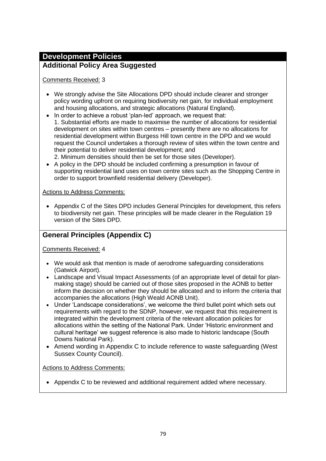# **Development Policies**

## **Additional Policy Area Suggested**

## Comments Received: 3

- We strongly advise the Site Allocations DPD should include clearer and stronger policy wording upfront on requiring biodiversity net gain, for individual employment and housing allocations, and strategic allocations (Natural England).
- In order to achieve a robust 'plan-led' approach, we request that: 1. Substantial efforts are made to maximise the number of allocations for residential development on sites within town centres – presently there are no allocations for residential development within Burgess Hill town centre in the DPD and we would request the Council undertakes a thorough review of sites within the town centre and their potential to deliver residential development; and
	- 2. Minimum densities should then be set for those sites (Developer).
- A policy in the DPD should be included confirming a presumption in favour of supporting residential land uses on town centre sites such as the Shopping Centre in order to support brownfield residential delivery (Developer).

## Actions to Address Comments:

• Appendix C of the Sites DPD includes General Principles for development, this refers to biodiversity net gain. These principles will be made clearer in the Regulation 19 version of the Sites DPD.

## **General Principles (Appendix C)**

## Comments Received: 4

- We would ask that mention is made of aerodrome safeguarding considerations (Gatwick Airport).
- Landscape and Visual Impact Assessments (of an appropriate level of detail for planmaking stage) should be carried out of those sites proposed in the AONB to better inform the decision on whether they should be allocated and to inform the criteria that accompanies the allocations (High Weald AONB Unit).
- Under 'Landscape considerations', we welcome the third bullet point which sets out requirements with regard to the SDNP, however, we request that this requirement is integrated within the development criteria of the relevant allocation policies for allocations within the setting of the National Park. Under 'Historic environment and cultural heritage' we suggest reference is also made to historic landscape (South Downs National Park).
- Amend wording in Appendix C to include reference to waste safeguarding (West Sussex County Council).

### Actions to Address Comments:

• Appendix C to be reviewed and additional requirement added where necessary.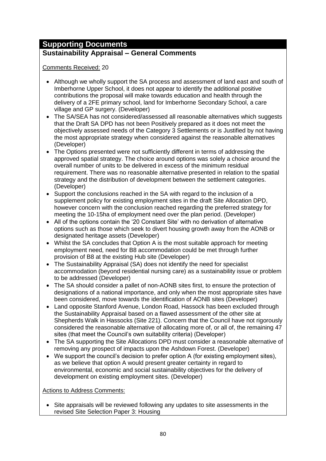# **Supporting Documents**

## **Sustainability Appraisal – General Comments**

Comments Received: 20

- Although we wholly support the SA process and assessment of land east and south of Imberhorne Upper School, it does not appear to identify the additional positive contributions the proposal will make towards education and health through the delivery of a 2FE primary school, land for Imberhorne Secondary School, a care village and GP surgery. (Developer)
- The SA/SEA has not considered/assessed all reasonable alternatives which suggests that the Draft SA DPD has not been Positively prepared as it does not meet the objectively assessed needs of the Category 3 Settlements or is Justified by not having the most appropriate strategy when considered against the reasonable alternatives (Developer)
- The Options presented were not sufficiently different in terms of addressing the approved spatial strategy. The choice around options was solely a choice around the overall number of units to be delivered in excess of the minimum residual requirement. There was no reasonable alternative presented in relation to the spatial strategy and the distribution of development between the settlement categories. (Developer)
- Support the conclusions reached in the SA with regard to the inclusion of a supplement policy for existing employment sites in the draft Site Allocation DPD, however concern with the conclusion reached regarding the preferred strategy for meeting the 10-15ha of employment need over the plan period. (Developer)
- All of the options contain the '20 Constant Site' with no derivation of alternative options such as those which seek to divert housing growth away from the AONB or designated heritage assets (Developer)
- Whilst the SA concludes that Option A is the most suitable approach for meeting employment need, need for B8 accommodation could be met through further provision of B8 at the existing Hub site (Developer)
- The Sustainability Appraisal (SA) does not identify the need for specialist accommodation (beyond residential nursing care) as a sustainability issue or problem to be addressed (Developer)
- The SA should consider a pallet of non-AONB sites first, to ensure the protection of designations of a national importance, and only when the most appropriate sites have been considered, move towards the identification of AONB sites (Developer)
- Land opposite Stanford Avenue, London Road, Hassock has been excluded through the Sustainability Appraisal based on a flawed assessment of the other site at Shepherds Walk in Hassocks (Site 221). Concern that the Council have not rigorously considered the reasonable alternative of allocating more of, or all of, the remaining 47 sites (that meet the Council's own suitability criteria) (Developer)
- The SA supporting the Site Allocations DPD must consider a reasonable alternative of removing any prospect of impacts upon the Ashdown Forest. (Developer)
- We support the council's decision to prefer option A (for existing employment sites), as we believe that option A would present greater certainty in regard to environmental, economic and social sustainability objectives for the delivery of development on existing employment sites. (Developer)

Actions to Address Comments:

• Site appraisals will be reviewed following any updates to site assessments in the revised Site Selection Paper 3: Housing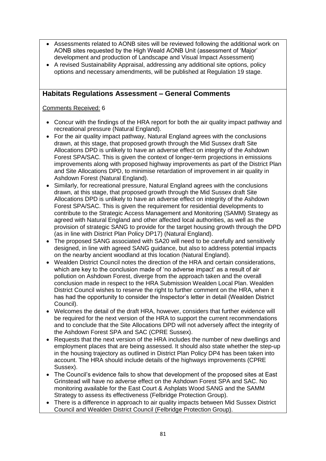- Assessments related to AONB sites will be reviewed following the additional work on AONB sites requested by the High Weald AONB Unit (assessment of 'Major' development and production of Landscape and Visual Impact Assessment)
- A revised Sustainability Appraisal, addressing any additional site options, policy options and necessary amendments, will be published at Regulation 19 stage.

## **Habitats Regulations Assessment – General Comments**

- Concur with the findings of the HRA report for both the air quality impact pathway and recreational pressure (Natural England).
- For the air quality impact pathway, Natural England agrees with the conclusions drawn, at this stage, that proposed growth through the Mid Sussex draft Site Allocations DPD is unlikely to have an adverse effect on integrity of the Ashdown Forest SPA/SAC. This is given the context of longer-term projections in emissions improvements along with proposed highway improvements as part of the District Plan and Site Allocations DPD, to minimise retardation of improvement in air quality in Ashdown Forest (Natural England).
- Similarly, for recreational pressure, Natural England agrees with the conclusions drawn, at this stage, that proposed growth through the Mid Sussex draft Site Allocations DPD is unlikely to have an adverse effect on integrity of the Ashdown Forest SPA/SAC. This is given the requirement for residential developments to contribute to the Strategic Access Management and Monitoring (SAMM) Strategy as agreed with Natural England and other affected local authorities, as well as the provision of strategic SANG to provide for the target housing growth through the DPD (as in line with District Plan Policy DP17) (Natural England).
- The proposed SANG associated with SA20 will need to be carefully and sensitively designed, in line with agreed SANG guidance, but also to address potential impacts on the nearby ancient woodland at this location (Natural England).
- Wealden District Council notes the direction of the HRA and certain considerations, which are key to the conclusion made of 'no adverse impact' as a result of air pollution on Ashdown Forest, diverge from the approach taken and the overall conclusion made in respect to the HRA Submission Wealden Local Plan. Wealden District Council wishes to reserve the right to further comment on the HRA, when it has had the opportunity to consider the Inspector's letter in detail (Wealden District Council).
- Welcomes the detail of the draft HRA, however, considers that further evidence will be required for the next version of the HRA to support the current recommendations and to conclude that the Site Allocations DPD will not adversely affect the integrity of the Ashdown Forest SPA and SAC (CPRE Sussex).
- Requests that the next version of the HRA includes the number of new dwellings and employment places that are being assessed. It should also state whether the step-up in the housing trajectory as outlined in District Plan Policy DP4 has been taken into account. The HRA should include details of the highways improvements (CPRE Sussex).
- The Council's evidence fails to show that development of the proposed sites at East Grinstead will have no adverse effect on the Ashdown Forest SPA and SAC. No monitoring available for the East Court & Ashplats Wood SANG and the SAMM Strategy to assess its effectiveness (Felbridge Protection Group).
- There is a difference in approach to air quality impacts between Mid Sussex District Council and Wealden District Council (Felbridge Protection Group).